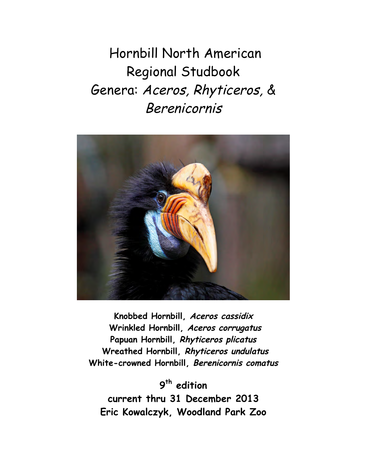Hornbill North American Regional Studbook Genera: Aceros, Rhyticeros, & Berenicornis



**Knobbed Hornbill, Aceros cassidix Wrinkled Hornbill, Aceros corrugatus Papuan Hornbill, Rhyticeros plicatus Wreathed Hornbill, Rhyticeros undulatus White-crowned Hornbill, Berenicornis comatus**

**9 th edition current thru 31 December 2013 Eric Kowalczyk, Woodland Park Zoo**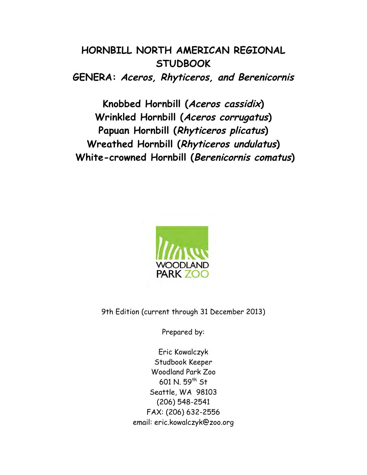# **HORNBILL NORTH AMERICAN REGIONAL STUDBOOK GENERA: Aceros, Rhyticeros, and Berenicornis**

**Knobbed Hornbill (Aceros cassidix) Wrinkled Hornbill (Aceros corrugatus) Papuan Hornbill (Rhyticeros plicatus) Wreathed Hornbill (Rhyticeros undulatus) White-crowned Hornbill (Berenicornis comatus)**



9th Edition (current through 31 December 2013)

Prepared by:

Eric Kowalczyk Studbook Keeper Woodland Park Zoo 601 N. 59<sup>th</sup> St Seattle, WA 98103 (206) 548-2541 FAX: (206) 632-2556 email: eric.kowalczyk@zoo.org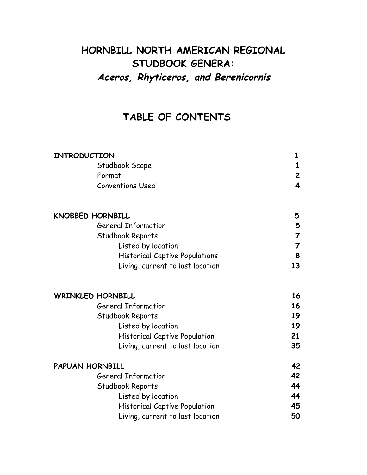# **HORNBILL NORTH AMERICAN REGIONAL STUDBOOK GENERA: Aceros, Rhyticeros, and Berenicornis**

# **TABLE OF CONTENTS**

| INTRODUCTION                          | 1                       |
|---------------------------------------|-------------------------|
| Studbook Scope                        | 1                       |
| Format                                | $\overline{c}$          |
| <b>Conventions Used</b>               | $\overline{\mathbf{4}}$ |
| <b>KNOBBED HORNBILL</b>               | 5                       |
| <b>General Information</b>            | 5                       |
| Studbook Reports                      | 7                       |
| Listed by location                    | $\overline{7}$          |
| <b>Historical Captive Populations</b> | 8                       |
| Living, current to last location      | 13                      |
| <b>WRINKLED HORNBILL</b>              | 16                      |
| <b>General Information</b>            | 16                      |
| Studbook Reports                      | 19                      |
| Listed by location                    | 19                      |
| <b>Historical Captive Population</b>  | 21                      |
| Living, current to last location      | 35                      |
| <b>PAPUAN HORNBILL</b>                | 42                      |
| <b>General Information</b>            | 42                      |
| Studbook Reports                      | 44                      |
| Listed by location                    | 44                      |
| <b>Historical Captive Population</b>  | 45                      |
| Living, current to last location      | 50                      |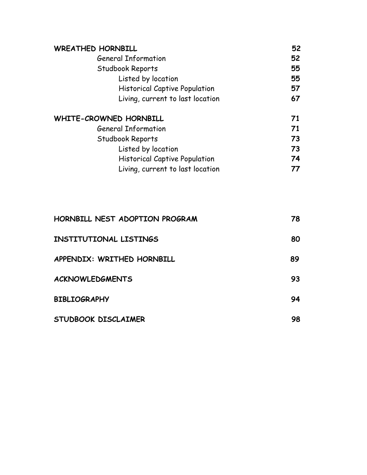| <b>WREATHED HORNBILL</b>             | 52 |
|--------------------------------------|----|
| <b>General Information</b>           | 52 |
| Studbook Reports                     | 55 |
| Listed by location                   | 55 |
| <b>Historical Captive Population</b> | 57 |
| Living, current to last location     | 67 |
| WHITE-CROWNED HORNBILL               | 71 |
| <b>General Information</b>           | 71 |
| Studbook Reports                     | 73 |
| Listed by location                   | 73 |
| <b>Historical Captive Population</b> | 74 |
| Living, current to last location     | 77 |

| HORNBILL NEST ADOPTION PROGRAM | 78 |
|--------------------------------|----|
| <b>INSTITUTIONAL LISTINGS</b>  | 80 |
| APPENDIX: WRITHED HORNBILL     | 89 |
| <b>ACKNOWLEDGMENTS</b>         | 93 |
| <b>BIBLIOGRAPHY</b>            | 94 |
| STUDBOOK DISCLAIMER            | 98 |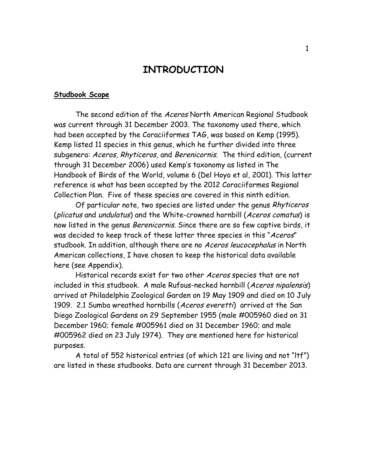## **INTRODUCTION**

#### **Studbook Scope**

The second edition of the Aceros North American Regional Studbook was current through 31 December 2003. The taxonomy used there, which had been accepted by the Coraciiformes TAG, was based on Kemp (1995). Kemp listed 11 species in this genus, which he further divided into three subgenera: Aceros, Rhyticeros, and Berenicornis. The third edition, (current through 31 December 2006) used Kemp's taxonomy as listed in The Handbook of Birds of the World, volume 6 (Del Hoyo et al, 2001). This latter reference is what has been accepted by the 2012 Coraciiformes Regional Collection Plan. Five of these species are covered in this ninth edition.

Of particular note, two species are listed under the genus Rhyticeros (plicatus and undulatus) and the White-crowned hornbill (Aceros comatus) is now listed in the genus Berenicornis. Since there are so few captive birds, it was decided to keep track of these latter three species in this "Aceros" studbook. In addition, although there are no Aceros leucocephalus in North American collections, I have chosen to keep the historical data available here (see Appendix).

Historical records exist for two other Aceros species that are not included in this studbook. A male Rufous-necked hornbill (Aceros nipalensis) arrived at Philadelphia Zoological Garden on 19 May 1909 and died on 10 July 1909. 2.1 Sumba wreathed hornbills (Aceros everetti) arrived at the San Diego Zoological Gardens on 29 September 1955 (male #005960 died on 31 December 1960; female #005961 died on 31 December 1960; and male #005962 died on 23 July 1974). They are mentioned here for historical purposes.

A total of 552 historical entries (of which 121 are living and not "ltf") are listed in these studbooks. Data are current through 31 December 2013.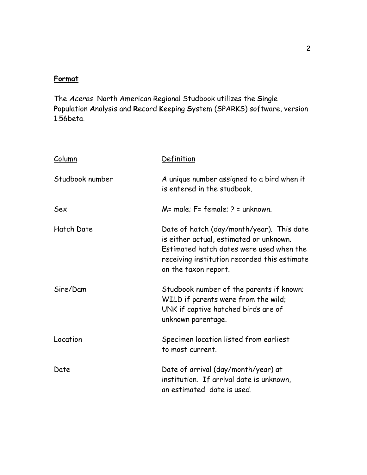## **Format**

The Aceros North American Regional Studbook utilizes the **S**ingle **P**opulation **A**nalysis and **R**ecord **K**eeping **S**ystem (SPARKS) software, version 1.56beta.

| Column          | Definition                                                                                                                                                                                               |  |  |  |  |  |  |
|-----------------|----------------------------------------------------------------------------------------------------------------------------------------------------------------------------------------------------------|--|--|--|--|--|--|
| Studbook number | A unique number assigned to a bird when it<br>is entered in the studbook.                                                                                                                                |  |  |  |  |  |  |
| Sex             | $M=$ male; $F=$ female; $P=$ unknown.                                                                                                                                                                    |  |  |  |  |  |  |
| Hatch Date      | Date of hatch (day/month/year). This date<br>is either actual, estimated or unknown.<br>Estimated hatch dates were used when the<br>receiving institution recorded this estimate<br>on the taxon report. |  |  |  |  |  |  |
| Sire/Dam        | Studbook number of the parents if known;<br>WILD if parents were from the wild;<br>UNK if captive hatched birds are of<br>unknown parentage.                                                             |  |  |  |  |  |  |
| Location        | Specimen location listed from earliest<br>to most current.                                                                                                                                               |  |  |  |  |  |  |
| Date            | Date of arrival (day/month/year) at<br>institution. If arrival date is unknown,<br>an estimated date is used.                                                                                            |  |  |  |  |  |  |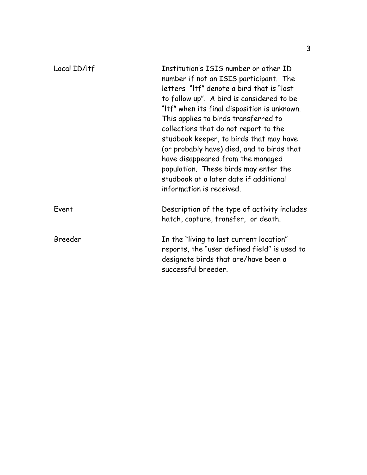| Local ID/Itf | Institution's ISIS number or other ID<br>number if not an ISIS participant. The<br>letters "Itf" denote a bird that is "lost<br>to follow up". A bird is considered to be<br>"Itf" when its final disposition is unknown.<br>This applies to birds transferred to<br>collections that do not report to the<br>studbook keeper, to birds that may have<br>(or probably have) died, and to birds that<br>have disappeared from the managed<br>population. These birds may enter the<br>studbook at a later date if additional<br>information is received. |
|--------------|---------------------------------------------------------------------------------------------------------------------------------------------------------------------------------------------------------------------------------------------------------------------------------------------------------------------------------------------------------------------------------------------------------------------------------------------------------------------------------------------------------------------------------------------------------|
| Event        | Description of the type of activity includes<br>hatch, capture, transfer, or death.                                                                                                                                                                                                                                                                                                                                                                                                                                                                     |
| Breeder      | In the "living to last current location"<br>reports, the "user defined field" is used to<br>designate birds that are/have been a<br>successful breeder.                                                                                                                                                                                                                                                                                                                                                                                                 |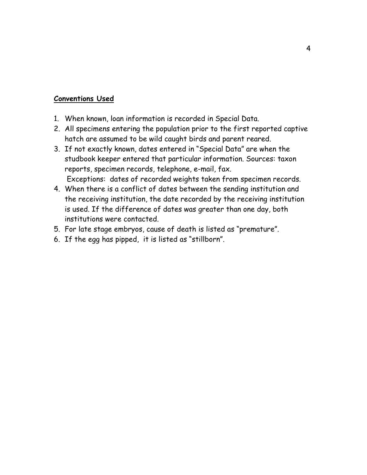## **Conventions Used**

- 1. When known, loan information is recorded in Special Data.
- 2. All specimens entering the population prior to the first reported captive hatch are assumed to be wild caught birds and parent reared.
- 3. If not exactly known, dates entered in "Special Data" are when the studbook keeper entered that particular information. Sources: taxon reports, specimen records, telephone, e-mail, fax. Exceptions: dates of recorded weights taken from specimen records.
- 4. When there is a conflict of dates between the sending institution and the receiving institution, the date recorded by the receiving institution is used. If the difference of dates was greater than one day, both institutions were contacted.
- 5. For late stage embryos, cause of death is listed as "premature".
- 6. If the egg has pipped, it is listed as "stillborn".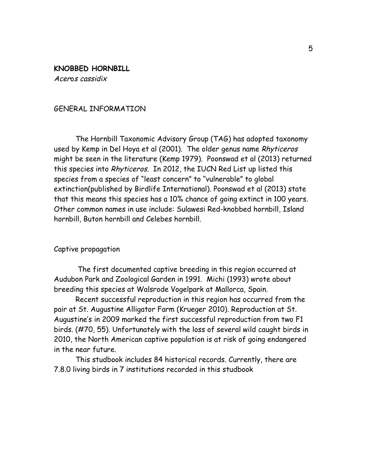**KNOBBED HORNBILL** Acero<sup>s</sup> cassidix

## GENERAL INFORMATION

The Hornbill Taxonomic Advisory Group (TAG) has adopted taxonomy used by Kemp in Del Hoya et al (2001). The older genus name Rhyticeros might be seen in the literature (Kemp 1979). Poonswad et al (2013) returned this species into Rhyticeros. In 2012, the IUCN Red List up listed this species from a species of "least concern" to "vulnerable" to global extinction(published by Birdlife International). Poonswad et al (2013) state that this means this species has a 10% chance of going extinct in 100 years. Other common names in use include: Sulawesi Red-knobbed hornbill, Island hornbill, Buton hornbill and Celebes hornbill.

## Captive propagation

The first documented captive breeding in this region occurred at Audubon Park and Zoological Garden in 1991. Michi (1993) wrote about breeding this species at Walsrode Vogelpark at Mallorca, Spain.

Recent successful reproduction in this region has occurred from the pair at St. Augustine Alligator Farm (Krueger 2010). Reproduction at St. Augustine's in 2009 marked the first successful reproduction from two F1 birds. (#70, 55). Unfortunately with the loss of several wild caught birds in 2010, the North American captive population is at risk of going endangered in the near future.

This studbook includes 84 historical records. Currently, there are 7.8.0 living birds in 7 institutions recorded in this studbook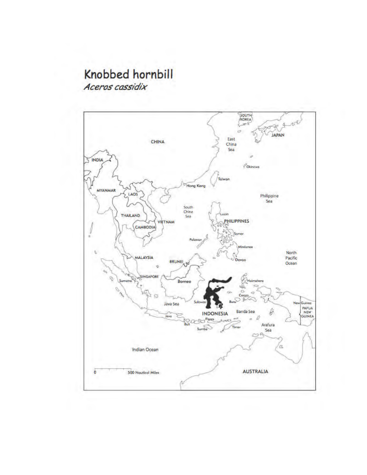# Knobbed hornbill Aceros cassidix

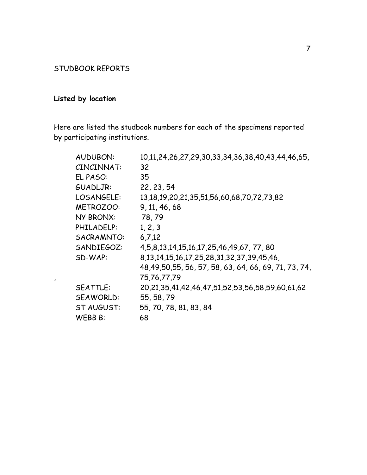## STUDBOOK REPORTS

# **Listed by location**

Here are listed the studbook numbers for each of the specimens reported by participating institutions.

| <b>AUDUBON:</b>  | 10,11,24,26,27,29,30,33,34,36,38,40,43,44,46,65,               |
|------------------|----------------------------------------------------------------|
| CINCINNAT:       | 32                                                             |
| EL PASO:         | 35                                                             |
| GUADLJR:         | 22, 23, 54                                                     |
| LOSANGELE:       | 13, 18, 19, 20, 21, 35, 51, 56, 60, 68, 70, 72, 73, 82         |
| <b>METROZOO:</b> | 9, 11, 46, 68                                                  |
| NY BRONX:        | 78,79                                                          |
| PHILADELP:       | 1, 2, 3                                                        |
| SACRAMNTO:       | 6.7.12                                                         |
| SANDIEGOZ:       | 4, 5, 8, 13, 14, 15, 16, 17, 25, 46, 49, 67, 77, 80            |
| SD-WAP:          | 8, 13, 14, 15, 16, 17, 25, 28, 31, 32, 37, 39, 45, 46,         |
|                  | 48,49,50,55, 56, 57, 58, 63, 64, 66, 69, 71, 73, 74,           |
|                  | 75,76,77,79                                                    |
| <b>SEATTLE:</b>  | 20, 21, 35, 41, 42, 46, 47, 51, 52, 53, 56, 58, 59, 60, 61, 62 |
| SEAWORLD:        | 55, 58, 79                                                     |
| ST AUGUST:       | 55, 70, 78, 81, 83, 84                                         |
| WEBB B:          | 68                                                             |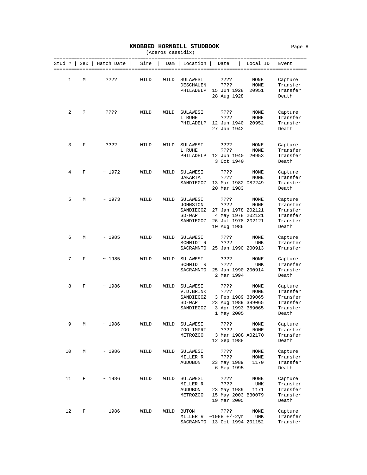|  | KNOBBED HORNBILL STUDBOOK |  |
|--|---------------------------|--|
|--|---------------------------|--|

|        |     |            |      |      | (Aceros cassidix)                                           |                                                                                              |                       |                                                                  |
|--------|-----|------------|------|------|-------------------------------------------------------------|----------------------------------------------------------------------------------------------|-----------------------|------------------------------------------------------------------|
| Stud # | Sex | Hatch Date | Sire | Dam  | Location                                                    | Date                                                                                         | Local ID              | Event                                                            |
| 1      | М   | ????       | WILD | WILD | SULAWESI<br>DESCHAUEN<br>PHILADELP                          | ????<br>????<br>15 Jun 1928<br>28 Aug 1928                                                   | NONE<br>NONE<br>20951 | Capture<br>Transfer<br>Transfer<br>Death                         |
| 2      | ?   | ????       | WILD | WILD | SULAWESI<br>L RUHE<br>PHILADELP                             | ????<br>????<br>12 Jun 1940<br>27 Jan 1942                                                   | NONE<br>NONE<br>20952 | Capture<br>Transfer<br>Transfer<br>Death                         |
| 3      | F   | ????       | WILD | WILD | SULAWESI<br>L RUHE<br>PHILADELP                             | ????<br>????<br>12 Jun 1940<br>3 Oct 1940                                                    | NONE<br>NONE<br>20953 | Capture<br>Transfer<br>Transfer<br>Death                         |
| 4      | F   | ~1972      | WILD | WILD | SULAWESI<br>JAKARTA<br>SANDIEGOZ                            | ????<br>????<br>13 Mar 1982 082249<br>20 Mar 1983                                            | NONE<br>NONE          | Capture<br>Transfer<br>Transfer<br>Death                         |
| 5      | М   | ~1973      | WILD | WILD | SULAWESI<br>JOHNSTON<br>SANDIEGOZ<br>$SD-WAP$<br>SANDIEGOZ  | ????<br>????<br>27 Jan 1978 202121<br>4 May 1978 202121<br>26 Jul 1978 202121<br>10 Aug 1986 | NONE<br>NONE          | Capture<br>Transfer<br>Transfer<br>Transfer<br>Transfer<br>Death |
| 6      | М   | ~1985      | WILD | WILD | SULAWESI<br>SCHMIDT R<br>SACRAMNTO                          | ????<br>????<br>25 Jan 1990 200913                                                           | NONE<br><b>UNK</b>    | Capture<br>Transfer<br>Transfer                                  |
| 7      | F   | ~1985      | WILD | WILD | SULAWESI<br>SCHMIDT R<br>SACRAMNTO                          | ????<br>????<br>25 Jan 1990 200914<br>2 Mar 1994                                             | NONE<br>UNK           | Capture<br>Transfer<br>Transfer<br>Death                         |
| 8      | F   | ~1986      | WILD | WILD | SULAWESI<br>V.D.BRINK<br>SANDIEGOZ<br>$SD-WAP$<br>SANDIEGOZ | ????<br>????<br>3 Feb 1989 389065<br>23 Aug 1989 389065<br>3 Apr 1993 389065<br>1 May 2005   | NONE<br>NONE          | Capture<br>Transfer<br>Transfer<br>Transfer<br>Transfer<br>Death |
| 9      | М   | ~1986      | WILD | WILD | SULAWESI<br>ZOO IMPRT<br>METROZOO                           | ????<br>????<br>3 Mar 1988 A02170<br>12 Sep 1988                                             | NONE<br><b>NONE</b>   | Capture<br>Transfer<br>Transfer<br>Death                         |
| 10     | М   | ~1986      | WILD | WILD | SULAWESI<br>MILLER R<br>AUDUBON                             | ????<br>????<br>23 May 1989<br>6 Sep 1995                                                    | NONE<br>NONE<br>1170  | Capture<br>Transfer<br>Transfer<br>Death                         |
| 11     | F   | ~1986      | WILD | WILD | SULAWESI<br>MILLER R<br><b>AUDUBON</b><br>METROZOO          | ????<br>????<br>23 May 1989<br>15 May 2003 B30079<br>19 Mar 2005                             | NONE<br>UNK<br>1171   | Capture<br>Transfer<br>Transfer<br>Transfer<br>Death             |
| 12     | F   | ~1986      | WILD | WILD | <b>BUTON</b>                                                | ????                                                                                         | NONE                  | Capture                                                          |

MILLER R ~1988 +/-2yr UNK Transfer SACRAMNTO 13 Oct 1994 201152 Transfer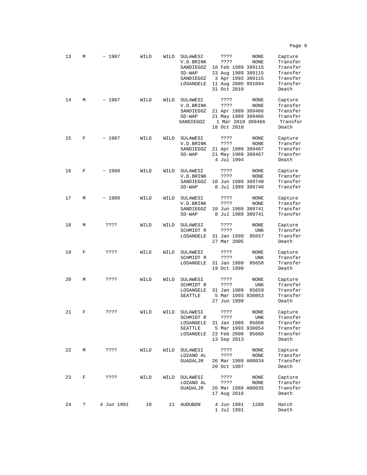| 13 | М | ~1987      | WILD | WILD | SULAWESI<br>V.D.BRINK<br>SANDIEGOZ<br>$SD-WAP$<br>SANDIEGOZ<br>LOSANGELE | ????<br>????<br>18 Feb 1989 389115<br>23 Aug 1989 389115<br>3 Apr 1993 389115<br>11 Aug 2005 991094<br>31 Oct 2010 | NONE<br>NONE                  | Capture<br>Transfer<br>Transfer<br>Transfer<br>Transfer<br>Transfer<br>Death |
|----|---|------------|------|------|--------------------------------------------------------------------------|--------------------------------------------------------------------------------------------------------------------|-------------------------------|------------------------------------------------------------------------------|
| 14 | М | ~1987      | WILD | WILD | SULAWESI<br>V.D.BRINK<br>SANDIEGOZ<br>$SD-WAP$<br>SANDIEGOZ              | ????<br>????<br>21 Apr 1989 389466<br>21 May 1989 389466<br>1 Mar 2010 389466<br>18 Oct 2010                       | NONE<br>NONE                  | Capture<br>Transfer<br>Transfer<br>Transfer<br>Transfer<br>Death             |
| 15 | F | ~1987      | WILD | WILD | SULAWESI<br>V.D.BRINK<br>SANDIEGOZ<br>$SD-WAP$                           | ????<br>????<br>21 Apr 1989 389467<br>21 May 1989 389467<br>4 Jul 1994                                             | NONE<br>NONE                  | Capture<br>Transfer<br>Transfer<br>Transfer<br>Death                         |
| 16 | F | ~1988      | WILD | WILD | SULAWESI<br>V.D.BRINK<br>SANDIEGOZ<br>$SD-WAP$                           | ????<br>????<br>10 Jun 1989 389740<br>8 Jul 1989 389740                                                            | NONE<br>NONE                  | Capture<br>Transfer<br>Transfer<br>Transfer                                  |
| 17 | М | ~1988      | WILD | WILD | SULAWESI<br>V.D.BRINK<br>SANDIEGOZ<br>$SD-WAP$                           | ????<br>????<br>10 Jun 1989 389741<br>8 Jul 1989 389741                                                            | NONE<br>NONE                  | Capture<br>Transfer<br>Transfer<br>Transfer                                  |
| 18 | М | ????       | WILD | WILD | SULAWESI<br>SCHMIDT R<br>LOSANGELE                                       | ????<br>????<br>31 Jan 1989<br>27 Mar 2005                                                                         | NONE<br>UNK<br>95657          | Capture<br>Transfer<br>Transfer<br>Death                                     |
| 19 | F | ????       | WILD | WILD | SULAWESI<br>SCHMIDT R<br>LOSANGELE                                       | ????<br>????<br>31 Jan 1989<br>19 Oct 1999                                                                         | NONE<br><b>UNK</b><br>95658   | Capture<br>Transfer<br>Transfer<br>Death                                     |
| 20 | М | ????       | WILD | WILD | SULAWESI<br>SCHMIDT R<br>LOSANGELE<br>SEATTLE                            | ????<br>????<br>31 Jan 1989<br>5 Mar 1993 930053<br>27 Jun 1999                                                    | NONE<br>UNK<br>95659          | Capture<br>Transfer<br>Transfer<br>Transfer<br>Death                         |
| 21 | F | ????       | WILD | WILD | SULAWESI<br>SCHMIDT R<br>LOSANGELE<br>SEATTLE<br>LOSANGELE               | ????<br>????<br>31 Jan 1989<br>5 Mar 1993 930054<br>23 Feb 2000<br>13 Sep 2013                                     | NONE<br>UNK<br>95660<br>95660 | Capture<br>Transfer<br>Transfer<br>Transfer<br>Transfer<br>Death             |
| 22 | М | ????       | WILD | WILD | SULAWESI<br>LOZANO AL<br>GUADALJR                                        | ????<br>????<br>26 Mar 1989 A00034<br>20 Oct 1997                                                                  | NONE<br><b>NONE</b>           | Capture<br>Transfer<br>Transfer<br>Death                                     |
| 23 | F | ????       | WILD | WILD | SULAWESI<br>LOZANO AL<br>GUADALJR                                        | ????<br>????<br>26 Mar 1989 A00035<br>17 Aug 2010                                                                  | NONE<br>NONE                  | Capture<br>Transfer<br>Transfer<br>Death                                     |
| 24 | ? | 4 Jun 1991 | 10   | 11   | <b>AUDUBON</b>                                                           | 4 Jun 1991<br>1 Jul 1991                                                                                           | 1280                          | Hatch<br>Death                                                               |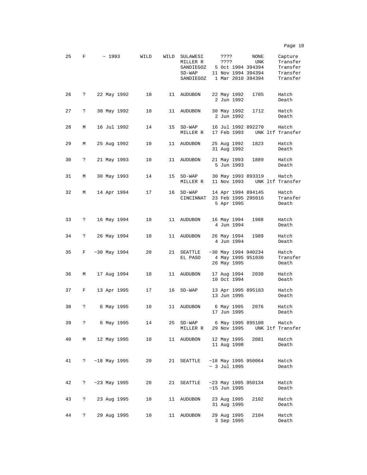| 25 | F | ~1993          | WILD | WILD | SULAWESI<br>MILLER R<br>SANDIEGOZ<br>$SD-WAP$<br>SANDIEGOZ | ????<br>???? |                            | NONE<br>UNK<br>5 Oct 1994 394394<br>11 Nov 1994 394394<br>1 Mar 2010 394394 | Capture<br>Transfer<br>Transfer<br>Transfer<br>Transfer |
|----|---|----------------|------|------|------------------------------------------------------------|--------------|----------------------------|-----------------------------------------------------------------------------|---------------------------------------------------------|
| 26 | ? | 22 May 1992    | 10   | 11   | <b>AUDUBON</b>                                             |              | 22 May 1992<br>2 Jun 1992  | 1705                                                                        | Hatch<br>Death                                          |
| 27 | ? | 30 May 1992    | 10   | 11   | <b>AUDUBON</b>                                             |              | 30 May 1992<br>2 Jun 1992  | 1712                                                                        | Hatch<br>Death                                          |
| 28 | М | 16 Jul 1992    | 14   | 15   | $SD-WAP$<br>MILLER R                                       |              | 17 Feb 1993                | 16 Jul 1992 892270                                                          | Hatch<br>UNK ltf Transfer                               |
| 29 | М | 25 Aug 1992    | 10   | 11   | <b>AUDUBON</b>                                             |              | 25 Aug 1992<br>31 Aug 1992 | 1823                                                                        | Hatch<br>Death                                          |
| 30 | ? | 21 May 1993    | 10   | 11   | <b>AUDUBON</b>                                             |              | 21 May 1993<br>5 Jun 1993  | 1889                                                                        | Hatch<br>Death                                          |
| 31 | М | 30 May 1993    | 14   | 15   | $SD-WAP$<br>MILLER R                                       |              | 11 Nov 1993                | 30 May 1993 893319                                                          | Hatch<br>UNK ltf Transfer                               |
| 32 | M | 14 Apr 1994    | 17   | 16   | $SD-WAP$<br>CINCINNAT                                      |              | 5 Apr 1995                 | 14 Apr 1994 894145<br>23 Feb 1995 295016                                    | Hatch<br>Transfer<br>Death                              |
| 33 | ? | 16 May 1994    | 10   | 11   | AUDUBON                                                    |              | 16 May 1994<br>4 Jun 1994  | 1988                                                                        | Hatch<br>Death                                          |
| 34 | ? | 26 May 1994    | 10   | 11   | <b>AUDUBON</b>                                             |              | 26 May 1994<br>4 Jun 1994  | 1989                                                                        | Hatch<br>Death                                          |
| 35 | F | ~1994          | 20   | 21   | SEATTLE<br>EL PASO                                         |              | 26 May 1995                | $~1994$ 940234<br>4 May 1995 951036                                         | Hatch<br>Transfer<br>Death                              |
| 36 | М | 17 Aug 1994    | 10   | 11   | <b>AUDUBON</b>                                             |              | 17 Aug 1994<br>10 Oct 1994 | 2030                                                                        | Hatch<br>Death                                          |
| 37 | F | 13 Apr 1995    | 17   | 16   | $SD-WAP$                                                   |              | 13 Jun 1995                | 13 Apr 1995 895183                                                          | Hatch<br>Death                                          |
| 38 | ? | 6 May 1995     | 10   | 11   | AUDUBON                                                    |              | 6 May 1995<br>17 Jun 1995  | 2076                                                                        | Hatch<br>Death                                          |
| 39 | ? | 6 May 1995     | 14   | 25   | $SD-WAP$<br>MILLER R                                       |              | 29 Nov 1995                | 6 May 1995 895108                                                           | Hatch<br>UNK ltf Transfer                               |
| 40 | М | 12 May 1995    | 10   | 11   | AUDUBON                                                    |              | 12 May 1995<br>11 Aug 1998 | 2081                                                                        | Hatch<br>Death                                          |
| 41 | ? | $~18$ May 1995 | 20   | 21   | SEATTLE                                                    |              | $\sim$ 3 Jul 1995          | $~18$ May 1995 950064                                                       | Hatch<br>Death                                          |
| 42 | ? | $~23$ May 1995 | 20   | 21   | SEATTLE                                                    |              | $~15$ Jun 1995             | $~1995$ 950134                                                              | Hatch<br>Death                                          |
| 43 | ? | 23 Aug 1995    | 10   | 11   | <b>AUDUBON</b>                                             |              | 23 Aug 1995<br>31 Aug 1995 | 2102                                                                        | Hatch<br>Death                                          |
| 44 | ? | 29 Aug 1995    | 10   | 11   | <b>AUDUBON</b>                                             |              | 29 Aug 1995<br>3 Sep 1995  | 2104                                                                        | Hatch<br>Death                                          |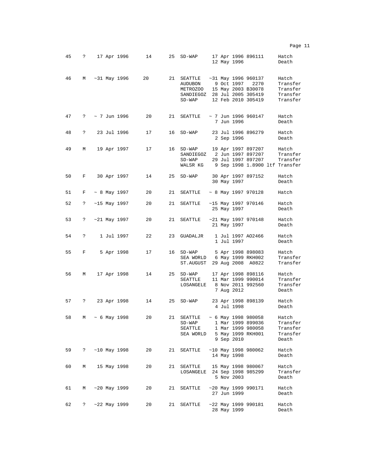| 45 | ? | 17 Apr 1996         |            | 14 | 25 | $SD-WAP$                                                                                      |  | 12 May 1996 | 17 Apr 1996 896111                                            | Hatch<br>Death                                                  |
|----|---|---------------------|------------|----|----|-----------------------------------------------------------------------------------------------|--|-------------|---------------------------------------------------------------|-----------------------------------------------------------------|
| 46 | М | $~1996$ May 1996    |            | 20 | 21 | SEATTLE<br>AUDUBON<br>METROZOO 15 May 2003 B30078<br>SANDIEGOZ 28 Jul 2005 305419<br>$SD-WAP$ |  | 9 Oct 1997  | $~1996$ 960137<br>2270<br>12 Feb 2010 305419                  | Hatch<br>Transfer<br>Transfer<br>Transfer<br>Transfer           |
| 47 | ? | $\sim$ 7 Jun 1996   |            | 20 | 21 | SEATTLE                                                                                       |  | 7 Jun 1996  | $\sim$ 7 Jun 1996 960147                                      | Hatch<br>Death                                                  |
| 48 | ? | 23 Jul 1996         |            | 17 | 16 | $SD-WAP$                                                                                      |  | 2 Sep 1996  | 23 Jul 1996 896279                                            | Hatch<br>Death                                                  |
| 49 | М | 19 Apr 1997         |            | 17 | 16 | SD-WAP<br>SANDIEGOZ<br>$SD-WAP$<br>WALSR KG                                                   |  |             | 19 Apr 1997 897207<br>2 Jun 1997 897207<br>29 Jul 1997 897207 | Hatch<br>Transfer<br>Transfer<br>9 Sep 1998 1.8900 ltf Transfer |
| 50 | F | 30 Apr 1997         |            | 14 | 25 | $SD-WAP$                                                                                      |  | 30 May 1997 | 30 Apr 1997 897152                                            | Hatch<br>Death                                                  |
| 51 | F | $\sim$ 8 May 1997   |            | 20 | 21 | SEATTLE                                                                                       |  |             | $\sim$ 8 May 1997 970128                                      | Hatch                                                           |
| 52 | ? | $~15$ May 1997      |            | 20 | 21 | <b>SEATTLE</b>                                                                                |  | 25 May 1997 | $~15$ May 1997 970146                                         | Hatch<br>Death                                                  |
| 53 | ? | $~21$ May 1997      |            | 20 | 21 | SEATTLE                                                                                       |  | 21 May 1997 | $~21$ May 1997 970148                                         | Hatch<br>Death                                                  |
| 54 | ? |                     | 1 Jul 1997 | 22 | 23 | GUADALJR                                                                                      |  | 1 Jul 1997  | 1 Jul 1997 A02466                                             | Hatch<br>Death                                                  |
| 55 | F |                     | 5 Apr 1998 | 17 | 16 | $SD-WAP$<br>SEA WORLD 6 May 1999 RKH002<br>ST.AUGUST                                          |  |             | 5 Apr 1998 898083<br>29 Aug 2008 A0822                        | Hatch<br>Transfer<br>Transfer                                   |
| 56 | М | 17 Apr 1998         |            | 14 | 25 | $SD-WAP$<br>SEATTLE<br>LOSANGELE                                                              |  | 7 Aug 2012  | 17 Apr 1998 898116<br>11 Mar 1999 990014<br>8 Nov 2011 992560 | Hatch<br>Transfer<br>Transfer<br>Death                          |
| 57 | ? | 23 Apr 1998         |            | 14 | 25 | $SD-WAP$                                                                                      |  | 4 Jul 1998  | 23 Apr 1998 898139                                            | Hatch<br>Death                                                  |
| 58 |   | $M \sim 6$ May 1998 |            | 20 | 21 | SEATTLE ~ 6 May 1998 980058<br>SD-WAP<br>SEATTLE<br>SEA WORLD                                 |  | 9 Sep 2010  | 1 Mar 1999 899036<br>1 Mar 1999 980058<br>5 May 1999 RKH001   | Hatch<br>Transfer<br>Transfer<br>Transfer<br>Death              |
| 59 | ? | ~10 May 1998        |            | 20 | 21 | SEATTLE                                                                                       |  | 14 May 1998 | $~10$ May 1998 980062                                         | Hatch<br>Death                                                  |
| 60 | М | 15 May 1998         |            | 20 | 21 | SEATTLE 15 May 1998 980067<br>LOSANGELE 24 Sep 1998 985299                                    |  | 5 Nov 2003  |                                                               | Hatch<br>Transfer<br>Death                                      |
| 61 | М | $~1999$ May 1999    |            | 20 | 21 | SEATTLE                                                                                       |  | 27 Jun 1999 | $~1999$ 990171                                                | Hatch<br>Death                                                  |
| 62 | ? | ~22 May 1999        |            | 20 | 21 | SEATTLE                                                                                       |  | 28 May 1999 | $~22$ May 1999 990181                                         | Hatch<br>Death                                                  |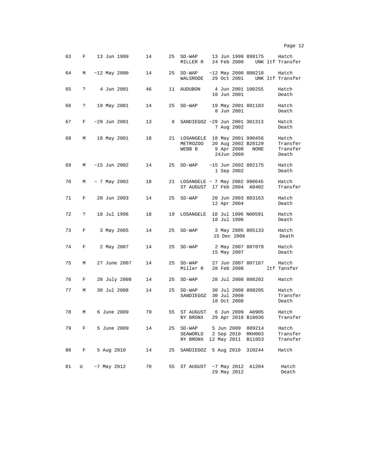| 63 | F            | 13 Jun 1999       | 14 | 25 | $SD-WAP$<br>MILLER R                                  | 24 Feb 2000                                      | 13 Jun 1999 899175         | Hatch<br>UNK ltf Transfer              |
|----|--------------|-------------------|----|----|-------------------------------------------------------|--------------------------------------------------|----------------------------|----------------------------------------|
| 64 | М            | $~12$ May 2000    | 14 | 25 | $SD-WAP$<br>WALSRODE                                  | $~12$ May 2000 800218<br>29 Oct 2001             |                            | Hatch<br>UNK ltf Transfer              |
| 65 | $\mathbf{P}$ | 4 Jun 2001        | 46 | 11 | <b>AUDUBON</b>                                        | 4 Jun 2001 100255<br>10 Jun 2001                 |                            | Hatch<br>Death                         |
| 66 | ?            | 19 May 2001       | 14 | 25 | $SD-WAP$                                              | 19 May 2001 801183<br>8 Jun 2001                 |                            | Hatch<br>Death                         |
| 67 | F            | $~129$ Jun 2001   | 13 | 8  | SANDIEGOZ ~29 Jun 2001 301313                         | 7 Aug 2002                                       |                            | Hatch<br>Death                         |
| 68 | М            | 18 May 2001       | 18 |    | 21 LOSANGELE 18 May 2001 990456<br>METROZOO<br>WEBB B | 9 Apr 2008<br>24Jun 2009                         | 20 Aug 2002 B20129<br>NONE | Hatch<br>Transfer<br>Transfer<br>Death |
| 69 | М            | $~15$ Jun 2002    | 14 | 25 | $SD-WAP$                                              | $~15$ Jun 2002 802175<br>1 Sep 2002              |                            | Hatch<br>Death                         |
| 70 | М            | $\sim$ 7 May 2002 | 18 | 21 | LOSANGELE ~ ~ 7 May 2002 990645<br>ST AUGUST          |                                                  | 17 Feb 2004 A0402          | Hatch<br>Transfer                      |
| 71 | F            | 20 Jun 2003       | 14 | 25 | $SD-WAP$                                              | 20 Jun 2003 803163<br>12 Apr 2004                |                            | Hatch<br>Death                         |
| 72 | $\mathbf{P}$ | 18 Jul 1996       | 18 | 19 | LOSANGELE                                             | 18 Jul 1996 N00591<br>18 Jul 1996                |                            | Hatch<br>Death                         |
| 73 | F            | 3 May 2005        | 14 | 25 | $SD-WAP$                                              | 15 Dec 2006                                      | 3 May 2005 805133          | Hatch<br>Death                         |
| 74 | F            | 2 May 2007        | 14 | 25 | $SD-WAP$                                              | 2 May 2007 807078<br>15 May 2007                 |                            | Hatch<br>Death                         |
| 75 | М            | 27 June 2007      | 14 | 25 | $SD-WAP$<br>Miller R                                  | 28 Feb 2008                                      | 27 Jun 2007 807167         | Hatch<br>ltf Tansfer                   |
| 76 | F            | 28 July 2008      | 14 | 25 | $SD-WAP$                                              |                                                  | 28 Jul 2008 808202         | Hatch                                  |
| 77 | М            | 30 Jul 2008       | 14 | 25 | $SD-WAP$<br>SANDIEGOZ                                 | 30 Jul 2008 808205<br>30 Jul 2008<br>18 Oct 2008 |                            | Hatch<br>Transfer<br>Death             |
| 78 | М            | 6 June 2009       | 70 | 55 | ST AUGUST<br>NY BRONX                                 | 29 Apr 2010 B10036                               | 6 Jun 2009 A0905           | Hatch<br>Transfer                      |
| 79 | F            | 5 June 2009       | 14 | 25 | $SD-WAP$<br>SEAWORLD<br>NY BRONX                      | 5 Jun 2009<br>2 Sep 2010<br>12 May 2011          | 809214<br>RKH003<br>B11053 | Hatch<br>Transfer<br>Transfer          |
| 80 | F            | 5 Aug 2010        | 14 | 25 | SANDIEGOZ                                             | 5 Aug 2010                                       | 310244                     | Hatch                                  |
| 81 | U            | $~1$ May 2012     | 70 | 55 | ST AUGUST                                             | $~1$ May 2012<br>29 May 2012                     | A1204                      | Hatch<br>Death                         |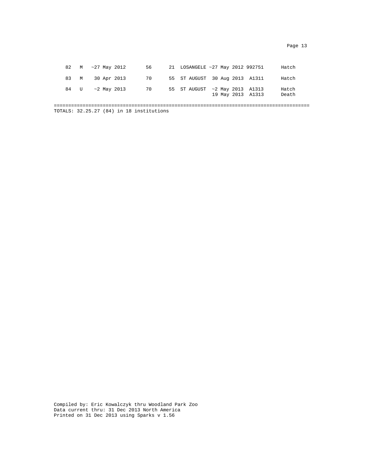|      |  | 82 M ~27 May 2012 | 56 - | 21 LOSANGELE ~27 May 2012 992751 |  |                   | Hatch          |
|------|--|-------------------|------|----------------------------------|--|-------------------|----------------|
| 83 M |  | 30 Apr 2013       | 70   | 55 ST AUGUST 30 Aug 2013 A1311   |  |                   | Hatch          |
| 84 U |  | $\sim$ 2 May 2013 | 70   | 55 ST AUGUST ~2 May 2013 A1313   |  | 19 May 2013 A1313 | Hatch<br>Death |

TOTALS: 32.25.27 (84) in 18 institutions

Compiled by: Eric Kowalczyk thru Woodland Park Zoo Data current thru: 31 Dec 2013 North America Printed on 31 Dec 2013 using Sparks v 1.56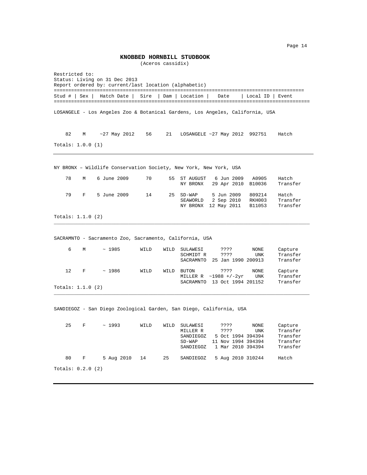**KNOBBED HORNBILL STUDBOOK**

(Aceros cassidix)

Restricted to: Status: Living on 31 Dec 2013 Report ordered by: current/last location (alphabetic) ======================================================================================= Stud # | Sex | Hatch Date | Sire | Dam | Location | Date | Local ID | Event ========================================================================================= LOSANGELE - Los Angeles Zoo & Botanical Gardens, Los Angeles, California, USA 82 M ~27 May 2012 56 21 LOSANGELE ~27 May 2012 992751 Hatch Totals: 1.0.0 (1) NY BRONX – Wildlife Conservation Society, New York, New York, USA 78 M 6 June 2009 70 55 ST AUGUST 6 Jun 2009 A0905 Hatch NY BRONX 29 Apr 2010 B10036 Transfer 79 F 5 June 2009 14 25 SD-WAP 5 Jun 2009 809214 Hatch SEAWORLD 2 Sep 2010 RKH003 Transfer NY BRONX 12 May 2011 B11053 Transfer Totals: 1.1.0 (2) \_\_\_\_\_\_\_\_\_\_\_\_\_\_\_\_\_\_\_\_\_\_\_\_\_\_\_\_\_\_\_\_\_\_\_\_\_\_\_\_\_\_\_\_\_\_\_\_\_\_\_\_\_\_\_\_\_\_\_\_\_\_\_\_\_\_\_\_\_\_\_\_\_\_\_\_\_\_\_\_\_\_\_\_\_\_\_\_\_ SACRAMNTO - Sacramento Zoo, Sacramento, California, USA 6 M ~ 1985 WILD WILD SULAWESI ???? NONE Capture SCHMIDT R ???? UNK Transfer SACRAMNTO 25 Jan 1990 200913 Transfer 12 F ~ 1986 WILD WILD BUTON ???? NONE Capture MILLER R ~1988 +/-2yr UNK Transfer SACRAMNTO 13 Oct 1994 201152 Transfer Totals: 1.1.0 (2) \_\_\_\_\_\_\_\_\_\_\_\_\_\_\_\_\_\_\_\_\_\_\_\_\_\_\_\_\_\_\_\_\_\_\_\_\_\_\_\_\_\_\_\_\_\_\_\_\_\_\_\_\_\_\_\_\_\_\_\_\_\_\_\_\_\_\_\_\_\_\_\_\_\_\_\_\_\_\_\_\_\_\_\_\_\_\_\_\_ SANDIEGOZ - San Diego Zoological Garden, San Diego, California, USA 25 F ~ 1993 WILD WILD SULAWESI ???? NONE Capture SULAWESI ???? NONE Capture<br>MILLER R ???? UNK Transfer<br>SANDIEGOZ 5 Oct 1994 394394 Transfer SANDIEGOZ 5 Oct 1994 394394 Transfer SD-WAP 11 Nov 1994 394394 Transfer SANDIEGOZ 1 Mar 2010 394394 Transfer 80 F 5 Aug 2010 14 25 SANDIEGOZ 5 Aug 2010 310244 Hatch Totals: 0.2.0 (2)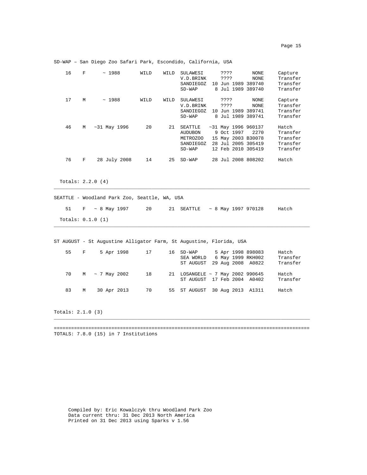| 16 | F | ~1988           | WILD | WILD | SULAWESI<br>V.D. BRINK<br>SANDIEGOZ<br>$SD-WAP$                | 10      | ????<br>???? | Jun 1989             | NONE<br><b>NONE</b><br>389740<br>8 Jul 1989 389740                                            | Capture<br>Transfer<br>Transfer<br>Transfer           |
|----|---|-----------------|------|------|----------------------------------------------------------------|---------|--------------|----------------------|-----------------------------------------------------------------------------------------------|-------------------------------------------------------|
| 17 | М | ~1988           | WILD | WILD | SULAWESI<br>V.D. BRINK<br>SANDIEGOZ<br>$SD-WAP$                | 10<br>8 | ????<br>???? | Jun 1989<br>Jul 1989 | NONE<br><b>NONE</b><br>389741<br>389741                                                       | Capture<br>Transfer<br>Transfer<br>Transfer           |
| 46 | M | ~1996           | 20   | 21   | SEATTLE<br><b>AUDUBON</b><br>METROZOO<br>SANDIEGOZ<br>$SD-WAP$ | 28      |              | 9 Oct 1997           | $~131$ May 1996 960137<br>2270<br>15 May 2003 B30078<br>Jul 2005 305419<br>12 Feb 2010 305419 | Hatch<br>Transfer<br>Transfer<br>Transfer<br>Transfer |
| 76 | F | July 2008<br>28 | 14   | 25   | $SD-WAP$                                                       |         |              |                      | 28 Jul 2008 808202                                                                            | Hatch                                                 |

SD-WAP – San Diego Zoo Safari Park, Escondido, California, USA

Totals: 2.2.0 (4)

SEATTLE - Woodland Park Zoo, Seattle, WA, USA

51 F ~ 8 May 1997 20 21 SEATTLE ~ 8 May 1997 970128 Hatch Totals: 0.1.0 (1)

\_\_\_\_\_\_\_\_\_\_\_\_\_\_\_\_\_\_\_\_\_\_\_\_\_\_\_\_\_\_\_\_\_\_\_\_\_\_\_\_\_\_\_\_\_\_\_\_\_\_\_\_\_\_\_\_\_\_\_\_\_\_\_\_\_\_\_\_\_\_\_\_\_\_\_\_\_\_\_\_\_\_\_\_\_\_\_\_\_

\_\_\_\_\_\_\_\_\_\_\_\_\_\_\_\_\_\_\_\_\_\_\_\_\_\_\_\_\_\_\_\_\_\_\_\_\_\_\_\_\_\_\_\_\_\_\_\_\_\_\_\_\_\_\_\_\_\_\_\_\_\_\_\_\_\_\_\_\_\_\_\_\_\_\_\_\_\_\_\_\_\_\_\_\_\_\_\_\_

ST AUGUST - St Augustine Alligator Farm, St Augustine, Florida, USA

| 55 | $F$ and $F$ | 5 Apr 1998 17 |      | 16 SD-WAP<br>SEA WORLD<br>ST AUGUST 29 Aug 2008 A0822           |  | 5 Apr 1998 898083<br>6 May 1999 RKH002 | Hatch<br>Transfer<br>Transfer |
|----|-------------|---------------|------|-----------------------------------------------------------------|--|----------------------------------------|-------------------------------|
| 70 | M           | ~ 7 May 2002  | 18   | 21 LOSANGELE ~ 7 May 2002 990645<br>ST AUGUST 17 Feb 2004 A0402 |  |                                        | Hatch<br>Transfer             |
| 83 | M           | 30 Apr 2013   | - 70 | 55 ST AUGUST 30 Aug 2013 A1311                                  |  |                                        | Hatch                         |

Totals: 2.1.0 (3)

========================================================================================= TOTALS: 7.8.0 (15) in 7 Institutions

\_\_\_\_\_\_\_\_\_\_\_\_\_\_\_\_\_\_\_\_\_\_\_\_\_\_\_\_\_\_\_\_\_\_\_\_\_\_\_\_\_\_\_\_\_\_\_\_\_\_\_\_\_\_\_\_\_\_\_\_\_\_\_\_\_\_\_\_\_\_\_\_\_\_\_\_\_\_\_\_\_\_\_\_\_\_\_\_\_

Compiled by: Eric Kowalczyk thru Woodland Park Zoo Data current thru: 31 Dec 2013 North America Printed on 31 Dec 2013 using Sparks v 1.56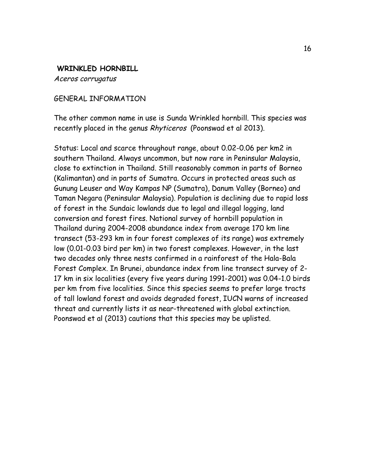## **WRINKLED HORNBILL**

Aceros corrugatus

## GENERAL INFORMATION

The other common name in use is Sunda Wrinkled hornbill. This species was recently placed in the genus Rhyticeros (Poonswad et al 2013).

Status: Local and scarce throughout range, about 0.02-0.06 per km2 in southern Thailand. Always uncommon, but now rare in Peninsular Malaysia, close to extinction in Thailand. Still reasonably common in parts of Borneo (Kalimantan) and in parts of Sumatra. Occurs in protected areas such as Gunung Leuser and Way Kampas NP (Sumatra), Danum Valley (Borneo) and Taman Negara (Peninsular Malaysia). Population is declining due to rapid loss of forest in the Sundaic lowlands due to legal and illegal logging, land conversion and forest fires. National survey of hornbill population in Thailand during 2004-2008 abundance index from average 170 km line transect (53-293 km in four forest complexes of its range) was extremely low (0.01-0.03 bird per km) in two forest complexes. However, in the last two decades only three nests confirmed in a rainforest of the Hala-Bala Forest Complex. In Brunei, abundance index from line transect survey of 2- 17 km in six localities (every five years during 1991-2001) was 0.04-1.0 birds per km from five localities. Since this species seems to prefer large tracts of tall lowland forest and avoids degraded forest, IUCN warns of increased threat and currently lists it as near-threatened with global extinction. Poonswad et al (2013) cautions that this species may be uplisted.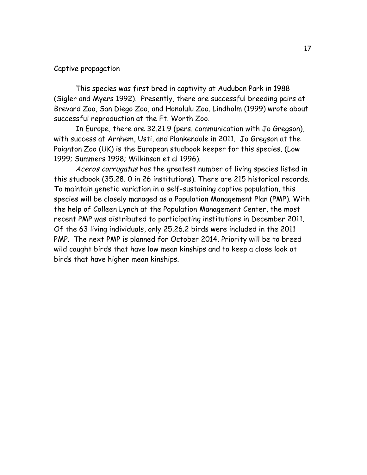#### Captive propagation

This species was first bred in captivity at Audubon Park in 1988 (Sigler and Myers 1992). Presently, there are successful breeding pairs at Brevard Zoo, San Diego Zoo, and Honolulu Zoo. Lindholm (1999) wrote about successful reproduction at the Ft. Worth Zoo.

In Europe, there are 32.21.9 (pers. communication with Jo Gregson), with success at Arnhem, Usti, and Plankendale in 2011. Jo Gregson at the Paignton Zoo (UK) is the European studbook keeper for this species. (Low 1999; Summers 1998; Wilkinson et al 1996).

Aceros corrugatus has the greatest number of living species listed in this studbook (35.28. 0 in 26 institutions). There are 215 historical records. To maintain genetic variation in a self-sustaining captive population, this species will be closely managed as a Population Management Plan (PMP). With the help of Colleen Lynch at the Population Management Center, the most recent PMP was distributed to participating institutions in December 2011. Of the 63 living individuals, only 25.26.2 birds were included in the 2011 PMP. The next PMP is planned for October 2014. Priority will be to breed wild caught birds that have low mean kinships and to keep a close look at birds that have higher mean kinships.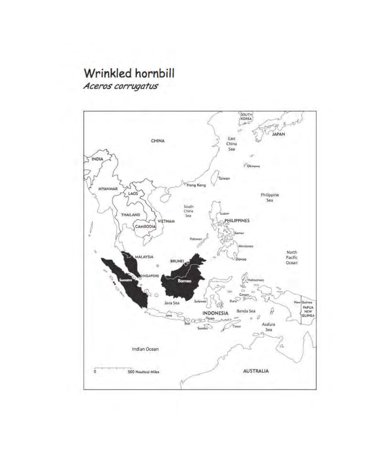# Wrinkled hornbill

Aceros corrugatus

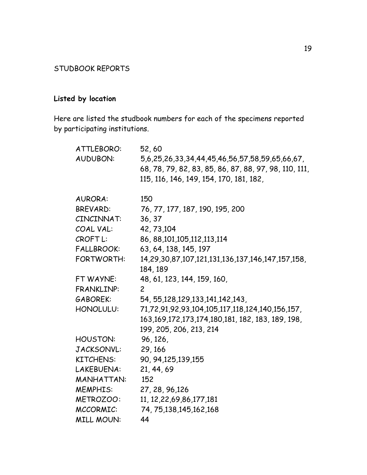## STUDBOOK REPORTS

# **Listed by location**

Here are listed the studbook numbers for each of the specimens reported by participating institutions.

| ATTLEBORO:          | 52,60                                                                                                   |
|---------------------|---------------------------------------------------------------------------------------------------------|
| <b>AUDUBON:</b>     | 5,6,25,26,33,34,44,45,46,56,57,58,59,65,66,67,<br>68, 78, 79, 82, 83, 85, 86, 87, 88, 97, 98, 110, 111, |
|                     | 115, 116, 146, 149, 154, 170, 181, 182,                                                                 |
| <b>AURORA:</b>      | 150                                                                                                     |
| <b>BREVARD:</b>     | 76, 77, 177, 187, 190, 195, 200                                                                         |
| CINCINNAT:          | 36, 37                                                                                                  |
| COAL VAL:           | 42, 73, 104                                                                                             |
| CROFT <sub>L:</sub> | 86, 88, 101, 105, 112, 113, 114                                                                         |
| <b>FALLBROOK:</b>   | 63, 64, 138, 145, 197                                                                                   |
| FORTWORTH:          | 14, 29, 30, 87, 107, 121, 131, 136, 137, 146, 147, 157, 158,                                            |
|                     | 184, 189                                                                                                |
| FT WAYNE:           | 48, 61, 123, 144, 159, 160,                                                                             |
| FRANKLINP:          | $\overline{c}$                                                                                          |
| GABOREK:            | 54, 55, 128, 129, 133, 141, 142, 143,                                                                   |
| HONOLULU:           | 71,72,91,92,93,104,105,117,118,124,140,156,157,                                                         |
|                     | 163, 169, 172, 173, 174, 180, 181, 182, 183, 189, 198,                                                  |
|                     | 199, 205, 206, 213, 214                                                                                 |
| HOUSTON:            | 96, 126,                                                                                                |
| JACKSONVL:          | 29, 166                                                                                                 |
| <b>KITCHENS:</b>    | 90, 94, 125, 139, 155                                                                                   |
| LAKEBUENA:          | 21, 44, 69                                                                                              |
| <b>MANHATTAN:</b>   | 152                                                                                                     |
| <b>MEMPHIS:</b>     | 27, 28, 96, 126                                                                                         |
| METROZOO:           | 11, 12, 22, 69, 86, 177, 181                                                                            |
| MCCORMIC:           | 74, 75, 138, 145, 162, 168                                                                              |
| <b>MILL MOUN:</b>   | 44                                                                                                      |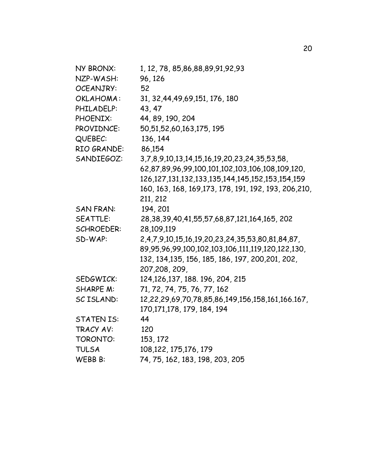| 1, 12, 78, 85, 86, 88, 89, 91, 92, 93                        |
|--------------------------------------------------------------|
| 96, 126                                                      |
| 52                                                           |
| 31, 32, 44, 49, 69, 151, 176, 180                            |
| 43, 47                                                       |
| 44, 89, 190, 204                                             |
| 50,51,52,60,163,175, 195                                     |
| 136, 144                                                     |
| 86,154                                                       |
| 3,7,8,9,10,13,14,15,16,19,20,23,24,35,53,58,                 |
| 62,87,89,96,99,100,101,102,103,106,108,109,120,              |
| 126, 127, 131, 132, 133, 135, 144, 145, 152, 153, 154, 159   |
| 160, 163, 168, 169, 173, 178, 191, 192, 193, 206, 210,       |
| 211, 212                                                     |
| 194, 201                                                     |
| 28, 38, 39, 40, 41, 55, 57, 68, 87, 121, 164, 165, 202       |
| 28,109,119                                                   |
| 2,4,7,9,10,15,16,19,20,23,24,35,53,80,81,84,87,              |
| 89, 95, 96, 99, 100, 102, 103, 106, 111, 119, 120, 122, 130, |
| 132, 134, 135, 156, 185, 186, 197, 200, 201, 202,            |
| 207,208, 209,                                                |
| 124, 126, 137, 188, 196, 204, 215                            |
| 71, 72, 74, 75, 76, 77, 162                                  |
| 12,22,29,69,70,78,85,86,149,156,158,161,166.167,             |
| 170, 171, 178, 179, 184, 194                                 |
| 44                                                           |
| 120                                                          |
| 153, 172                                                     |
| 108, 122, 175, 176, 179                                      |
| 74, 75, 162, 183, 198, 203, 205                              |
|                                                              |

20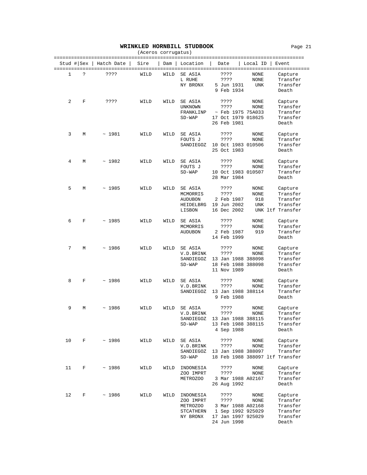#### **WRINKLED HORNBILL STUDBOOK** Page 21

| (Aceros corrugatus)<br>================= |            |            |      |      |                                                              |                                                                                             |                            |                                                                    |  |
|------------------------------------------|------------|------------|------|------|--------------------------------------------------------------|---------------------------------------------------------------------------------------------|----------------------------|--------------------------------------------------------------------|--|
|                                          | Stud # Sex | Hatch Date | Sire | Dam  | Location                                                     | Date                                                                                        | Local ID                   | Event                                                              |  |
| 1                                        | Ċ.         | ????       | WILD | WILD | SE ASIA<br>L RUHE<br>NY BRONX                                | ????<br>????<br>5 Jun 1931<br>9 Feb 1934                                                    | NONE<br>NONE<br>UNK        | Capture<br>Transfer<br>Transfer<br>Death                           |  |
| 2                                        | F          | ????       | WILD | WILD | SE ASIA<br>UNKNOWN<br>FRANKLINP<br>$SD-WAP$                  | ????<br>????<br>$~\sim$ Feb 1975 75A033<br>17 Oct 1979 018625<br>26 Feb 1981                | NONE<br>NONE               | Capture<br>Transfer<br>Transfer<br>Transfer<br>Death               |  |
| 3                                        | М          | ~1981      | WILD | WILD | SE ASIA<br>FOUTS J<br>SANDIEGOZ                              | ????<br>????<br>10 Oct 1983 010506<br>25 Oct 1983                                           | NONE<br>NONE               | Capture<br>Transfer<br>Transfer<br>Death                           |  |
| 4                                        | М          | ~1982      | WILD | WILD | SE ASIA<br>FOUTS J<br>$SD-WAP$                               | ????<br>????<br>10 Oct 1983 010507<br>28 Mar 1984                                           | NONE<br>NONE               | Capture<br>Transfer<br>Transfer<br>Death                           |  |
| 5                                        | М          | ~1985      | WILD | WILD | SE ASIA<br>MCMORRIS<br><b>AUDUBON</b><br>HEIDELBRG<br>LISBON | ????<br>????<br>2 Feb 1987<br>19 Jun 2002<br>16 Dec 2002                                    | NONE<br>NONE<br>918<br>UNK | Capture<br>Transfer<br>Transfer<br>Transfer<br>UNK ltf Transfer    |  |
| 6                                        | F          | ~1985      | WILD | WILD | SE ASIA<br>MCMORRIS<br><b>AUDUBON</b>                        | ????<br>????<br>2 Feb 1987<br>14 Feb 1999                                                   | NONE<br>NONE<br>919        | Capture<br>Transfer<br>Transfer<br>Death                           |  |
| 7                                        | М          | ~1986      | WILD | WILD | SE ASIA<br>V.D.BRINK<br>SANDIEGOZ<br>$SD-WAP$                | ????<br>????<br>13 Jan 1988 388098<br>18 Feb 1988 388098<br>11 Nov 1989                     | NONE<br>NONE               | Capture<br>Transfer<br>Transfer<br>Transfer<br>Death               |  |
| 8                                        | F          | ~1986      | WILD | WILD | SE ASIA<br>V.D.BRINK<br>SANDIEGOZ                            | ????<br>????<br>13 Jan 1988 388114<br>9 Feb 1988                                            | NONE<br>NONE               | Capture<br>Transfer<br>Transfer<br>Death                           |  |
| 9                                        | М          | ~1986      | WILD | WILD | SE ASIA<br>V.D.BRINK<br>SD-WAP                               | ????<br>????<br>SANDIEGOZ 13 Jan 1988 388115<br>13 Feb 1988 388115<br>4 Sep 1988            | NONE<br>NONE               | Capture<br>Transfer<br>Transfer<br>Transfer<br>Death               |  |
| 10                                       | F          | ~1986      | WILD | WILD | SE ASIA<br>V.D.BRINK<br>SANDIEGOZ<br>$SD-WAP$                | ????<br>? ? ? ?<br>13 Jan 1988 388097                                                       | NONE<br>NONE               | Capture<br>Transfer<br>Transfer<br>18 Feb 1988 388097 ltf Transfer |  |
| 11                                       | F          | ~1986      | WILD | WILD | INDONESIA<br>ZOO IMPRT<br><b>METROZOO</b>                    | ????<br>????<br>3 Mar 1988 A02167<br>26 Aug 1992                                            | NONE<br>NONE               | Capture<br>Transfer<br>Transfer<br>Death                           |  |
| 12                                       | F          | ~1986      | WILD | WILD | INDONESIA<br>ZOO IMPRT<br>METROZOO<br>STCATHERN<br>NY BRONX  | ????<br>????<br>3 Mar 1988 A02168<br>1 Sep 1992 925029<br>17 Jan 1997 925029<br>24 Jun 1998 | NONE<br>NONE               | Capture<br>Transfer<br>Transfer<br>Transfer<br>Transfer<br>Death   |  |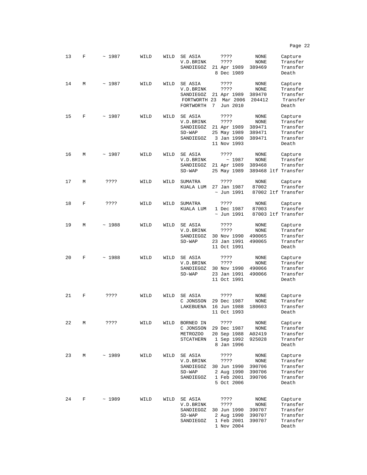13 F ~ 1987 WILD WILD SEASIA 2??? NONE Capture<br>V.D.BRINK 2??? NONE Transfer V.D.BRINK ???? NONE Transfer SANDIEGOZ 21 Apr 1989 389469 Transi<br>8 Dec 1989 Death 8 Dec 1989 14 M ~ 1987 WILD WILD SE ASIA ???? NONE Capture<br>V.D.BRINK ???? NONE Transfer V.D.BRINK ???? NONE Transfer SANDIEGOZ 21 Apr 1989 389470 Transfer FORTWORTH 23 Mar 2006 204412 Transfer<br>FORTWORTH 7 Jun 2010 Death FORTWORTH 7 Jun 2010 15 F ~ 1987 WILD WILD SE ASIA ???? NONE Capture<br>V.D.BRINK ???? NONE Transfer V.D.BRINK ???? NONE Transfer SANDIEGOZ 21 Apr 1989 389471 Transfer<br>SD-WAP 25 May 1989 389471 Transfer SD-WAP 25 May 1989 389471 Transfer 3 Jan 1990 11 Nov 1993 Death 16 M ~ 1987 WILD WILD SE ASIA ???? NONE Capture<br>V.D.BRINK ~ 1987 NONE Transfer V.D.BRINK ~ 1987 NONE Transfer<br>SANDIEGOZ 21 Apr 1989 389468 Transfer SANDIEGOZ 21 Apr 1989<br>SD-WAP 25 May 1989 389468 ltf Transfer 17 M ???? WILD WILD SUMATRA ???? NONE Capture<br>KUALA LUM 27 Jan 1987 87002 Transfer KUALA LUM 27 Jan 1987<br> $\sim$  Jun 1991 87002 ltf Transfer 18 F ???? WILD WILD SUMATRA ???? NONE Capture 1 Dec 1987<br>~ Jun 1991 87003 ltf Transfer 19 M ~ 1988 WILD WILD SE ASIA ???? NONE Capture V.D.BRINK ???? NONE Transfer SANDIEGOZ 30 Nov 1990 490065 Transfer<br>SD-WAP 23 Jan 1991 490065 Transfer 23 Jan 1991 490065 Trans!<br>11 Oct 1991 Death 11 Oct 1991 20 F ~ 1988 WILD WILD SEASIA 2??? NONE Capture<br>V.D.BRINK 2??? NONE Transfer V.D.BRINK ???? NONE Transfer SANDIEGOZ 30 Nov 1990 490066 Transfer 23 Jan 1991 490066 Transf<br>11 Oct 1991 Death 11 Oct 1991 21 F ???? WILD WILD SEASIA ???? NONE Capture<br>C JONSSON 29 Dec 1987 NONE Transfer C JONSSON 29 Dec 1987 NONE Transfer<br>LAKEBUENA 16 Jun 1988 180603 Transfer LAKEBUENA 16 Jun 1988 180603 11 Oct 1993 Death 22 M ???? WILD WILD BORNEO IN ???? NONE Capture<br>C JONSSON 29 Dec 1987 NONE Transfer C JONSSON 29 Dec 1987 NONE Transfer<br>METROZOO 20 Sep 1988 A02419 Transfer METROZOO 20 Sep 1988 A02419 Transfer<br>STCATHERN 1 Sep 1992 925028 Transfer 1 Sep 1992 925028 8 Jan 1996 Death 23 M ~ 1989 WILD WILD SEASIA 2??? NONE Capture<br>V.D.BRINK 2??? NONE Transfer V.D.BRINK ???? NONE Transfer SANDIEGOZ 30 Jun 1990 390706 Transfer SD-WAP 2 Aug 1990 390706 Transfer 1 Feb 2001 390706 Transf<br>5 Oct 2006 Death 5 Oct 2006 24 F ~ 1989 WILD WILD SE ASIA ???? NONE Capture V.D.BRINK ???? NONE Transfer SANDIEGOZ 30 Jun 1990 390707 Transfer<br>SD-WAP 2 Aug 1990 390707 Transfer 2 Aug 1990 SANDIEGOZ 1 Feb 2001 390707 Transfer<br>1 Nov 2004 Death

1 Nov 2004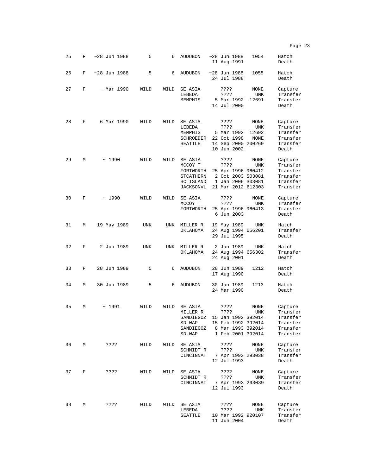|    |   |                  |      |            |                                                                        |                                                                                                    |                              | Page 23                                                             |
|----|---|------------------|------|------------|------------------------------------------------------------------------|----------------------------------------------------------------------------------------------------|------------------------------|---------------------------------------------------------------------|
| 25 | F | $~28$ Jun 1988   | 5    | 6          | <b>AUDUBON</b>                                                         | $~28$ Jun 1988<br>11 Aug 1991                                                                      | 1054                         | Hatch<br>Death                                                      |
| 26 | F | $~28$ Jun 1988   | 5    | 6          | <b>AUDUBON</b>                                                         | $~28$ Jun 1988<br>24 Jul 1988                                                                      | 1055                         | Hatch<br>Death                                                      |
| 27 | F | $~\sim$ Mar 1990 | WILD | WILD       | SE ASIA<br>LEBEDA<br>MEMPHIS                                           | ????<br>????<br>5 Mar 1992<br>14 Jul 2000                                                          | NONE<br>UNK<br>12691         | Capture<br>Transfer<br>Transfer<br>Death                            |
| 28 | F | 6 Mar 1990       | WILD | WILD       | SE ASIA<br>LEBEDA<br>MEMPHIS<br>SCHROEDER<br>SEATTLE                   | ????<br>????<br>5 Mar 1992<br>22 Oct 1998<br>14 Sep 2000 200269<br>10 Jun 2002                     | NONE<br>UNK<br>12692<br>NONE | Capture<br>Transfer<br>Transfer<br>Transfer<br>Transfer<br>Death    |
| 29 | М | ~1990            | WILD | WILD       | SE ASIA<br>MCCOY T<br>FORTWORTH<br>STCATHERN<br>SC ISLAND<br>JACKSONVL | ????<br>????<br>25 Apr 1996 960412<br>2 Oct 2003 S03081<br>1 Jan 2006 S03081<br>21 Mar 2012 612303 | NONE<br>UNK                  | Capture<br>Transfer<br>Transfer<br>Transfer<br>Transfer<br>Transfer |
| 30 | F | ~1990            | WILD | WILD       | SE ASIA<br>MCCOY T<br>FORTWORTH                                        | ????<br>????<br>25 Apr 1996 960413<br>6 Jun 2003                                                   | <b>NONE</b><br>UNK           | Capture<br>Transfer<br>Transfer<br>Death                            |
| 31 | М | 19 May 1989      | UNK  | <b>UNK</b> | MILLER R<br>OKLAHOMA                                                   | 19 May 1989<br>24 Aug 1994 656201<br>29 Jul 1995                                                   | UNK                          | Hatch<br>Transfer<br>Death                                          |
| 32 | F | 2 Jun 1989       | UNK  | UNK        | MILLER R<br>OKLAHOMA                                                   | 2 Jun 1989<br>24 Aug 1994 656302<br>24 Aug 2001                                                    | UNK                          | Hatch<br>Transfer<br>Death                                          |
| 33 | F | 28 Jun 1989      | 5    | 6          | <b>AUDUBON</b>                                                         | 28 Jun 1989<br>17 Aug 1990                                                                         | 1212                         | Hatch<br>Death                                                      |
| 34 | М | 30 Jun 1989      | 5    | 6          | <b>AUDUBON</b>                                                         | 30 Jun 1989<br>24 Mar 1990                                                                         | 1213                         | Hatch<br>Death                                                      |
| 35 | М | ~1991            | WILD | WILD       | SE ASIA<br>MILLER R<br>SANDIEGOZ<br>$SD-WAP$<br>SANDIEGOZ<br>$SD-WAP$  | ????<br>????<br>15 Jan 1992 392014<br>15 Feb 1992 392014<br>8 Mar 1993 392014<br>1 Feb 2001 392014 | NONE<br>UNK                  | Capture<br>Transfer<br>Transfer<br>Transfer<br>Transfer<br>Transfer |
| 36 | М | ????             | WILD | WILD       | SE ASIA<br>SCHMIDT R<br>CINCINNAT                                      | ????<br>????<br>7 Apr 1993 293038<br>12 Jul 1993                                                   | NONE<br>UNK                  | Capture<br>Transfer<br>Transfer<br>Death                            |
| 37 | F | ????             | WILD | WILD       | SE ASIA<br>SCHMIDT R<br>CINCINNAT                                      | ????<br>????<br>7 Apr 1993 293039<br>12 Jul 1993                                                   | <b>NONE</b><br>UNK           | Capture<br>Transfer<br>Transfer<br>Death                            |
| 38 | М | ????             | WILD | WILD       | SE ASIA<br>LEBEDA<br>SEATTLE                                           | ????<br>????<br>10 Mar 1992 920107<br>11 Jun 2004                                                  | NONE<br>UNK                  | Capture<br>Transfer<br>Transfer<br>Death                            |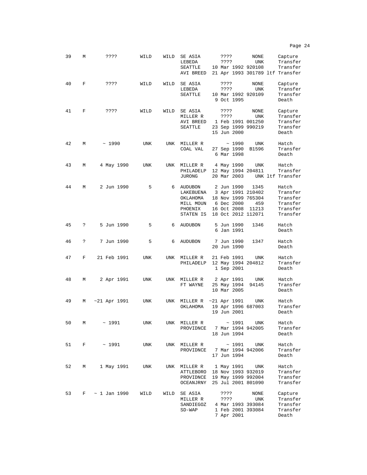| 39 | М | ????                | WILD | WILD | SE ASIA<br>LEBEDA<br>SEATTLE<br>AVI BREED                             | ????<br>???? |                                          | NONE<br>UNK<br>10 Mar 1992 920108                                                     | Capture<br>Transfer<br>Transfer<br>21 Apr 1993 301789 ltf Transfer |
|----|---|---------------------|------|------|-----------------------------------------------------------------------|--------------|------------------------------------------|---------------------------------------------------------------------------------------|--------------------------------------------------------------------|
| 40 | F | ????                | WILD | WILD | SE ASIA<br>LEBEDA<br>SEATTLE                                          | ????<br>???? | 9 Oct 1995                               | NONE<br>UNK<br>10 Mar 1992 920109                                                     | Capture<br>Transfer<br>Transfer<br>Death                           |
| 41 | F | ????                | WILD | WILD | SE ASIA<br>MILLER R<br>AVI BREED<br>SEATTLE                           | ????<br>???? | 15 Jun 2000                              | NONE<br>UNK<br>1 Feb 1991 001250<br>23 Sep 1999 990219                                | Capture<br>Transfer<br>Transfer<br>Transfer<br>Death               |
| 42 | М | ~1990               | UNK  | UNK  | MILLER R<br>COAL VAL                                                  |              | ~1990<br>27 Sep 1990<br>6 Mar 1998       | UNK<br>B1596                                                                          | Hatch<br>Transfer<br>Death                                         |
| 43 | М | 4 May 1990          | UNK  | UNK  | MILLER R<br>PHILADELP<br><b>JURONG</b>                                |              | 4 May 1990<br>20 Mar 2003                | UNK<br>12 May 1994 204811                                                             | Hatch<br>Transfer<br>UNK ltf Transfer                              |
| 44 | М | 2 Jun 1990          | 5    | 6    | AUDUBON<br>LAKEBUENA<br>OKLAHOMA<br>MILL MOUN<br>PHOENIX<br>STATEN IS |              | 2 Jun 1990<br>6 Dec 2000<br>16 Oct 2008  | 1345<br>3 Apr 1991 210402<br>18 Nov 1999 765304<br>459<br>11213<br>18 Oct 2012 112071 | Hatch<br>Transfer<br>Transfer<br>Transfer<br>Transfer<br>Transfer  |
| 45 | ? | 5 Jun 1990          | 5    | 6    | <b>AUDUBON</b>                                                        |              | 5 Jun 1990<br>6 Jan 1991                 | 1346                                                                                  | Hatch<br>Death                                                     |
| 46 | ? | 7 Jun 1990          | 5    | 6    | <b>AUDUBON</b>                                                        |              | 7 Jun 1990<br>20 Jun 1990                | 1347                                                                                  | Hatch<br>Death                                                     |
| 47 | F | 21 Feb 1991         | UNK  | UNK  | MILLER R<br>PHILADELP                                                 |              | 21 Feb 1991<br>1 Sep 2001                | UNK<br>12 May 1994 204812                                                             | Hatch<br>Transfer<br>Death                                         |
| 48 | М | 2 Apr 1991          | UNK  | UNK  | MILLER R<br>FT WAYNE                                                  |              | 2 Apr 1991<br>25 May 1994<br>10 Mar 2005 | UNK<br>94145                                                                          | Hatch<br>Transfer<br>Death                                         |
| 49 | М | $~1991$ Apr $~1991$ | UNK  | UNK  | MILLER R<br>OKLAHOMA                                                  |              | $~1991$ Apr $~1991$<br>19 Jun 2001       | UNK<br>19 Apr 1996 687003                                                             | Hatch<br>Transfer<br>Death                                         |
| 50 | М | ~1991               | UNK  | UNK  | MILLER R<br>PROVIDNCE                                                 |              | ~1991<br>18 Jun 1994                     | UNK<br>7 Mar 1994 942005                                                              | Hatch<br>Transfer<br>Death                                         |
| 51 | F | $\sim$ 1991         | UNK  | UNK  | MILLER R<br>PROVIDNCE                                                 |              | ~1991<br>17 Jun 1994                     | UNK<br>7 Mar 1994 942006                                                              | Hatch<br>Transfer<br>Death                                         |
| 52 | М | 1 May 1991          | UNK  | UNK  | MILLER R<br>ATTLEBORO<br>PROVIDNCE<br>OCEANJRNY                       |              | 1 May 1991                               | UNK<br>18 Nov 1993 932019<br>19 May 1999 992004<br>25 Jul 2001 801090                 | Hatch<br>Transfer<br>Transfer<br>Transfer                          |
| 53 | F | $\sim$ 1 Jan 1990   | WILD | WILD | SE ASIA<br>MILLER R<br>SANDIEGOZ<br>$SD-WAP$                          | ????<br>???? | 7 Apr 2001                               | NONE<br>UNK<br>4 Mar 1993 393084<br>1 Feb 2001 393084                                 | Capture<br>Transfer<br>Transfer<br>Transfer<br>Death               |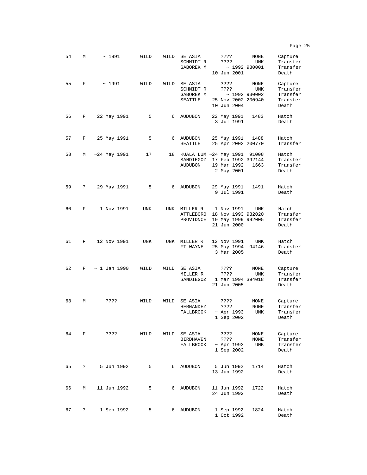54 M ~ 1991 WILD WILD SE ASIA ???? NONE Capture SCHMIDT R ???? UNK Transfer GABOREK M ~ 1992 930001 Transfer 10 Jun 2001 Death 55 F ~ 1991 WILD WILD SE ASIA ???? NONE Capture SCHMIDT R ???? UNK Transfer GABOREK M ~ 1992 930002 Transfer<br>SEATTLE 25 Nov 2002 200940 Transfer 25 Nov 2002 200940 Transf<br>10 Jun 2004 Death 10 Jun 2004 56 F 22 May 1991 5 6 AUDUBON 22 May 1991 1483 Hatch 3 Jul 1991 57 F 25 May 1991 5 6 AUDUBON 25 May 1991 1488 Hatch SEATTLE 25 Apr 2002 200770 Transfer 58 M ~24 May 1991 17 18 KUALA LUM ~24 May 1991 91008 Hatch SANDIEGOZ 17 Feb 1992 392144 Transfer 19 Mar 1992 1663 Transf<br>2 May 2001 Death 2 May 2001 59 ? 29 May 1991 5 6 AUDUBON 29 May 1991 1491 Hatch 9 Jul 1991 60 F 1 Nov 1991 UNK UNK MILLER R 1 Nov 1991 UNK Hatch ATTLEBORO 18 Nov 1993 932020 PROVIDNCE 19 May 1999 992005 Transfer  $21$  Jun  $2000$ 61 F 12 Nov 1991 UNK UNK MILLER R 12 Nov 1991 UNK Hatch 25 May 1994 94146 Transf<br>3 Mar 2005 Death  $3$  Mar  $2005$ 62 F ~ 1 Jan 1990 WILD WILD SE ASIA ???? NONE Capture 9999 NONE Capture<br>Persias UNK Transfer<br>1 Mar 1994 394018 Transfer SANDIEGOZ 1 Mar 1994 394018 Transf<br>21 Jun 2005 Death 21 Jun 2005 63 M ???? WILD WILD SE ASIA ???? NONE Capture HERNANDEZ ???? NONE Transfer ~ Apr 1993 UNK Transf<br>1 Sep 2002 Death  $1$  Sep  $2002$ 64 F ???? WILD WILD SE ASIA ???? NONE Capture BIRDHAVEN FALLBROOK ~ Apr 1993 UNK Transfer<br>1 Sep 2002 Death  $1$  Sep 2002 65 ? 5 Jun 1992 5 6 AUDUBON 5 Jun 1992 1714 Hatch 13 Jun 1992 66 M 11 Jun 1992 5 6 AUDUBON 11 Jun 1992 1722 Hatch 24 Jun 1992 67 ? 1 Sep 1992 5 6 AUDUBON 1 Sep 1992 1824 Hatch

1 Oct 1992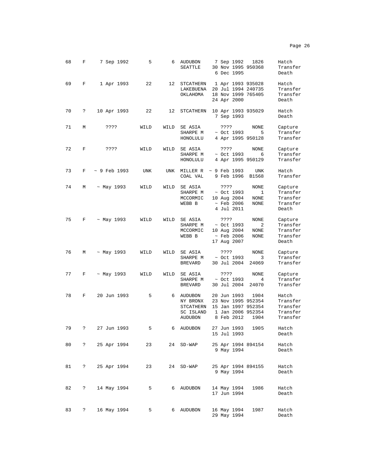| 68 | F          | 7 Sep 1992         | 5           | 6    | <b>AUDUBON</b><br>SEATTLE                                | 7 Sep 1992<br>30 Nov 1995 950368<br>6 Dec 1995                                             | 1826                                 | Hatch<br>Transfer<br>Death                            |
|----|------------|--------------------|-------------|------|----------------------------------------------------------|--------------------------------------------------------------------------------------------|--------------------------------------|-------------------------------------------------------|
| 69 | F          | 1 Apr 1993         | 22          |      | 12 STCATHERN<br>LAKEBUENA<br>OKLAHOMA                    | 1 Apr 1993 935028<br>20 Jul 1994 240735<br>18 Nov 1999 765405<br>24 Apr 2000               |                                      | Hatch<br>Transfer<br>Transfer<br>Death                |
| 70 | ?          | 10 Apr 1993        | 22          | 12   | STCATHERN                                                | 10 Apr 1993 935029<br>7 Sep 1993                                                           |                                      | Hatch<br>Death                                        |
| 71 | М          | ????               | WILD        | WILD | SE ASIA<br>SHARPE M<br>HONOLULU                          | ????<br>$\sim$ Oct 1993<br>4 Apr 1995 950128                                               | NONE<br>- 5                          | Capture<br>Transfer<br>Transfer                       |
| 72 | F          | ????               | WILD        | WILD | SE ASIA<br>SHARPE M<br>HONOLULU                          | ????<br>$~\sim$ Oct 1993<br>4 Apr 1995 950129                                              | NONE<br>- 6                          | Capture<br>Transfer<br>Transfer                       |
| 73 | F          | $~\sim$ 9 Feb 1993 | UNK         | UNK  | MILLER R<br>COAL VAL                                     | $~\sim$ 9 Feb 1993<br>9 Feb 1996                                                           | UNK<br>B1568                         | Hatch<br>Transfer                                     |
| 74 | М          | ~ May 1993         | WILD        | WILD | SE ASIA<br>SHARPE M<br>MCCORMIC<br>WEBB B                | ????<br>$\sim$ Oct 1993<br>10 Aug 2004<br>$~\sim$ Feb 2006<br>4 Jul 2011                   | NONE<br>$\mathbf{1}$<br>NONE<br>NONE | Capture<br>Transfer<br>Transfer<br>Transfer<br>Death  |
| 75 | F          | $\sim$ May 1993    | WILD        | WILD | SE ASIA<br>SHARPE M<br>MCCORMIC<br>WEBB B                | ? ? ? ?<br>~ Oct 1993<br>10 Aug 2004<br>$\sim$ Feb 2006<br>17 Aug 2007                     | NONE<br>2<br>NONE<br>NONE            | Capture<br>Transfer<br>Transfer<br>Transfer<br>Death  |
| 76 | М          | ~ May 1993         | WILD        | WILD | SE ASIA<br>SHARPE M<br><b>BREVARD</b>                    | ????<br>$\sim$ Oct 1993<br>30 Jul 2004                                                     | NONE<br>3<br>24069                   | Capture<br>Transfer<br>Transfer                       |
| 77 | F          | $\sim$ May 1993    | WILD        | WILD | SE ASIA<br>SHARPE M<br><b>BREVARD</b>                    | ????<br>~ Oct 1993<br>30 Jul 2004                                                          | NONE<br>4<br>24070                   | Capture<br>Transfer<br>Transfer                       |
| 78 | F          | 20 Jun 1993        | 5           | 6    | AUDUBON<br>NY BRONX<br>STCATHERN<br>SC ISLAND<br>AUDUBON | 20 Jun 1993<br>23 Nov 1995 952354<br>15 Jan 1997 952354<br>1 Jan 2006 952354<br>8 Feb 2012 | 1904<br>1904                         | Hatch<br>Transfer<br>Transfer<br>Transfer<br>Transfer |
| 79 | ċ.         | 27 Jun 1993        | 5           | 6    | AUDUBON                                                  | 27 Jun 1993<br>15 Jul 1993                                                                 | 1905                                 | Hatch<br>Death                                        |
| 80 | $\ddot{ }$ | 25 Apr 1994        | 23          | 24   | $SD-WAP$                                                 | 9 May 1994                                                                                 | 25 Apr 1994 894154                   | Hatch<br>Death                                        |
| 81 | ?          | 25 Apr 1994        | 23          |      | 24 SD-WAP                                                | 9 May 1994                                                                                 | 25 Apr 1994 894155                   | Hatch<br>Death                                        |
| 82 | ?          | 14 May 1994        | $5^{\circ}$ |      | 6 AUDUBON                                                | 14 May 1994<br>17 Jun 1994                                                                 | 1986                                 | Hatch<br>Death                                        |
| 83 | ?          | 16 May 1994        | 5           |      | 6 AUDUBON                                                | 16 May 1994<br>29 May 1994                                                                 | 1987                                 | Hatch<br>Death                                        |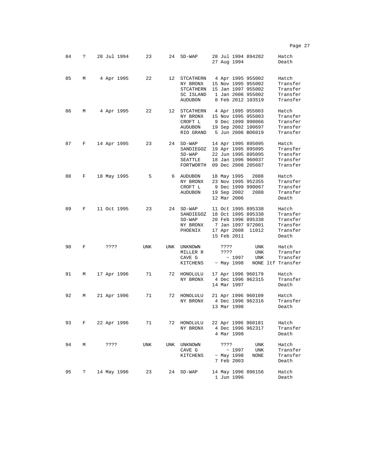|    |   |             |     |     |                                                                    | Page 27                                                                                                                                                                                      |
|----|---|-------------|-----|-----|--------------------------------------------------------------------|----------------------------------------------------------------------------------------------------------------------------------------------------------------------------------------------|
| 84 | ? | 28 Jul 1994 | 23  | 24  | $SD-WAP$                                                           | 28 Jul 1994 894282<br>Hatch<br>27 Aug 1994<br>Death                                                                                                                                          |
| 85 | М | 4 Apr 1995  | 22  | 12  | STCATHERN<br>NY BRONX<br>STCATHERN<br>SC ISLAND<br><b>AUDUBON</b>  | 4 Apr 1995 955002<br>Hatch<br>15 Nov 1995 955002<br>Transfer<br>15 Jan 1997 955002<br>Transfer<br>1 Jan 2006 955002<br>Transfer<br>8 Feb 2012 103519<br>Transfer                             |
| 86 | М | 4 Apr 1995  | 22  |     | 12 STCATHERN<br>NY BRONX<br>CROFT L<br><b>AUDUBON</b><br>RIO GRAND | 4 Apr 1995 955003<br>Hatch<br>15 Nov 1995 955003<br>Transfer<br>9 Dec 1999 990066<br>Transfer<br>19 Sep 2002 100697<br>Transfer<br>5 Jun 2006 BO6019<br>Transfer                             |
| 87 | F | 14 Apr 1995 | 23  | 24  | $SD-WAP$<br>SANDIEGOZ<br>$SD-WAP$<br>SEATTLE<br>FORTWORTH          | 14 Apr 1995 895095<br>Hatch<br>19 Apr 1995 895095<br>Transfer<br>22 Jun 1995 895095<br>Transfer<br>18 Jan 1996 960037<br>Transfer<br>09 Dec 2008 205687<br>Transfer                          |
| 88 | F | 18 May 1995 | 5   |     | 6 AUDUBON<br>NY BRONX<br>CROFT L<br><b>AUDUBON</b>                 | 18 May 1995<br>2088<br>Hatch<br>23 Nov 1995 952355<br>Transfer<br>9 Dec 1999 990067<br>Transfer<br>19 Sep 2002<br>Transfer<br>2088<br>12 Mar 2006<br>Death                                   |
| 89 | F | 11 Oct 1995 | 23  | 24  | $SD-WAP$<br>SANDIEGOZ<br>$SD-WAP$<br>NY BRONX<br>PHOENIX           | 11 Oct 1995 895338<br>Hatch<br>18 Oct 1995 895338<br>Transfer<br>20 Feb 1996 895338<br>Transfer<br>7 Jan 1997 972001<br>Transfer<br>17 Apr 2008<br>Transfer<br>11012<br>15 Feb 2011<br>Death |
| 90 | F | ????        | UNK | UNK | UNKNOWN<br>MILLER R<br>CAVE G<br>KITCHENS                          | UNK<br>Hatch<br>????<br>????<br>UNK<br>Transfer<br>~1997<br><b>UNK</b><br>Transfer<br>$~\sim$ May 1998<br>NONE ltf Transfer                                                                  |
| 91 | М | 17 Apr 1996 | 71  |     | 72 HONOLULU<br>NY BRONX                                            | 17 Apr 1996 960179<br>Hatch<br>4 Dec 1996 962315<br>Transfer<br>14 Mar 1997<br>Death                                                                                                         |
| 92 | М | 21 Apr 1996 | 71  | 72  | HONOLULU<br>NY BRONX                                               | 21 Apr 1996 960109<br>Hatch<br>4 Dec 1996 962316<br>Transfer<br>13 Mar 1998<br>Death                                                                                                         |
| 93 | F | 22 Apr 1996 | 71  |     | 72 HONOLULU<br>NY BRONX                                            | 22 Apr 1996 960181<br>Hatch<br>4 Dec 1996 962317<br>Transfer<br>4 Mar 1998<br>Death                                                                                                          |
| 94 | М | ????        | UNK | UNK | UNKNOWN<br>CAVE G<br>KITCHENS                                      | ????<br>Hatch<br>UNK<br>~1997<br>UNK<br>Transfer<br>$~\sim$ May 1998<br>NONE<br>Transfer<br>7 Feb 2003<br>Death                                                                              |
| 95 | ? | 14 May 1996 | 23  | 24  | $SD-WAP$                                                           | 14 May 1996 896156<br>Hatch<br>1 Jun 1996<br>Death                                                                                                                                           |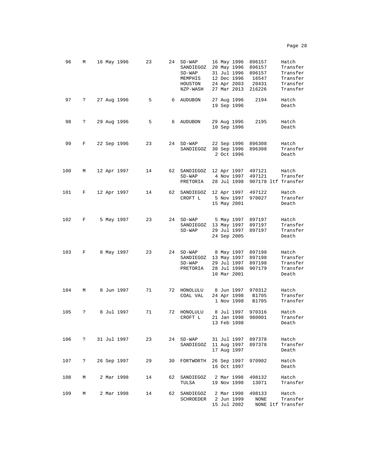| 96  | М                    | 16 May 1996 | 23 | 24 | $SD-WAP$<br>SANDIEGOZ<br>SD-WAP<br>MEMPHIS<br>HOUSTON<br>NZP-WASH | 16 May 1996<br>20 May 1996<br>31 Jul 1996<br>12 Dec 1996<br>24 Apr 2003<br>27 Mar 2013 | 896157<br>896157<br>896157<br>16547<br>20431<br>216226 | Hatch<br>Transfer<br>Transfer<br>Transfer<br>Transfer<br>Transfer |
|-----|----------------------|-------------|----|----|-------------------------------------------------------------------|----------------------------------------------------------------------------------------|--------------------------------------------------------|-------------------------------------------------------------------|
| 97  | ?                    | 27 Aug 1996 | 5  | 6  | <b>AUDUBON</b>                                                    | 27 Aug 1996<br>19 Sep 1996                                                             | 2194                                                   | Hatch<br>Death                                                    |
| 98  | ?                    | 29 Aug 1996 | 5  | 6  | <b>AUDUBON</b>                                                    | 29 Aug 1996<br>10 Sep 1996                                                             | 2195                                                   | Hatch<br>Death                                                    |
| 99  | F                    | 22 Sep 1996 | 23 |    | 24 SD-WAP<br>SANDIEGOZ                                            | 22 Sep 1996<br>30 Sep 1996<br>2 Oct 1996                                               | 896308<br>896308                                       | Hatch<br>Transfer<br>Death                                        |
| 100 | М                    | 12 Apr 1997 | 14 | 62 | SANDIEGOZ<br>$SD-WAP$<br>PRETORIA                                 | 12 Apr 1997<br>4 Nov 1997<br>28 Jul 1998                                               | 497121<br>497121                                       | Hatch<br>Transfer<br>907178 ltf Transfer                          |
| 101 | F                    | 12 Apr 1997 | 14 | 62 | SANDIEGOZ<br>CROFT L                                              | 12 Apr 1997<br>5 Nov 1997<br>15 May 2001                                               | 497122<br>970027                                       | Hatch<br>Transfer<br>Death                                        |
| 102 | F                    | 5 May 1997  | 23 |    | 24 SD-WAP<br>SANDIEGOZ<br>$SD-WAP$                                | 5 May 1997<br>13 May 1997<br>29 Jul 1997<br>24 Sep 2005                                | 897197<br>897197<br>897197                             | Hatch<br>Transfer<br>Transfer<br>Death                            |
| 103 | F                    | 8 May 1997  | 23 | 24 | $SD-WAP$<br>SANDIEGOZ<br>$SD-WAP$<br>PRETORIA                     | 8 May 1997<br>13 May 1997<br>29 Jul 1997<br>28 Jul 1998<br>10 Mar 2001                 | 897198<br>897198<br>897198<br>907179                   | Hatch<br>Transfer<br>Transfer<br>Transfer<br>Death                |
| 104 | M                    | 8 Jun 1997  | 71 |    | 72 HONOLULU<br>COAL VAL                                           | 8 Jun 1997<br>24 Apr 1998<br>1 Nov 1998                                                | 970312<br>B1705<br>B1705                               | Hatch<br>Transfer<br>Transfer                                     |
| 105 | ?                    | 8 Jul 1997  | 71 | 72 | HONOLULU<br>CROFT L                                               | 8 Jul 1997<br>21 Jan 1998<br>13 Feb 1998                                               | 970316<br>980001                                       | Hatch<br>Transfer<br>Death                                        |
| 106 | $\ddot{\phantom{0}}$ | 31 Jul 1997 | 23 |    | 24 SD-WAP<br>SANDIEGOZ                                            | 31 Jul 1997<br>11 Aug 1997<br>17 Aug 1997                                              | 897378<br>897378                                       | Hatch<br>Transfer<br>Death                                        |
| 107 | $\ddot{\phantom{0}}$ | 26 Sep 1997 | 29 | 30 | FORTWORTH                                                         | 26 Sep 1997<br>16 Oct 1997                                                             | 970902                                                 | Hatch<br>Death                                                    |
| 108 | М                    | 2 Mar 1998  | 14 | 62 | SANDIEGOZ<br>TULSA                                                | 2 Mar 1998<br>19 Nov 1998                                                              | 498132<br>13071                                        | Hatch<br>Transfer                                                 |
| 109 | М                    | 2 Mar 1998  | 14 | 62 | SANDIEGOZ<br>SCHROEDER                                            | 2 Mar 1998<br>2 Jun 1999<br>15 Jul 2002                                                | 498133<br>NONE                                         | Hatch<br>Transfer<br>NONE ltf Transfer                            |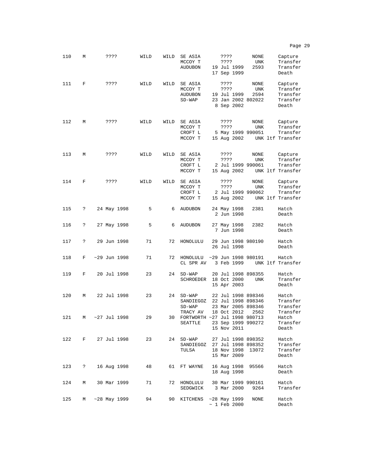| 110 | М  | ????              | WILD | WILD | SE ASIA<br>MCCOY T<br><b>AUDUBON</b>                 | ????<br>???? | 19 Jul 1999<br>17 Sep 1999  | NONE<br>UNK<br>2593                                            | Capture<br>Transfer<br>Transfer<br>Death             |
|-----|----|-------------------|------|------|------------------------------------------------------|--------------|-----------------------------|----------------------------------------------------------------|------------------------------------------------------|
| 111 | F  | ????              | WILD | WILD | SE ASIA<br>MCCOY T<br><b>AUDUBON</b><br>$SD-WAP$     | ????<br>???? | 19 Jul 1999<br>8 Sep 2002   | NONE<br>UNK<br>2594<br>23 Jan 2002 802022                      | Capture<br>Transfer<br>Transfer<br>Transfer<br>Death |
| 112 | М  | ????              | WILD | WILD | SE ASIA<br>MCCOY T<br>CROFT L<br>MCCOY T             | ????<br>???? | 15 Aug 2002                 | NONE<br>UNK<br>5 May 1999 990051                               | Capture<br>Transfer<br>Transfer<br>UNK ltf Transfer  |
| 113 | М  | ????              | WILD | WILD | SE ASIA<br>MCCOY T<br>CROFT L<br>MCCOY T             | ????<br>???? | 15 Aug 2002                 | NONE<br>UNK<br>2 Jul 1999 990061                               | Capture<br>Transfer<br>Transfer<br>UNK ltf Transfer  |
| 114 | F  | ????              | WILD | WILD | SE ASIA<br>MCCOY T<br>CROFT L<br>MCCOY T             | ????<br>???? | 15 Aug 2002                 | NONE<br>UNK<br>2 Jul 1999 990062                               | Capture<br>Transfer<br>Transfer<br>UNK ltf Transfer  |
| 115 | S. | 24 May 1998       | 5    | 6    | <b>AUDUBON</b>                                       |              | 24 May 1998<br>2 Jun 1998   | 2381                                                           | Hatch<br>Death                                       |
| 116 | S. | 27 May 1998       | 5    | 6    | <b>AUDUBON</b>                                       |              | 27 May 1998<br>7 Jun 1998   | 2382                                                           | Hatch<br>Death                                       |
| 117 | ?  | 29 Jun 1998       | 71   | 72   | HONOLULU                                             |              | 26 Jul 1998                 | 29 Jun 1998 980190                                             | Hatch<br>Death                                       |
| 118 | F  | $~29$ Jun 1998    | 71   | 72   | HONOLULU ~29 Jun 1998 980191<br>CL SPR AV            |              | 3 Feb 1999                  |                                                                | Hatch<br>UNK ltf Transfer                            |
| 119 | F  | 20 Jul 1998       | 23   | 24   | $SD-WAP$<br>SCHROEDER                                |              | 18 Oct 2000<br>15 Apr 2003  | 20 Jul 1998 898355<br><b>UNK</b>                               | Hatch<br>Transfer<br>Death                           |
| 120 | М  | 22 Jul 1998       | 23   | 24   | $SD-WAP$<br>SANDIEGOZ<br>$SD-WAP$                    |              |                             | 22 Jul 1998 898346<br>22 Jul 1998 898346<br>23 Mar 2005 898346 | Hatch<br>Transfer<br>Transfer                        |
| 121 | М  | ~27 Jul 1998      | 29   | 30   | TRACY AV<br>FORTWORTH ~27 Jul 1998 980713<br>SEATTLE |              | 18 Oct 2012<br>15 Nov 2011  | 2562<br>23 Sep 1999 990272                                     | Transfer<br>Hatch<br>Transfer<br>Death               |
|     |    | 122 F 27 Jul 1998 | 23   | 24   | SD-WAP<br>SANDIEGOZ 27 Jul 1998 898352<br>TULSA      |              | 18 Nov 1998<br>15 Mar 2009  | 27 Jul 1998 898352<br>13072                                    | Hatch<br>Transfer<br>Transfer<br>Death               |
| 123 | ?  | 16 Aug 1998       | 48   |      | 61 FT WAYNE                                          |              | 18 Aug 1998                 | 16 Aug 1998 95566                                              | Hatch<br>Death                                       |
| 124 | М  | 30 Mar 1999       | 71   |      | 72 HONOLULU<br>SEDGWICK                              |              | 3 Mar 2000                  | 30 Mar 1999 990161<br>9264                                     | Hatch<br>Transfer                                    |
| 125 | M  | $~28$ May 1999    | 94   |      | 90 KITCHENS                                          |              | ~1999<br>$~\sim~1$ Feb 2000 | NONE                                                           | Hatch<br>Death                                       |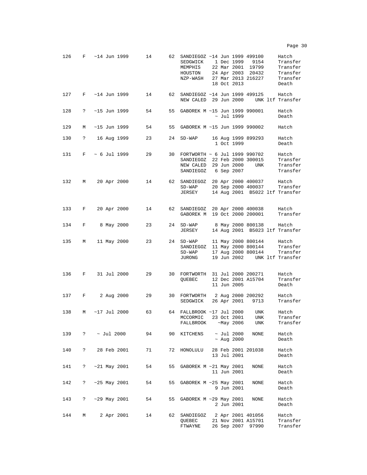| 126 | F | $~14$ Jun 1999       | 14 | 62 | SANDIEGOZ ~14 Jun 1999 499100<br>SEDGWICK 1 Dec 1999 9154<br>MEMPHIS<br>HOUSTON<br>NZP-WASH 27 Mar 2013 216227    |  | 18 Oct 2013                    | 22 Mar 2001 19799<br>24 Apr 2003 20432         | Hatch<br>Transfer<br>Transfer<br>Transfer<br>Transfer<br>Death |
|-----|---|----------------------|----|----|-------------------------------------------------------------------------------------------------------------------|--|--------------------------------|------------------------------------------------|----------------------------------------------------------------|
| 127 | F | ~14 Jun 1999         | 14 |    | 62 SANDIEGOZ ~14 Jun 1999 499125<br>NEW CALED 29 Jun 2000                                                         |  |                                |                                                | Hatch<br>UNK ltf Transfer                                      |
| 128 | ? | $~15$ Jun 1999       | 54 | 55 | GABOREK M ~15 Jun 1999 990001                                                                                     |  | $\sim$ Jul 1999                |                                                | Hatch<br>Death                                                 |
| 129 | M | ~15 Jun 1999         | 54 | 55 | GABOREK M ~15 Jun 1999 990002                                                                                     |  |                                |                                                | Hatch                                                          |
| 130 | ? | 16 Aug 1999          | 23 | 24 | $SD-WAP$                                                                                                          |  | 1 Oct 1999                     | 16 Aug 1999 899293                             | Hatch<br>Death                                                 |
| 131 | F | $\sim 6$ Jul 1999    | 29 |    | 30 FORTWORTH ~ 6 Jul 1999 990702<br>SANDIEGOZ 22 Feb 2000 300015<br>NEW CALED 29 Jun 2000<br>SANDIEGOZ 6 Sep 2007 |  |                                | UNK                                            | Hatch<br>Transfer<br>Transfer<br>Transfer                      |
| 132 | М | 20 Apr 2000          | 14 |    | 62 SANDIEGOZ 20 Apr 2000 400037 Hatch<br>$SD-WAP$<br>JERSEY                                                       |  |                                |                                                | 20 Sep 2000 400037 Transfer<br>14 Aug 2001 B5022 ltf Transfer  |
| 133 | F | 20 Apr 2000          | 14 | 62 | SANDIEGOZ 20 Apr 2000 400038<br>GABOREK M 19 Oct 2000 200001                                                      |  |                                |                                                | Hatch<br>Transfer                                              |
| 134 | F | 8 May 2000           | 23 |    | 24 SD-WAP<br>JERSEY                                                                                               |  |                                | 8 May 2000 800138                              | Hatch<br>14 Aug 2001 B5023 ltf Transfer                        |
| 135 | М | 11 May 2000          | 23 |    | 24 SD-WAP<br>$SD-WAP$<br>$SANDIEGOZ$ 11 May 2000 800144<br>$SD-WAP$<br>JURONG                                     |  |                                | 11 May 2000 800144 Hatch<br>17 Aug 2000 800144 | Transfer<br>Transfer<br>19 Jun 2002 UNK ltf Transfer           |
| 136 | F | 31 Jul 2000          | 29 |    | 30 FORTWORTH 31 Jul 2000 200271<br>QUEBEC                                                                         |  | 11 Jun 2005                    | 12 Dec 2001 A15704                             | Hatch<br>Transfer<br>Death                                     |
| 137 | F | 2 Aug 2000           | 29 |    | 30 FORTWORTH 2 Aug 2000 200292<br>SEDGWICK                                                                        |  | 26 Apr 2001                    | 9713                                           | Hatch<br>Transfer                                              |
| 138 | М | $~17$ Jul 2000       | 63 |    | 64 FALLBROOK ~17 Jul 2000<br>MCCORMIC<br>FALLBROOK ~May 2006                                                      |  | 23 Oct 2001                    | <b>UNK</b><br>UNK<br>UNK                       | Hatch<br>Transfer<br>Transfer                                  |
|     |   | 139 ? ~ Jul 2000     | 94 |    | 90 KITCHENS                                                                                                       |  | ~ Jul 2000<br>$~\sim$ Aug 2000 | <b>NONE</b>                                    | Hatch<br>Death                                                 |
| 140 | ? | 28 Feb 2001          | 71 |    | 72 HONOLULU                                                                                                       |  | 13 Jul 2001                    | 28 Feb 2001 201038                             | Hatch<br>Death                                                 |
| 141 | ? | $~21$ May 2001       | 54 | 55 | GABOREK $M \sim 21$ May 2001                                                                                      |  | 11 Jun 2001                    | NONE                                           | Hatch<br>Death                                                 |
| 142 | ? | $~125$ May 2001      | 54 |    | 55 GABOREK M ~25 May 2001                                                                                         |  | 9 Jun 2001                     | NONE                                           | Hatch<br>Death                                                 |
| 143 | ? | $~10^{-29}$ May 2001 | 54 |    | 55 GABOREK M ~29 May 2001                                                                                         |  | 2 Jun 2001                     | NONE                                           | Hatch<br>Death                                                 |
| 144 | М | 2 Apr 2001           | 14 |    | 62 SANDIEGOZ 2 Apr 2001 401056<br>QUEBEC<br>FTWAYNE                                                               |  |                                | 21 Nov 2001 A15701<br>26 Sep 2007 97990        | Hatch<br>Transfer<br>Transfer                                  |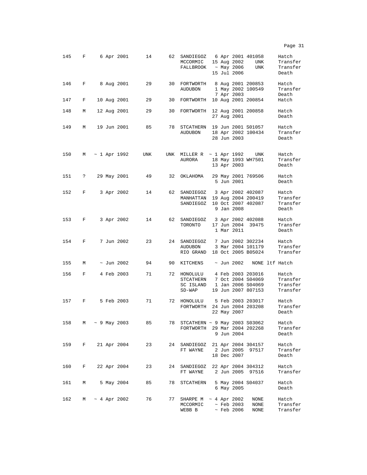| 145 | F                    |  | 6 Apr 2001          | 14  |    | 62 SANDIEGOZ<br>MCCORMIC<br>FALLBROOK                            |  | 15 Aug 2002<br>~ May 2006<br>15 Jul 2006 | 6 Apr 2001 401058<br>UNK<br><b>UNK</b>                                            | Hatch<br>Transfer<br>Transfer<br>Death    |
|-----|----------------------|--|---------------------|-----|----|------------------------------------------------------------------|--|------------------------------------------|-----------------------------------------------------------------------------------|-------------------------------------------|
| 146 | F                    |  | 8 Aug 2001          | 29  | 30 | FORTWORTH<br><b>AUDUBON</b>                                      |  | 7 Apr 2003                               | 8 Aug 2001 200853<br>1 May 2002 100549                                            | Hatch<br>Transfer<br>Death                |
| 147 | F                    |  | 10 Aug 2001         | 29  | 30 | FORTWORTH                                                        |  |                                          | 10 Aug 2001 200854                                                                | Hatch                                     |
| 148 | М                    |  | 12 Aug 2001         | 29  | 30 | FORTWORTH                                                        |  | 27 Aug 2001                              | 12 Aug 2001 200858                                                                | Hatch<br>Death                            |
| 149 | М                    |  | 19 Jun 2001         | 85  | 78 | STCATHERN<br>AUDUBON                                             |  | 28 Jun 2003                              | 19 Jun 2001 S01057<br>18 Apr 2002 100434                                          | Hatch<br>Transfer<br>Death                |
| 150 | М                    |  | $\sim$ 1 Apr 1992   | UNK |    | UNK MILLER R $\sim$ 1 Apr 1992<br>AURORA                         |  | 13 Apr 2003                              | UNK<br>18 May 1993 WH7501                                                         | Hatch<br>Transfer<br>Death                |
| 151 | $\ddot{\phantom{0}}$ |  | 29 May 2001         | 49  | 32 | ОКLАНОМА                                                         |  | 5 Jun 2001                               | 29 May 2001 769506                                                                | Hatch<br>Death                            |
| 152 | F                    |  | 3 Apr 2002          | 14  | 62 | SANDIEGOZ<br>MANHATTAN<br>SANDIEGOZ                              |  | 9 Jan 2008                               | 3 Apr 2002 402087<br>19 Aug 2004 200419<br>10 Oct 2007 402087                     | Hatch<br>Transfer<br>Transfer<br>Death    |
| 153 | F                    |  | 3 Apr 2002          | 14  | 62 | SANDIEGOZ<br>TORONTO                                             |  | 1 Mar 2011                               | 3 Apr 2002 402088<br>17 Jun 2004 39475                                            | Hatch<br>Transfer<br>Death                |
| 154 | F                    |  | 7 Jun 2002          | 23  |    | 24 SANDIEGOZ<br><b>AUDUBON</b><br>RIO GRAND                      |  |                                          | 7 Jun 2002 302234<br>3 Mar 2004 101179<br>18 Oct 2005 B05024                      | Hatch<br>Transfer<br>Transfer             |
| 155 | М                    |  | $\sim$ Jun 2002     | 94  | 90 | KITCHENS                                                         |  | $\sim$ Jun 2002                          |                                                                                   | NONE ltf Hatch                            |
| 156 | F                    |  | 4 Feb 2003          | 71  |    | 72 HONOLULU<br>STCATHERN<br>SC ISLAND<br>$SD-WAP$                |  |                                          | 4 Feb 2003 203016<br>7 Oct 2004 S04069<br>1 Jan 2006 S04069<br>19 Jun 2007 807153 | Hatch<br>Transfer<br>Transfer<br>Transfer |
| 157 | F                    |  | 5 Feb 2003          | 71  |    | 72 HONOLULU<br>FORTWORTH                                         |  | 22 May 2007                              | 5 Feb 2003 203017<br>24 Jun 2004 203208                                           | Hatch<br>Transfer<br>Death                |
| 158 |                      |  | M ~ 9 May 2003      | 85  |    | 78 STCATHERN ~ 9 May 2003 S03062<br>FORTWORTH 29 Mar 2004 202268 |  | 9 Jun 2004                               |                                                                                   | Hatch<br>Transfer<br>Death                |
| 159 | F                    |  | 21 Apr 2004         | 23  |    | 24 SANDIEGOZ 21 Apr 2004 304157<br>FT WAYNE 2 Jun 2005 97517     |  | 18 Dec 2007                              |                                                                                   | Hatch<br>Transfer<br>Death                |
| 160 | F                    |  | 22 Apr 2004         | 23  |    | 24 SANDIEGOZ 22 Apr 2004 304312<br>FT WAYNE 2 Jun 2005 97516     |  |                                          |                                                                                   | Hatch<br>Transfer                         |
| 161 | М                    |  | 5 May 2004          | 85  | 78 | STCATHERN                                                        |  | 6 May 2005                               | 5 May 2004 S04037                                                                 | Hatch<br>Death                            |
| 162 |                      |  | $M \sim 4$ Apr 2002 | 76  |    | 77 SHARPE M ~ 4 Apr 2002<br>MCCORMIC<br>WEBB B                   |  | $\sim$ Feb 2003<br>$\sim$ Feb 2006       | NONE<br>NONE<br>NONE                                                              | Hatch<br>Transfer<br>Transfer             |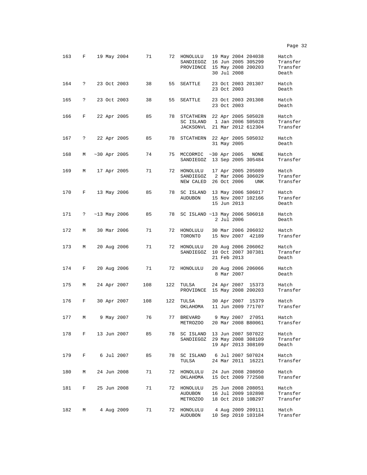163 F 19 May 2004 71 72 HONOLULU 19 May 2004 204038 Hatch SANDIEGOZ 16 Jun 2005 305299 Transfer<br>PROVIDNCE 15 May 2008 200203 Transfer PROVIDNCE 15 May 2008 200203 Trans:<br>30 Jul 2008 Death 30 Jul 2008 164 ? 23 Oct 2003 38 55 SEATTLE 23 Oct 2003 201307 Hatch 23 Oct 2003 Death 165 ? 23 Oct 2003 38 55 SEATTLE 23 Oct 2003 201308 Hatch 23 Oct 2003 Death 166 F 22 Apr 2005 85 78 STCATHERN 22 Apr 2005 S05028 Hatch 1 Jan 2006 S05028 Transfer<br>21 Mar 2012 612304 Transfer JACKSONVL 21 Mar 2012 612304 167 ? 22 Apr 2005 85 78 STCATHERN 22 Apr 2005 S05032 Hatch 31 May 2005 Death 168 M ~30 Apr 2005 74 75 MCCORMIC ~30 Apr 2005 NONE Hatch SANDIEGOZ 13 Sep 2005 305484 Transfer 169 M 17 Apr 2005 71 72 HONOLULU 17 Apr 2005 205089 Hatch 2 Mar 2006 306029 Transfer<br>26 Oct 2006 UNK Transfer NEW CALED 26 Oct 2006 170 F 13 May 2006 85 78 SC ISLAND 13 May 2006 S06017 Hatch 15 Nov 2007 102166 Transf<br>15 Jun 2013 Death 15 Jun 2013 171 ? ~13 May 2006 85 78 SC ISLAND ~13 May 2006 S06018 Hatch 2 Jul 2006 Death 172 M 30 Mar 2006 71 72 HONOLULU 30 Mar 2006 206032 Hatch TORONTO 15 Nov 2007 42189 Transfer 173 M 20 Aug 2006 71 72 HONOLULU 20 Aug 2006 206062 Hatch SANDIEGOZ 10 Oct 2007 307381 Transf<br>21 Feb 2013 Death 21 Feb 2013 174 F 20 Aug 2006 71 72 HONOLULU 20 Aug 2006 206066 Hatch 8 Mar 2007 175 M 24 Apr 2007 108 122 TULSA 24 Apr 2007 15373 Hatch PROVIDNCE 15 May 2008 200203 Transfer 176 F 30 Apr 2007 108 122 TULSA 30 Apr 2007 15379 Hatch OKLAHOMA 11 Jun 2009 771707 Transfer 177 M 9 May 2007 76 77 BREVARD 9 May 2007 27051 Hatch METROZOO 20 Mar 2008 B80061 Transfer 178 F 13 Jun 2007 85 78 SC ISLAND 13 Jun 2007 S07022 Hatch 29 May 2008 308109 19 Apr 2013 308109 Death 179 F 6 Jul 2007 85 78 SC ISLAND 6 Jul 2007 S07024 Hatch TULSA 24 Mar 2011 16221 180 M 24 Jun 2008 71 72 HONOLULU 24 Jun 2008 208050 Hatch 15 Oct 2009 772508 181 F 25 Jun 2008 71 72 HONOLULU 25 Jun 2008 208051 Hatch AUDUBON 16 Jul 2009 102898 Transfer 18 Oct 2010 10B297 182 M 4 Aug 2009 71 72 HONOLULU 4 Aug 2009 209111 Hatch 10 Sep 2010 103184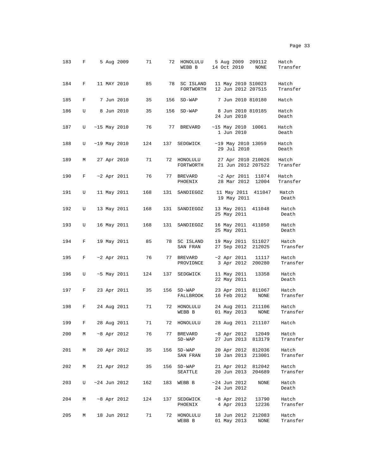| 183 | F |                | 5 Aug 2009        | 71             | 72  | HONOLULU<br>WEBB B       | 5 Aug 2009<br>209112<br>14 Oct 2010<br>NONE        | Hatch<br>Transfer |
|-----|---|----------------|-------------------|----------------|-----|--------------------------|----------------------------------------------------|-------------------|
| 184 | F | 11 MAY 2010    |                   | 85             | 78  | SC ISLAND<br>FORTWORTH   | 11 May 2010 S10023<br>12 Jun 2012 207515           | Hatch<br>Transfer |
| 185 | F |                | 7 Jun 2010        | 35             | 156 | $SD-WAP$                 | 7 Jun 2010 810180                                  | Hatch             |
| 186 | U |                | 8 Jun 2010        | 35             | 156 | $SD-WAP$                 | 8 Jun 2010 810185<br>24 Jun 2010                   | Hatch<br>Death    |
| 187 | U | $~15$ May 2010 |                   | 76             | 77  | BREVARD                  | $~15$ May 2010<br>10061<br>1 Jun 2010              | Hatch<br>Death    |
| 188 | U | $~19$ May 2010 |                   | 124            | 137 | SEDGWICK                 | ~19 May 2010 13059<br>29 Jul 2010                  | Hatch<br>Death    |
| 189 | М |                | 27 Apr 2010       | 71             |     | 72 HONOLULU<br>FORTWORTH | 27 Apr 2010 210026<br>21 Jun 2012 207522           | Hatch<br>Transfer |
| 190 | F |                | $\sim$ 2 Apr 2011 | 76             |     | 77 BREVARD<br>PHOENIX    | $~2$ Apr 2011 11074<br>28 Mar 2012<br>12004        | Hatch<br>Transfer |
| 191 | U |                | 11 May 2011       | 168            | 131 | SANDIEGOZ                | 11 May 2011<br>411047<br>19 May 2011               | Hatch<br>Death    |
| 192 | U |                | 13 May 2011       | 168            | 131 | SANDIEGOZ                | 13 May 2011 411048<br>25 May 2011                  | Hatch<br>Death    |
| 193 | U |                | 16 May 2011       | 168            | 131 | SANDIEGOZ                | 16 May 2011 411050<br>25 May 2011                  | Hatch<br>Death    |
| 194 | F |                | 19 May 2011       | 85             | 78  | SC ISLAND<br>SAN FRAN    | 19 May 2011<br>S11027<br>27 Sep 2012<br>212025     | Hatch<br>Transfer |
| 195 | F |                | $\sim$ 2 Apr 2011 | 76             | 77  | BREVARD<br>PROVIDNCE     | $\sim$ 2 Apr 2011<br>11117<br>3 Apr 2012<br>200280 | Hatch<br>Transfer |
| 196 | U |                | $\sim$ 5 May 2011 | 124            | 137 | SEDGWICK                 | 11 May 2011<br>13358<br>22 May 2011                | Hatch<br>Death    |
| 197 | F |                |                   | 23 Apr 2011 35 | 156 | $SD-WAP$<br>FALLBROOK    | 23 Apr 2011<br>811067<br>16 Feb 2012<br>NONE       | Hatch<br>Transfer |
| 198 | F |                | 24 Aug 2011       | 71             | 72  | HONOLULU<br>WEBB B       | 24 Aug 2011<br>211106<br>01 May 2013<br>NONE       | Hatch<br>Transfer |
| 199 | F |                | 28 Aug 2011       | 71             | 72  | HONOLULU                 | 28 Aug 2011<br>211107                              | Hatch             |
| 200 | М |                | $\sim$ 8 Apr 2012 | 76             | 77  | BREVARD<br>SD-WAP        | $~8$ Apr 2012 12049<br>27 Jun 2013<br>813179       | Hatch<br>Transfer |
| 201 | М |                | 20 Apr 2012       | 35             | 156 | $SD-WAP$<br>SAN FRAN     | 20 Apr 2012<br>812036<br>10 Jan 2013<br>213001     | Hatch<br>Transfer |
| 202 | М |                | 21 Apr 2012       | 35             | 156 | $SD-WAP$<br>SEATTLE      | 21 Apr 2012 812042<br>20 Jun 2013<br>204689        | Hatch<br>Transfer |

203 U ~24 Jun 2012 162 183 WEBB B ~24 Jun 2012 NONE Hatch 24 Jun 2012 204 M ~8 Apr 2012 124 137 SEDGWICK ~8 Apr 2012 13790 Hatch  $\begin{array}{r} \sim 8 \\ 4 \\ \text{Apr} \\ 2013 \end{array}$ 205 M 18 Jun 2012 71 72 HONOLULU 18 Jun 2012 212083 Hatch 18 Jun 2012 212083<br>01 May 2013 NONE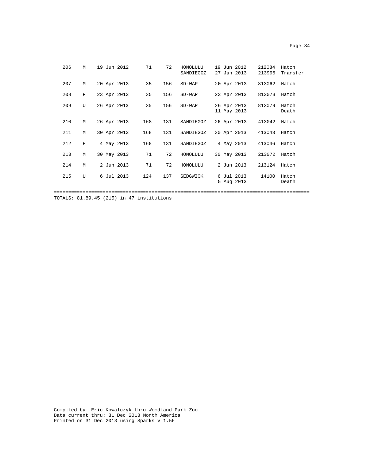| ۰<br>× |  |
|--------|--|
|--------|--|

| 206 | M              | 19 Jun 2012 | 71  | 72  | HONOLULU<br>SANDIEGOZ | 19 Jun 2012<br>27 Jun 2013 |            | 212084<br>213995 | Hatch<br>Transfer |
|-----|----------------|-------------|-----|-----|-----------------------|----------------------------|------------|------------------|-------------------|
| 207 | М              | 20 Apr 2013 | 35  | 156 | $SD-WAP$              | 20 Apr 2013                |            | 813062           | Hatch             |
| 208 | $\mathbf F$    | 23 Apr 2013 | 35  | 156 | $SD-WAP$              | 23 Apr 2013                |            | 813073           | Hatch             |
| 209 | $\overline{U}$ | 26 Apr 2013 | 35  | 156 | $SD-WAP$              | 26 Apr 2013<br>11 May 2013 |            | 813079           | Hatch<br>Death    |
| 210 | М              | 26 Apr 2013 | 168 | 131 | SANDIEGOZ             | 26 Apr 2013                |            | 413042           | Hatch             |
| 211 | M              | 30 Apr 2013 | 168 | 131 | SANDIEGOZ             | 30 Apr 2013                |            | 413043           | Hatch             |
| 212 | $\mathbf F$    | 4 May 2013  | 168 | 131 | SANDIEGOZ             | 4 May 2013                 |            | 413046           | Hatch             |
| 213 | М              | 30 May 2013 | 71  | 72  | HONOLULU              | 30 May 2013                |            | 213072           | Hatch             |
| 214 | M              | 2 Jun 2013  | 71  | 72  | HONOLULU              | 2 Jun 2013                 |            | 213124           | Hatch             |
| 215 | U              | 6 Jul 2013  | 124 | 137 | SEDGWICK              | 6 Jul 2013                 | 5 Aug 2013 | 14100            | Hatch<br>Death    |

=========================================================================================

TOTALS: 81.89.45 (215) in 47 institutions

Compiled by: Eric Kowalczyk thru Woodland Park Zoo Data current thru: 31 Dec 2013 North America Printed on 31 Dec 2013 using Sparks v 1.56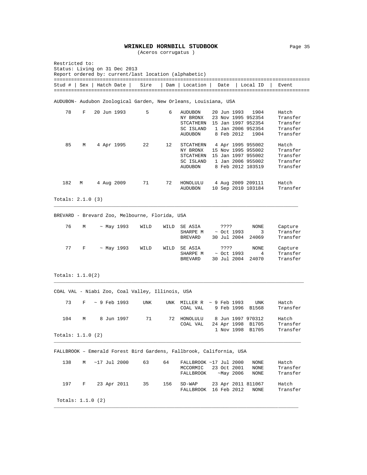#### **WRINKLED HORNBILL STUDBOOK** Page 35

(Aceros corrugatus )

| Restricted to:      |   | Status: Living on 31 Dec 2013 |                  |                                                  |      | Report ordered by: current/last location (alphabetic)               |      |                                 |                                                                                                         |                                                       |
|---------------------|---|-------------------------------|------------------|--------------------------------------------------|------|---------------------------------------------------------------------|------|---------------------------------|---------------------------------------------------------------------------------------------------------|-------------------------------------------------------|
|                     |   | Stud #   Sex   Hatch Date     |                  | Sire                                             |      | Dam   Location                                                      | Date |                                 | Local ID                                                                                                | Event                                                 |
|                     |   |                               |                  |                                                  |      | AUDUBON- Audubon Zoological Garden, New Orleans, Louisiana, USA     |      |                                 |                                                                                                         |                                                       |
| 78                  | F | 20 Jun 1993                   |                  | 5                                                | 6    | AUDUBON<br>NY BRONX<br>STCATHERN<br>SC ISLAND<br><b>AUDUBON</b>     |      | 20 Jun 1993<br>8 Feb 2012       | 1904<br>23 Nov 1995 952354<br>15 Jan 1997 952354<br>1 Jan 2006 952354<br>1904                           | Hatch<br>Transfer<br>Transfer<br>Transfer<br>Transfer |
| 85                  | М | 4 Apr 1995                    |                  | 22                                               | 12   | STCATHERN<br>NY BRONX<br>STCATHERN<br>SC ISLAND<br><b>AUDUBON</b>   |      |                                 | 4 Apr 1995 955002<br>15 Nov 1995 955002<br>15 Jan 1997 955002<br>1 Jan 2006 955002<br>8 Feb 2012 103519 | Hatch<br>Transfer<br>Transfer<br>Transfer<br>Transfer |
| 182                 | M | 4 Aug 2009                    |                  | 71                                               | 72   | HONOLULU<br>AUDUBON                                                 |      |                                 | 4 Aug 2009 209111<br>10 Sep 2010 103184                                                                 | Hatch<br>Transfer                                     |
| Totals: $2.1.0$ (3) |   |                               |                  |                                                  |      |                                                                     |      |                                 |                                                                                                         |                                                       |
|                     |   |                               |                  | BREVARD - Brevard Zoo, Melbourne, Florida, USA   |      |                                                                     |      |                                 |                                                                                                         |                                                       |
| 76                  | М |                               | ~ May 1993       | WILD                                             | WILD | SE ASIA<br>SHARPE M<br><b>BREVARD</b>                               | ???? | $~\sim$ Oct 1993<br>30 Jul 2004 | NONE<br>3<br>24069                                                                                      | Capture<br>Transfer<br>Transfer                       |
| 77                  | F |                               | $~\sim$ May 1993 | WILD                                             | WILD | SE ASIA<br>SHARPE M<br><b>BREVARD</b>                               | ???? | $~\sim$ Oct 1993<br>30 Jul 2004 | NONE<br>4<br>24070                                                                                      | Capture<br>Transfer<br>Transfer                       |
| Totals: $1.1.0(2)$  |   |                               |                  |                                                  |      |                                                                     |      |                                 |                                                                                                         |                                                       |
|                     |   |                               |                  | COAL VAL - Niabi Zoo, Coal Valley, Illinois, USA |      |                                                                     |      |                                 |                                                                                                         |                                                       |
| 73                  | F | $\sim$ 9 Feb 1993             |                  | UNK                                              |      | UNK MILLER R<br>COAL VAL                                            |      | $\sim$ 9 Feb 1993<br>9 Feb 1996 | UNK<br>B1568                                                                                            | Hatch<br>Transfer                                     |
| 104                 | М |                               | 8 Jun 1997       | 71                                               |      | 72 HONOLULU<br>COAL VAL                                             |      |                                 | 8 Jun 1997 970312<br>24 Apr 1998 B1705<br>1 Nov 1998 B1705                                              | Hatch<br>Transfer<br>Transfer                         |
| Totals: $1.1.0$ (2) |   |                               |                  |                                                  |      |                                                                     |      |                                 |                                                                                                         |                                                       |
|                     |   |                               |                  |                                                  |      | FALLBROOK - Emerald Forest Bird Gardens, Fallbrook, California, USA |      |                                 |                                                                                                         |                                                       |
| 138                 | М | $~17$ Jul 2000                |                  | 63                                               | 64   | FALLBROOK ~17 Jul 2000<br>MCCORMIC<br>FALLBROOK                     |      | 23 Oct 2001<br>$~\sim$ May 2006 | NONE<br>NONE<br>NONE                                                                                    | Hatch<br>Transfer<br>Transfer                         |
| 197                 | F | 23 Apr 2011                   |                  | 35                                               | 156  | $SD-WAP$<br>FALLBROOK 16 Feb 2012                                   |      |                                 | 23 Apr 2011 811067<br>NONE                                                                              | Hatch<br>Transfer                                     |
| Totals: $1.1.0$ (2) |   |                               |                  |                                                  |      |                                                                     |      |                                 |                                                                                                         |                                                       |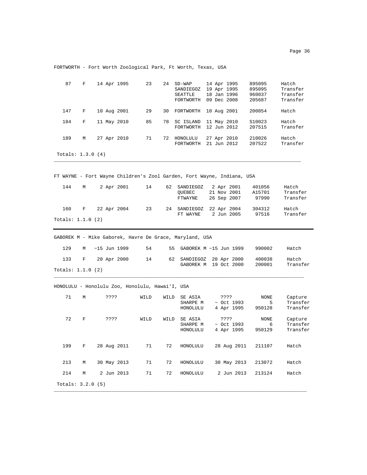| 87                  | F |      | 14 Apr 1995    | 23                                              |      | 24 SD-WAP<br>SANDIEGOZ<br>SEATTLE<br>FORTWORTH          | 14 Apr 1995<br>19 Apr 1995<br>18 Jan 1996<br>09 Dec 2008               | 895095<br>895095<br>960037<br>205687 | Hatch<br>Transfer<br>Transfer<br>Transfer |
|---------------------|---|------|----------------|-------------------------------------------------|------|---------------------------------------------------------|------------------------------------------------------------------------|--------------------------------------|-------------------------------------------|
| 147                 | F |      | 10 Aug 2001    | 29                                              | 30   | FORTWORTH                                               | 10 Aug 2001                                                            | 200854                               | Hatch                                     |
| 184                 | F |      | 11 May 2010    | 85                                              | 78   | SC ISLAND<br>FORTWORTH                                  | 11 May 2010<br>12 Jun 2012                                             | S10023<br>207515                     | Hatch<br>Transfer                         |
| 189                 | М |      | 27 Apr 2010    | 71                                              |      | 72 HONOLULU<br>FORTWORTH                                | 27 Apr 2010<br>21 Jun 2012                                             | 210026<br>207522                     | Hatch<br>Transfer                         |
| Totals: $1.3.0(4)$  |   |      |                |                                                 |      |                                                         |                                                                        |                                      |                                           |
|                     |   |      |                |                                                 |      |                                                         | FT WAYNE - Fort Wayne Children's Zool Garden, Fort Wayne, Indiana, USA |                                      |                                           |
| 144                 | М |      | 2 Apr 2001     | 14                                              | 62   | SANDIEGOZ<br>QUEBEC<br>FTWAYNE                          | 2 Apr 2001<br>21 Nov 2001<br>26 Sep 2007                               | 401056<br>A15701<br>97990            | Hatch<br>Transfer<br>Transfer             |
| 160                 | F |      | 22 Apr 2004    | 23                                              | 24   | SANDIEGOZ                                               | 22 Apr 2004                                                            | 304312                               | Hatch                                     |
| Totals: $1.1.0$ (2) |   |      |                |                                                 |      | FT WAYNE                                                | 2 Jun 2005                                                             | 97516                                | Transfer                                  |
|                     |   |      |                |                                                 |      | GABOREK M - Mike Gaborek, Havre De Grace, Maryland, USA |                                                                        |                                      |                                           |
| 129                 | М |      | $~15$ Jun 1999 | 54                                              | 55   |                                                         | GABOREK M ~15 Jun 1999                                                 | 990002                               | Hatch                                     |
| 133                 | F |      | 20 Apr 2000    | 14                                              | 62   | SANDIEGOZ                                               | 20 Apr 2000<br>GABOREK M 19 Oct 2000                                   | 400038<br>200001                     | Hatch<br>Transfer                         |
| Totals: $1.1.0$ (2) |   |      |                |                                                 |      |                                                         |                                                                        |                                      |                                           |
|                     |   |      |                | HONOLULU - Honolulu Zoo, Honolulu, Hawai'I, USA |      |                                                         |                                                                        |                                      |                                           |
| 71                  | М | ???? |                |                                                 |      |                                                         |                                                                        |                                      |                                           |
|                     |   |      |                | WILD                                            | WILD | SE ASIA<br>SHARPE M<br>HONOLULU                         | ????<br>$~\sim$ Oct 1993<br>4 Apr 1995                                 | NONE<br>5<br>950128                  | Capture<br>Transfer<br>Transfer           |
| 72                  | F | ???? |                | WILD                                            | WILD | SE ASIA<br>SHARPE M<br>HONOLULU                         | ????<br>$\sim$ Oct 1993<br>4 Apr 1995                                  | NONE<br>6<br>950129                  | Capture<br>Transfer<br>Transfer           |
| 199                 | F |      | 28 Aug 2011    | 71                                              | 72   | HONOLULU                                                | 28 Aug 2011                                                            | 211107                               | Hatch                                     |
| 213                 | М |      | 30 May 2013    | 71                                              | 72   | HONOLULU                                                | 30 May 2013                                                            | 213072                               | Hatch                                     |
| 214                 | М |      | 2 Jun 2013     | 71                                              | 72   | HONOLULU                                                | 2 Jun 2013                                                             | 213124                               | Hatch                                     |

FORTWORTH - Fort Worth Zoological Park, Ft Worth, Texas, USA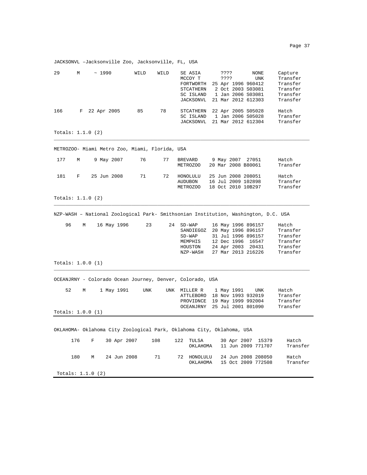JACKSONVL –Jacksonville Zoo, Jacksonville, FL, USA

| 29  | М   |                     | ~1990       | WILD                                           | WILD | SE ASIA<br>MCCOY T<br>FORTWORTH<br>STCATHERN<br>SC ISLAND<br>JACKSONVL             | ????<br>????                                                   | NONE<br>UNK<br>25 Apr 1996 960412<br>2 Oct 2003 S03081<br>1 Jan 2006 S03081<br>21 Mar 2012 612303                              | Capture<br>Transfer<br>Transfer<br>Transfer<br>Transfer<br>Transfer |
|-----|-----|---------------------|-------------|------------------------------------------------|------|------------------------------------------------------------------------------------|----------------------------------------------------------------|--------------------------------------------------------------------------------------------------------------------------------|---------------------------------------------------------------------|
| 166 | F   |                     | 22 Apr 2005 | 85                                             | 78   | STCATHERN<br>SC ISLAND<br>JACKSONVL                                                |                                                                | 22 Apr 2005 S05028<br>1 Jan 2006 S05028<br>21 Mar 2012 612304                                                                  | Hatch<br>Transfer<br>Transfer                                       |
|     |     | Totals: $1.1.0$ (2) |             |                                                |      |                                                                                    |                                                                |                                                                                                                                |                                                                     |
|     |     |                     |             | METROZOO- Miami Metro Zoo, Miami, Florida, USA |      |                                                                                    |                                                                |                                                                                                                                |                                                                     |
| 177 | М   |                     | 9 May 2007  | 76                                             | 77   | BREVARD<br>METROZOO                                                                | 9 May 2007 27051<br>20 Mar 2008 B80061                         |                                                                                                                                | Hatch<br>Transfer                                                   |
| 181 | F   |                     | 25 Jun 2008 | 71                                             | 72   | HONOLULU<br>AUDUBON<br>METROZOO                                                    | 25 Jun 2008 208051<br>16 Jul 2009 102898<br>18 Oct 2010 10B297 |                                                                                                                                | Hatch<br>Transfer<br>Transfer                                       |
|     |     | Totals: $1.1.0$ (2) |             |                                                |      |                                                                                    |                                                                |                                                                                                                                |                                                                     |
|     |     |                     |             |                                                |      | NZP-WASH - National Zoological Park- Smithsonian Institution, Washington, D.C. USA |                                                                |                                                                                                                                |                                                                     |
| 96  | M   |                     | 16 May 1996 | 23                                             |      | 24 SD-WAP<br>SANDIEGOZ<br>$SD-WAP$<br>MEMPHIS<br>HOUSTON<br>NZP-WASH               |                                                                | 16 May 1996 896157<br>20 May 1996 896157<br>31 Jul 1996 896157<br>12 Dec 1996 16547<br>24 Apr 2003 20431<br>27 Mar 2013 216226 | Hatch<br>Transfer<br>Transfer<br>Transfer<br>Transfer<br>Transfer   |
|     |     | Totals: $1.0.0$ (1) |             |                                                |      |                                                                                    |                                                                |                                                                                                                                |                                                                     |
|     |     |                     |             |                                                |      | OCEANJRNY - Colorado Ocean Journey, Denver, Colorado, USA                          |                                                                |                                                                                                                                |                                                                     |
| 52  | М   |                     | 1 May 1991  | UNK                                            |      | UNK MILLER R<br>PROVIDNCE<br>OCEANJRNY                                             | 1 May 1991<br>ATTLEBORO 18 Nov 1993 932019                     | UNK<br>19 May 1999 992004<br>25 Jul 2001 801090                                                                                | Hatch<br>Transfer<br>Transfer<br>Transfer                           |
|     |     | Totals: $1.0.0$ (1) |             |                                                |      |                                                                                    |                                                                |                                                                                                                                |                                                                     |
|     |     |                     |             |                                                |      | OKLAHOMA- Oklahoma City Zoological Park, Oklahoma City, Oklahoma, USA              |                                                                |                                                                                                                                |                                                                     |
|     | 176 | F                   | 30 Apr 2007 |                                                | 108  | 122<br>TULSA<br>OKLAHOMA                                                           | 30 Apr 2007                                                    | 15379<br>11 Jun 2009 771707                                                                                                    | Hatch<br>Transfer                                                   |
|     | 180 | М                   | 24 Jun 2008 |                                                | 71   | 72 HONOLULU<br>OKLAHOMA                                                            |                                                                | 24 Jun 2008 208050<br>15 Oct 2009 772508                                                                                       | Hatch<br>Transfer                                                   |
|     |     | Totals: $1.1.0$ (2) |             |                                                |      |                                                                                    |                                                                |                                                                                                                                |                                                                     |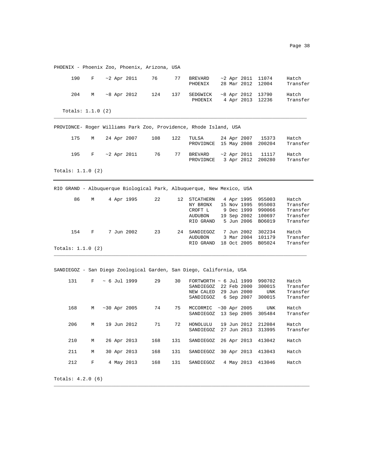| <b>LIIOFIATV</b>           |   |  |                   | FROGHIA 200, FROGHIA, ALIZONA, OSA |     |                                                                                |  |                            |                                                                                              |                                                       |
|----------------------------|---|--|-------------------|------------------------------------|-----|--------------------------------------------------------------------------------|--|----------------------------|----------------------------------------------------------------------------------------------|-------------------------------------------------------|
| 190                        | F |  | $\sim$ 2 Apr 2011 | 76                                 | 77  | BREVARD<br>PHOENIX                                                             |  |                            | $~2$ Apr 2011 11074<br>28 Mar 2012 12004                                                     | Hatch<br>Transfer                                     |
| 204                        | M |  | $~8$ Apr 2012     | 124                                | 137 | SEDGWICK<br>PHOENIX                                                            |  |                            | $~8$ Apr 2012 13790<br>4 Apr 2013 12236                                                      | Hatch<br>Transfer                                     |
| Totals: $1.1.0$ (2)        |   |  |                   |                                    |     |                                                                                |  |                            |                                                                                              |                                                       |
|                            |   |  |                   |                                    |     | PROVIDNCE- Roger Williams Park Zoo, Providence, Rhode Island, USA              |  |                            |                                                                                              |                                                       |
| 175                        | M |  | 24 Apr 2007       | 108                                | 122 | TULSA<br>PROVIDNCE                                                             |  | 24 Apr 2007<br>15 May 2008 | 15373<br>200204                                                                              | Hatch<br>Transfer                                     |
| 195                        | F |  | ~2 Apr 2011       | 76                                 | 77  | BREVARD<br>PROVIDNCE                                                           |  | $~2$ Apr 2011              | 11117<br>3 Apr 2012 200280                                                                   | Hatch<br>Transfer                                     |
| Totals: $1.1.0$ $(2)$      |   |  |                   |                                    |     |                                                                                |  |                            |                                                                                              |                                                       |
|                            |   |  |                   |                                    |     | RIO GRAND - Albuquerque Biological Park, Albuquerque, New Mexico, USA          |  |                            |                                                                                              |                                                       |
| 86                         | М |  | 4 Apr 1995        | 22                                 |     | 12 STCATHERN<br>NY BRONX<br>CROFT L<br>AUDUBON<br>RIO GRAND                    |  | 4 Apr 1995                 | 955003<br>15 Nov 1995 955003<br>9 Dec 1999 990066<br>19 Sep 2002 100697<br>5 Jun 2006 B06019 | Hatch<br>Transfer<br>Transfer<br>Transfer<br>Transfer |
| 154<br>Totals: $1.1.0$ (2) | F |  | 7 Jun 2002        | 23                                 |     | 24 SANDIEGOZ<br><b>AUDUBON</b><br>RIO GRAND                                    |  |                            | 7 Jun 2002 302234<br>3 Mar 2004 101179<br>18 Oct 2005 B05024                                 | Hatch<br>Transfer<br>Transfer                         |
|                            |   |  |                   |                                    |     | SANDIEGOZ - San Diego Zoological Garden, San Diego, California, USA            |  |                            |                                                                                              |                                                       |
| 131                        | F |  | ~ 6 Jul 1999      | 29                                 | 30  | FORTWORTH $\sim 6$ Jul 1999<br>SANDIEGOZ<br>NEW CALED 29 Jun 2000<br>SANDIEGOZ |  | 22 Feb 2000<br>6 Sep 2007  | 990702<br>300015<br>UNK<br>300015                                                            | Hatch<br>Transfer<br>Transfer<br>Transfer             |
| 168                        | М |  | $~10$ Apr 2005    | 74                                 | 75  | MCCORMIC ~30 Apr 2005<br>SANDIEGOZ                                             |  | 13 Sep 2005                | UNK<br>305484                                                                                | Hatch<br>Transfer                                     |
| 206                        | М |  | 19 Jun 2012       | 71                                 | 72  | HONOLULU<br>SANDIEGOZ                                                          |  |                            | 19 Jun 2012 212084<br>27 Jun 2013 313995                                                     | Hatch<br>Transfer                                     |
| 210                        | М |  | 26 Apr 2013       | 168                                | 131 | SANDIEGOZ                                                                      |  |                            | 26 Apr 2013 413042                                                                           | Hatch                                                 |
| 211                        | М |  | 30 Apr 2013       | 168                                | 131 | SANDIEGOZ                                                                      |  |                            | 30 Apr 2013 413043                                                                           | Hatch                                                 |
| 212                        | F |  | 4 May 2013        | 168                                | 131 | SANDIEGOZ                                                                      |  | 4 May 2013                 | 413046                                                                                       | Hatch                                                 |
|                            |   |  |                   |                                    |     |                                                                                |  |                            |                                                                                              |                                                       |

\_\_\_\_\_\_\_\_\_\_\_\_\_\_\_\_\_\_\_\_\_\_\_\_\_\_\_\_\_\_\_\_\_\_\_\_\_\_\_\_\_\_\_\_\_\_\_\_\_\_\_\_\_\_\_\_\_\_\_\_\_\_\_\_\_\_\_\_\_\_\_\_\_\_\_\_\_\_\_\_\_\_\_\_\_\_\_\_\_

PHOENIX - Phoenix Zoo, Phoenix, Arizona, USA

Totals: 4.2.0 (6)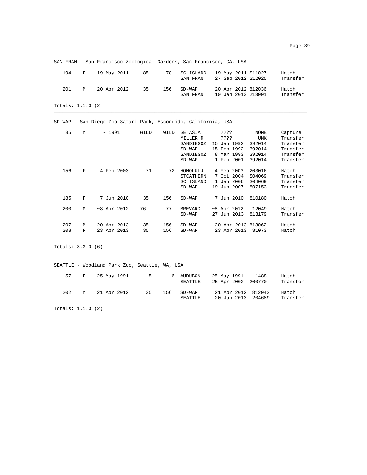SAN FRAN – San Francisco Zoological Gardens, San Francisco, CA, USA

| 194 | $\mathbf{F}$ and $\mathbf{F}$ | 19 May 2011 | 85 | 78  | SC ISLAND<br>SAN FRAN | 19 May 2011 S11027<br>27 Sep 2012 212025 | Hatch<br>Transfer |
|-----|-------------------------------|-------------|----|-----|-----------------------|------------------------------------------|-------------------|
| 201 | M                             | 20 Apr 2012 | 35 | 156 | $SD-WAP$<br>SAN FRAN  | 20 Apr 2012 812036<br>10 Jan 2013 213001 | Hatch<br>Transfer |

\_\_\_\_\_\_\_\_\_\_\_\_\_\_\_\_\_\_\_\_\_\_\_\_\_\_\_\_\_\_\_\_\_\_\_\_\_\_\_\_\_\_\_\_\_\_\_\_\_\_\_\_\_\_\_\_\_\_\_\_\_\_\_\_\_\_\_\_\_\_\_\_\_\_\_\_\_\_\_\_\_\_\_\_\_\_\_\_

Totals: 1.1.0 (2

SD-WAP - San Diego Zoo Safari Park, Escondido, California, USA

| 35         | М      | ~1991                      | WILD     | WILD       | SE ASIA<br>MILLER R<br>SANDIEGOZ<br>$SD-WAP$<br>SANDIEGOZ<br>$SD-WAP$ | ????<br>????<br>Jan 1992<br>15<br>Feb 1992<br>15<br>Mar 1993<br>8<br>1 Feb 2001 | NONE<br><b>UNK</b><br>392014<br>392014<br>392014<br>392014 | Capture<br>Transfer<br>Transfer<br>Transfer<br>Transfer<br>Transfer |
|------------|--------|----------------------------|----------|------------|-----------------------------------------------------------------------|---------------------------------------------------------------------------------|------------------------------------------------------------|---------------------------------------------------------------------|
| 156        | F      | 4 Feb 2003                 | 71       | 72         | HONOLULU<br>STCATHERN<br>SC ISLAND<br>$SD-WAP$                        | 4 Feb 2003<br>7 Oct 2004<br>1 Jan 2006<br>Jun 2007<br>19                        | 203016<br>S04069<br>S04069<br>807153                       | Hatch<br>Transfer<br>Transfer<br>Transfer                           |
| 185        | F      | 7 Jun 2010                 | 35       | 156        | $SD-WAP$                                                              | 7 Jun 2010                                                                      | 810180                                                     | Hatch                                                               |
| 200        | М      | $~8$ Apr 2012              | 76       | 77         | <b>BREVARD</b><br>$SD-WAP$                                            | $~8$ Apr 2012<br>27<br>Jun 2013                                                 | 12049<br>813179                                            | Hatch<br>Transfer                                                   |
| 207<br>208 | М<br>F | 20 Apr 2013<br>23 Apr 2013 | 35<br>35 | 156<br>156 | $SD-WAP$<br>$SD-WAP$                                                  | 20 Apr 2013 813062<br>23 Apr 2013                                               | 81073                                                      | Hatch<br>Hatch                                                      |

Totals: 3.3.0 (6)

SEATTLE - Woodland Park Zoo, Seattle, WA, USA 57 F 25 May 1991 5 6 AUDUBON 25 May 1991 1488 Hatch SEATTLE 25 Apr 2002 200770 Transfer 202 M 21 Apr 2012 35 156 SD-WAP 21 Apr 2012 812042 Hatch 20 Jun 2013 204689 Totals: 1.1.0 (2) \_\_\_\_\_\_\_\_\_\_\_\_\_\_\_\_\_\_\_\_\_\_\_\_\_\_\_\_\_\_\_\_\_\_\_\_\_\_\_\_\_\_\_\_\_\_\_\_\_\_\_\_\_\_\_\_\_\_\_\_\_\_\_\_\_\_\_\_\_\_\_\_\_\_\_\_\_\_\_\_\_\_\_\_\_\_\_\_\_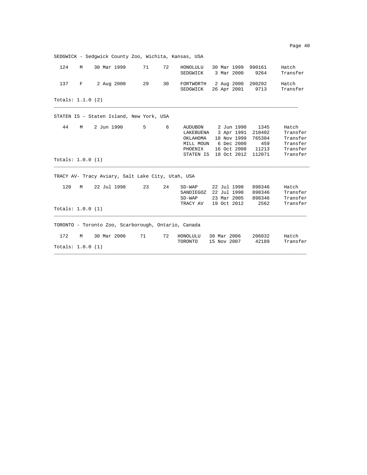|                          |   | SEDGWICK - Sedqwick County Zoo, Wichita, Kansas, USA |    |     |                                                          |                                                                                               |                                                    |                                                                   |
|--------------------------|---|------------------------------------------------------|----|-----|----------------------------------------------------------|-----------------------------------------------------------------------------------------------|----------------------------------------------------|-------------------------------------------------------------------|
| 124                      | M | 30 Mar 1999                                          | 71 | 72  | HONOLULU<br>SEDGWICK                                     | 30 Mar 1999<br>3 Mar 2000                                                                     | 990161<br>9264                                     | Hatch<br>Transfer                                                 |
| 137                      | F | 2 Aug 2000                                           | 29 | 30  | SEDGWICK                                                 | FORTWORTH 2 Aug 2000<br>26 Apr 2001                                                           | 200292<br>9713                                     | Hatch<br>Transfer                                                 |
| Totals: $1.1.0$ (2)      |   |                                                      |    |     |                                                          |                                                                                               |                                                    |                                                                   |
|                          |   | STATEN IS - Staten Island, New York, USA             |    |     |                                                          |                                                                                               |                                                    |                                                                   |
| 44<br>Totals: $1.0.0(1)$ | M | 2 Jun 1990                                           | 5  | 6   | AUDUBON<br>LAKEBUENA<br>OKLAHOMA<br>PHOENIX<br>STATEN IS | 2 Jun 1990<br>3 Apr 1991<br>18 Nov 1999<br>MILL MOUN 6 Dec 2000<br>16 Oct 2008<br>18 Oct 2012 | 1345<br>210402<br>765304<br>459<br>11213<br>112071 | Hatch<br>Transfer<br>Transfer<br>Transfer<br>Transfer<br>Transfer |
|                          |   |                                                      |    |     |                                                          |                                                                                               |                                                    |                                                                   |
|                          |   | TRACY AV- Tracy Aviary, Salt Lake City, Utah, USA    |    |     |                                                          |                                                                                               |                                                    |                                                                   |
| 120                      | M | 22 Jul 1998                                          | 23 | 2.4 | $SD-WAP$<br>SD-WAP<br>TRACY AV                           | 22 Jul 1998<br>SANDIEGOZ 22 Jul 1998<br>23 Mar 2005<br>19 Oct 2012                            | 898346<br>898346<br>898346<br>2562                 | Hatch<br>Transfer<br>Transfer<br>Transfer                         |
| Totals: 1.0.0 (1)        |   |                                                      |    |     |                                                          |                                                                                               |                                                    |                                                                   |
|                          |   | TORONTO - Toronto Zoo, Scarborough, Ontario, Canada  |    |     |                                                          |                                                                                               |                                                    |                                                                   |
| 172                      | M | 30 Mar 2006                                          | 71 | 72  | HONOLULU<br>TORONTO                                      | 30 Mar 2006<br>15 Nov 2007                                                                    | 206032<br>42189                                    | Hatch<br>Transfer                                                 |
| Totals: $1.0.0$ (1)      |   |                                                      |    |     |                                                          |                                                                                               |                                                    |                                                                   |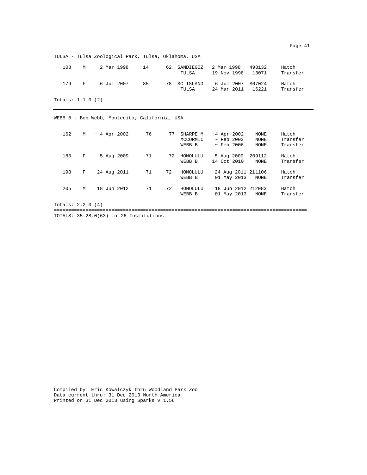TULSA - Tulsa Zoological Park, Tulsa, Oklahoma, USA

| 108 | м        | 2 Mar 1998 | 14 | 62 SANDIEGOZ<br>TULSA | 2 Mar 1998<br>19 Nov 1998 13071        | 498132 | Hatch<br>Transfer |
|-----|----------|------------|----|-----------------------|----------------------------------------|--------|-------------------|
| 179 | <b>P</b> | 6 Jul 2007 | 85 | 78 SC ISLAND<br>TULSA | 6 Jul 2007 S07024<br>24 Mar 2011 16221 |        | Hatch<br>Transfer |

Totals: 1.1.0 (2)

WEBB B - Bob Webb, Montecito, California, USA

| 162                | M |  | $~\sim~4$ Apr 2002 | 76 | 77 | SHARPE M<br>MCCORMIC<br>WEBB B | $~1$ Apr 2002<br>$\sim$ Feb 2003<br>$\sim$ Feb 2006 | NONE<br><b>NONE</b><br>NONE | Hatch<br>Transfer<br>Transfer |
|--------------------|---|--|--------------------|----|----|--------------------------------|-----------------------------------------------------|-----------------------------|-------------------------------|
| 183                | F |  | 5 Aug 2009         | 71 | 72 | HONOLULU<br>WEBB B             | 5 Aug 2009<br>14 Oct 2010                           | 209112<br>NONE              | Hatch<br>Transfer             |
| 198                | F |  | 24 Aug 2011        | 71 | 72 | HONOLULU<br>WEBB B             | 24 Aug 2011 211106<br>01 May 2013                   | NONE                        | Hatch<br>Transfer             |
| 205                | M |  | 18 Jun 2012        | 71 | 72 | HONOLULU<br>WEBB B             | 18 Jun 2012 212083<br>01 May 2013                   | NONE                        | Hatch<br>Transfer             |
| Totals: $2.2.0(4)$ |   |  |                    |    |    |                                |                                                     |                             |                               |

TOTALS: 35.28.0(63) in 26 Institutions

Compiled by: Eric Kowalczyk thru Woodland Park Zoo Data current thru: 31 Dec 2013 North America Printed on 31 Dec 2013 using Sparks v 1.56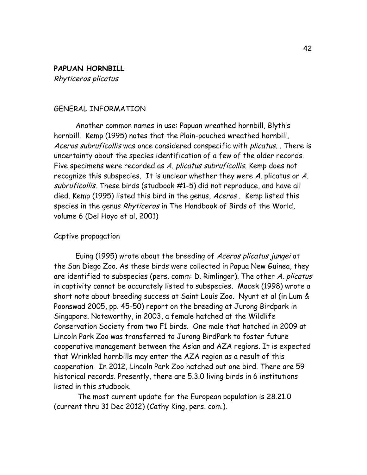## **PAPUAN HORNBILL** Rhyticeros plicatus

### GENERAL INFORMATION

Another common names in use: Papuan wreathed hornbill, Blyth's hornbill. Kemp (1995) notes that the Plain-pouched wreathed hornbill, Aceros subruficollis was once considered conspecific with plicatus. . There is uncertainty about the species identification of a few of the older records. Five specimens were recorded as A. plicatus subruficollis. Kemp does not recognize this subspecies. It is unclear whether they were A. plicatus or A. subruficollis. These birds (studbook #1-5) did not reproduce, and have all died. Kemp (1995) listed this bird in the genus, Aceros. Kemp listed this species in the genus Rhyticeros in The Handbook of Birds of the World, volume 6 (Del Hoyo et al, 2001)

#### Captive propagation

Euing (1995) wrote about the breeding of Aceros plicatus jungei at the San Diego Zoo. As these birds were collected in Papua New Guinea, they are identified to subspecies (pers. comm: D. Rimlinger). The other A. plicatus in captivity cannot be accurately listed to subspecies. Macek (1998) wrote a short note about breeding success at Saint Louis Zoo. Nyunt et al (in Lum & Poonswad 2005, pp. 45-50) report on the breeding at Jurong Birdpark in Singapore. Noteworthy, in 2003, a female hatched at the Wildlife Conservation Society from two F1 birds. One male that hatched in 2009 at Lincoln Park Zoo was transferred to Jurong BirdPark to foster future cooperative management between the Asian and AZA regions. It is expected that Wrinkled hornbills may enter the AZA region as a result of this cooperation. In 2012, Lincoln Park Zoo hatched out one bird. There are 59 historical records. Presently, there are 5.3.0 living birds in 6 institutions listed in this studbook.

The most current update for the European population is 28.21.0 (current thru 31 Dec 2012) (Cathy King, pers. com.).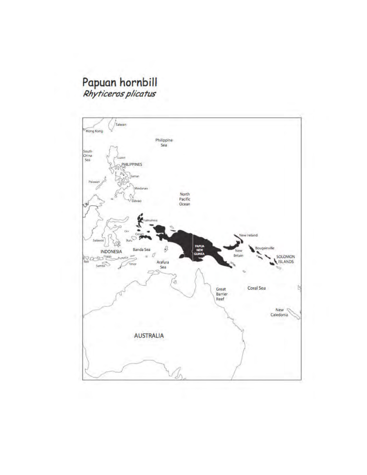# Papuan hornbill<br>Rhyticeros plicatus

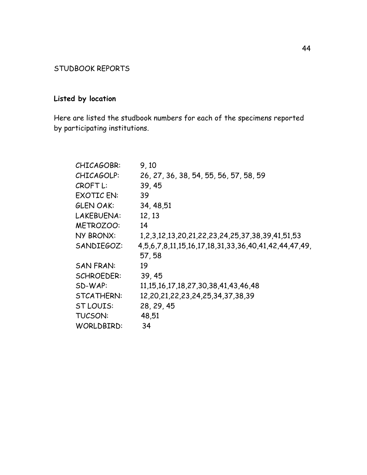# STUDBOOK REPORTS

# **Listed by location**

Here are listed the studbook numbers for each of the specimens reported by participating institutions.

| 9,10                                                            |
|-----------------------------------------------------------------|
| 26, 27, 36, 38, 54, 55, 56, 57, 58, 59                          |
| 39, 45                                                          |
| 39                                                              |
| 34, 48, 51                                                      |
| 12, 13                                                          |
| 14                                                              |
| 1, 2, 3, 12, 13, 20, 21, 22, 23, 24, 25, 37, 38, 39, 41, 51, 53 |
| 4,5,6,7,8,11,15,16,17,18,31,33,36,40,41,42,44,47,49,            |
| 57,58                                                           |
| 19                                                              |
| 39, 45                                                          |
| 11, 15, 16, 17, 18, 27, 30, 38, 41, 43, 46, 48                  |
| 12,20,21,22,23,24,25,34,37,38,39                                |
| 28, 29, 45                                                      |
| 48,51                                                           |
| 34                                                              |
|                                                                 |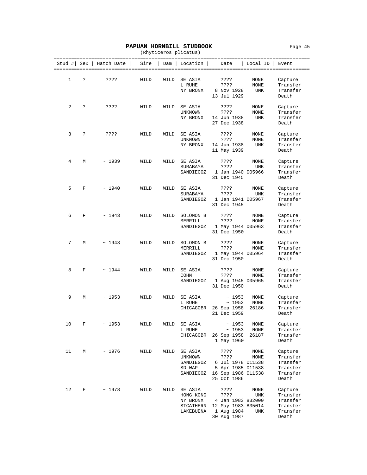#### PAPUAN HORNBILL STUDBOOK Page 45

|        |     |                                                      |                                 |      | (Rhyticeros plicatus)                                      |                                                                                             |                       |                                                                   |
|--------|-----|------------------------------------------------------|---------------------------------|------|------------------------------------------------------------|---------------------------------------------------------------------------------------------|-----------------------|-------------------------------------------------------------------|
| Stud # | Sex | Hatch Date<br>====================================== | =======================<br>Sire | Dam  | Location                                                   | Date                                                                                        | Local ID              | ======================<br>Event<br>============================== |
| 1      | Ċ.  | ????                                                 | WILD                            | WILD | SE ASIA<br>L RUHE<br>NY BRONX                              | ????<br>????<br>8 Nov 1928<br>13 Jul 1929                                                   | NONE<br>NONE<br>UNK   | Capture<br>Transfer<br>Transfer<br>Death                          |
| 2      | ?   | ????                                                 | WILD                            | WILD | SE ASIA<br><b>UNKNOWN</b><br>NY BRONX                      | ????<br>????<br>14 Jun 1938<br>27 Dec 1938                                                  | NONE<br>NONE<br>UNK   | Capture<br>Transfer<br>Transfer<br>Death                          |
| 3      | ?   | ????                                                 | WILD                            | WILD | SE ASIA<br>UNKNOWN<br>NY BRONX                             | ????<br>????<br>14 Jun 1938<br>11 May 1939                                                  | NONE<br>NONE<br>UNK   | Capture<br>Transfer<br>Transfer<br>Death                          |
| 4      | М   | ~1939                                                | WILD                            | WILD | SE ASIA<br>SURABAYA<br>SANDIEGOZ                           | ????<br>????<br>1 Jan 1940 005966<br>31 Dec 1945                                            | NONE<br>UNK           | Capture<br>Transfer<br>Transfer<br>Death                          |
| 5      | F   | ~1940                                                | WILD                            | WILD | SE ASIA<br>SURABAYA<br>SANDIEGOZ                           | ????<br>????<br>1 Jan 1941 005967<br>31 Dec 1945                                            | NONE<br>UNK           | Capture<br>Transfer<br>Transfer<br>Death                          |
| 6      | F   | ~1943                                                | WILD                            | WILD | SOLOMON B<br>MERRILL<br>SANDIEGOZ                          | ????<br>????<br>1 May 1944 005963<br>31 Dec 1950                                            | NONE<br>NONE          | Capture<br>Transfer<br>Transfer<br>Death                          |
| 7      | М   | ~1943                                                | WILD                            | WILD | SOLOMON B<br>MERRILL<br>SANDIEGOZ                          | ????<br>????<br>1 May 1944 005964<br>31 Dec 1950                                            | NONE<br>NONE          | Capture<br>Transfer<br>Transfer<br>Death                          |
| 8      | F   | ~1944                                                | WILD                            | WILD | SE ASIA<br>COHN<br>SANDIEGOZ                               | ????<br>????<br>1 Aug 1945 005965<br>31 Dec 1950                                            | NONE<br>NONE          | Capture<br>Transfer<br>Transfer<br>Death                          |
| 9      | М   | ~1953                                                | WILD                            | WILD | SE ASIA<br>L RUHE<br>CHICAGOBR                             | ~1953<br>~1953<br>26 Sep 1958<br>21 Dec 1959                                                | NONE<br>NONE<br>26186 | Capture<br>Transfer<br>Transfer<br>Death                          |
| 10     | F   | ~1953                                                | WILD                            | WILD | SE ASIA<br>L RUHE<br>CHICAGOBR                             | ~1953<br>~1953<br>26 Sep 1958<br>1 May 1960                                                 | NONE<br>NONE<br>26187 | Capture<br>Transfer<br>Transfer<br>Death                          |
| 11     | М   | ~1976                                                | WILD                            | WILD | SE ASIA<br>UNKNOWN<br>SANDIEGOZ<br>$SD-WAP$<br>SANDIEGOZ   | ????<br>????<br>6 Jul 1978 011538<br>5 Apr 1985 011538<br>16 Sep 1986 011538<br>25 Oct 1986 | NONE<br>NONE          | Capture<br>Transfer<br>Transfer<br>Transfer<br>Transfer<br>Death  |
| 12     | F   | ~1978                                                | WILD                            | WILD | SE ASIA<br>HONG KONG<br>NY BRONX<br>STCATHERN<br>LAKEBUENA | ????<br>????<br>4 Jan 1983 832000<br>12 May 1983 835014<br>1 Aug 1984<br>30 Aug 1987        | NONE<br>UNK<br>UNK    | Capture<br>Transfer<br>Transfer<br>Transfer<br>Transfer<br>Death  |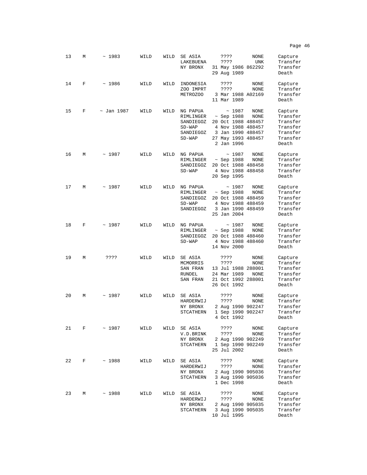| 13 | М | ~1983           | WILD | WILD | SE ASIA<br>LAKEBUENA<br>NY BRONX                                        | ????<br>????<br>31 May 1986 862292<br>29 Aug 1989                                                                            | NONE<br>UNK          | Capture<br>Transfer<br>Transfer<br>Death                                     |
|----|---|-----------------|------|------|-------------------------------------------------------------------------|------------------------------------------------------------------------------------------------------------------------------|----------------------|------------------------------------------------------------------------------|
| 14 | F | $\sim 1986$     | WILD | WILD | INDONESIA<br>ZOO IMPRT<br>METROZOO                                      | ????<br>????<br>3 Mar 1988 A02169<br>11 Mar 1989                                                                             | NONE<br>NONE         | Capture<br>Transfer<br>Transfer<br>Death                                     |
| 15 | F | $\sim$ Jan 1987 | WILD | WILD | NG PAPUA<br>RIMLINGER<br>SANDIEGOZ<br>$SD-WAP$<br>SANDIEGOZ<br>$SD-WAP$ | ~1987<br>$\sim$ Sep 1988<br>20 Oct 1988 488457<br>4 Nov 1988 488457<br>3 Jan 1990 488457<br>27 May 1993 488457<br>2 Jan 1996 | NONE<br>NONE         | Capture<br>Transfer<br>Transfer<br>Transfer<br>Transfer<br>Transfer<br>Death |
| 16 | М | ~1987           | WILD | WILD | NG PAPUA<br>RIMLINGER<br>SANDIEGOZ<br>$SD-WAP$                          | ~1987<br>$~\sim$ Sep 1988<br>20 Oct 1988 488458<br>4 Nov 1988 488458<br>20 Sep 1995                                          | NONE<br>NONE         | Capture<br>Transfer<br>Transfer<br>Transfer<br>Death                         |
| 17 | М | ~1987           | WILD | WILD | NG PAPUA<br>RIMLINGER<br>SANDIEGOZ<br>$SD-WAP$<br>SANDIEGOZ             | ~1987<br>$~\sim$ Sep 1988<br>20 Oct 1988 488459<br>4 Nov 1988 488459<br>3 Jan 1990 488459<br>25 Jan 2004                     | NONE<br>NONE         | Capture<br>Transfer<br>Transfer<br>Transfer<br>Transfer<br>Death             |
| 18 | F | ~1987           | WILD | WILD | NG PAPUA<br>RIMLINGER<br>SANDIEGOZ<br>$SD-WAP$                          | ~1987<br>~ Sep 1988<br>20 Oct 1988 488460<br>4 Nov 1988 488460<br>14 Nov 2000                                                | NONE<br>NONE         | Capture<br>Transfer<br>Transfer<br>Transfer<br>Death                         |
| 19 | М | ????            | WILD | WILD | SE ASIA<br>MCMORRIS<br>SAN FRAN<br>RUNDEL<br>SAN FRAN                   | ????<br>????<br>13 Jul 1988 288001<br>24 Mar 1989<br>21 Oct 1992 288001<br>26 Oct 1992                                       | NONE<br>NONE<br>NONE | Capture<br>Transfer<br>Transfer<br>Transfer<br>Transfer<br>Death             |
| 20 | М | ~1987           | WILD | WILD | SE ASIA<br>HARDERWIJ<br>NY BRONX<br><b>STCATHERN</b>                    | ????<br>????<br>2 Aug 1990 902247<br>1 Sep 1990 902247<br>4 Oct 1992                                                         | NONE<br>NONE         | Capture<br>Transfer<br>Transfer<br>Transfer<br>Death                         |
| 21 | F | $~\sim~1987$    | WILD | WILD | SE ASIA<br>V.D.BRINK<br>NY BRONX<br>STCATHERN                           | ????<br>????<br>2 Aug 1990 902249<br>1 Sep 1990 902249<br>25 Jul 2002                                                        | NONE<br>NONE         | Capture<br>Transfer<br>Transfer<br>Transfer<br>Death                         |
| 22 | F | ~1988           | WILD | WILD | SE ASIA<br>HARDERWIJ<br>NY BRONX<br>STCATHERN                           | ????<br>????<br>2 Aug 1990 905036<br>3 Aug 1990 905036<br>1 Dec 1998                                                         | NONE<br>NONE         | Capture<br>Transfer<br>Transfer<br>Transfer<br>Death                         |
| 23 | М | ~1988           | WILD | WILD | SE ASIA<br>HARDERWIJ<br>NY BRONX<br>STCATHERN                           | ????<br>????<br>2 Aug 1990 905035<br>3 Aug 1990 905035<br>10 Jul 1995                                                        | NONE<br>NONE         | Capture<br>Transfer<br>Transfer<br>Transfer<br>Death                         |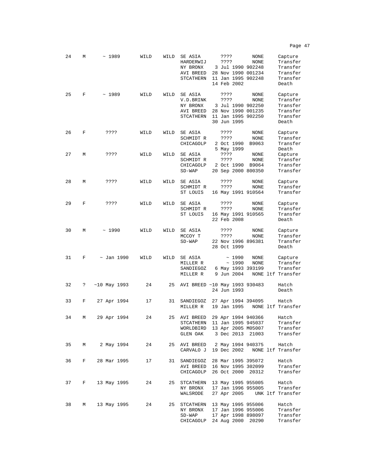| 24 | М | ~1989           | WILD | WILD | SE ASIA<br>HARDERWIJ<br>NY BRONX<br>AVI BREED<br>STCATHERN                          | ????<br>????<br>3 Jul 1990 902248<br>28 Nov 1990 001234<br>11 Jan 1995 902248<br>14 Feb 2002 | NONE<br>NONE          | Capture<br>Transfer<br>Transfer<br>Transfer<br>Transfer<br>Death |
|----|---|-----------------|------|------|-------------------------------------------------------------------------------------|----------------------------------------------------------------------------------------------|-----------------------|------------------------------------------------------------------|
| 25 | F | ~1989           | WILD | WILD | SE ASIA<br>V.D.BRINK<br>NY BRONX<br>AVI BREED<br>STCATHERN                          | ????<br>????<br>3 Jul 1990 902250<br>28 Nov 1990 001235<br>11 Jan 1995 902250<br>30 Jun 1995 | NONE<br>NONE          | Capture<br>Transfer<br>Transfer<br>Transfer<br>Transfer<br>Death |
| 26 | F | ????            | WILD | WILD | SE ASIA<br>SCHMIDT R<br>CHICAGOLP                                                   | ????<br>????<br>2 Oct 1990<br>5 May 1999                                                     | NONE<br>NONE<br>B9063 | Capture<br>Transfer<br>Transfer<br>Death                         |
| 27 | М | ????            | WILD | WILD | SE ASIA<br>SCHMIDT R<br>CHICAGOLP<br>$SD-WAP$                                       | ????<br>????<br>2 Oct 1990<br>20 Sep 2000 800350                                             | NONE<br>NONE<br>B9064 | Capture<br>Transfer<br>Transfer<br>Transfer                      |
| 28 | М | ????            | WILD | WILD | SE ASIA<br>SCHMIDT R<br>ST LOUIS                                                    | ????<br>????<br>16 May 1991 910564                                                           | NONE<br>NONE          | Capture<br>Transfer<br>Transfer                                  |
| 29 | F | ????            | WILD | WILD | SE ASIA<br>SCHMIDT R<br>ST LOUIS                                                    | ????<br>????<br>16 May 1991 910565<br>22 Feb 2008                                            | NONE<br>NONE          | Capture<br>Transfer<br>Transfer<br>Death                         |
| 30 | М | ~1990           | WILD | WILD | SE ASIA<br>MCCOY T<br>$SD-WAP$                                                      | ????<br>????<br>22 Nov 1996 896381<br>28 Oct 1999                                            | NONE<br>NONE          | Capture<br>Transfer<br>Transfer<br>Death                         |
| 31 | F | $\sim$ Jan 1990 | WILD | WILD | SE ASIA<br>MILLER R<br>SANDIEGOZ<br>MILLER R                                        | ~1990<br>~1990<br>6 May 1993 393199<br>9 Jun 2004                                            | NONE<br>NONE          | Capture<br>Transfer<br>Transfer<br>NONE ltf Transfer             |
| 32 | ? | $~10$ May 1993  | 24   | 25   | AVI BREED ~10 May 1993 930483                                                       | 24 Jun 1993                                                                                  |                       | Hatch<br>Death                                                   |
| 33 | F | 27 Apr 1994     | 17   | 31   | SANDIEGOZ<br>MILLER R                                                               | 27 Apr 1994 394095<br>19 Jan 1995                                                            |                       | Hatch<br>NONE ltf Transfer                                       |
| 34 | M | 29 Apr 1994     | 24   | 25   | AVI BREED<br>STCATHERN<br>WORLDBIRD 13 Apr 2005 M05007<br>GLEN OAK 3 Dec 2013 21003 | 29 Apr 1994 940366<br>11 Jan 1995 945037                                                     |                       | Hatch<br>Transfer<br>Transfer<br>Transfer                        |
| 35 | M | 2 May 1994      | 24   |      | 25 AVI BREED 2 May 1994 940375<br>CARVALO J 19 Dec 2002                             |                                                                                              |                       | Hatch<br>NONE ltf Transfer                                       |
| 36 | F | 28 Mar 1995     | 17   |      | 31 SANDIEGOZ 28 Mar 1995 395072<br>AVI BREED 16 Nov 1995 302099<br>CHICAGOLP        | 26 Oct 2000 20312                                                                            |                       | Hatch<br>Transfer<br>Transfer                                    |
| 37 | F | 13 May 1995     | 24   | 25   | STCATHERN 13 May 1995 955005<br>NY BRONX<br>WALSRODE                                | 17 Jan 1996 955005                                                                           |                       | Hatch<br>Transfer<br>27 Apr 2005 UNK ltf Transfer                |
| 38 | М | 13 May 1995     | 24   | 25   | STCATHERN 13 May 1995 955006<br>NY BRONX<br>$SD-WAP$<br>CHICAGOLP                   | 17 Jan 1996 955006<br>17 Apr 1998 898097<br>24 Aug 2000                                      | 20290                 | Hatch<br>Transfer<br>Transfer<br>Transfer                        |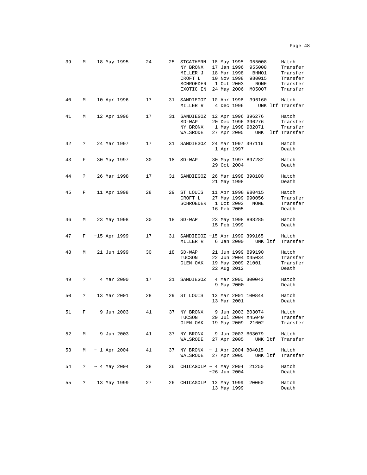| 39 | М                    | 18 May 1995       | 24 | 25 | STCATHERN<br>NY BRONX<br>MILLER J<br>CROFT L<br>SCHROEDER<br>EXOTIC EN |  | 18 May 1995<br>17 Jan 1996<br>18 Mar 1998<br>10 Nov 1998<br>1 Oct 2003<br>24 May 2006 | 955008<br>955008<br>BHMO1<br>980015<br>NONE<br>M05007         |         | Hatch<br>Transfer<br>Transfer<br>Transfer<br>Transfer<br>Transfer |
|----|----------------------|-------------------|----|----|------------------------------------------------------------------------|--|---------------------------------------------------------------------------------------|---------------------------------------------------------------|---------|-------------------------------------------------------------------|
| 40 | M                    | 10 Apr 1996       | 17 |    | 31 SANDIEGOZ<br>MILLER R                                               |  | 10 Apr 1996<br>4 Dec 1996                                                             | 396160                                                        |         | Hatch<br>UNK ltf Transfer                                         |
| 41 | M                    | 12 Apr 1996       | 17 |    | 31 SANDIEGOZ<br>$SD-WAP$<br>NY BRONX<br>WALSRODE                       |  |                                                                                       | 12 Apr 1996 396276<br>20 Dec 1996 396276<br>1 May 1998 982071 |         | Hatch<br>Transfer<br>Transfer<br>27 Apr 2005 UNK ltf Transfer     |
| 42 | $\ddot{?}$           | 24 Mar 1997       | 17 | 31 | SANDIEGOZ                                                              |  | 1 Apr 1997                                                                            | 24 Mar 1997 397116                                            |         | Hatch<br>Death                                                    |
| 43 | F                    | 30 May 1997       | 30 | 18 | $SD-WAP$                                                               |  | 29 Oct 2004                                                                           | 30 May 1997 897282                                            |         | Hatch<br>Death                                                    |
| 44 | $\ddot{ }$           | 26 Mar 1998       | 17 | 31 | SANDIEGOZ                                                              |  | 21 May 1998                                                                           | 26 Mar 1998 398100                                            |         | Hatch<br>Death                                                    |
| 45 | F                    | 11 Apr 1998       | 28 | 29 | ST LOUIS<br>CROFT L<br>SCHROEDER                                       |  | 1 Oct 2003<br>16 Feb 2005                                                             | 11 Apr 1998 980415<br>27 May 1999 990056<br><b>NONE</b>       |         | Hatch<br>Transfer<br>Transfer<br>Death                            |
| 46 | М                    | 23 May 1998       | 30 | 18 | $SD-WAP$                                                               |  | 15 Feb 1999                                                                           | 23 May 1998 898285                                            |         | Hatch<br>Death                                                    |
| 47 | F                    | $~15$ Apr 1999    | 17 | 31 | SANDIEGOZ ~15 Apr 1999 399165<br>MILLER R 6 Jan 2000 UNK ltf Transfer  |  |                                                                                       |                                                               |         | Hatch                                                             |
| 48 | М                    | 21 Jun 1999       | 30 |    | 18 SD-WAP<br>TUCSON<br>GLEN OAK                                        |  | 22 Aug 2012                                                                           | 21 Jun 1999 899190<br>22 Jun 2004 X45034<br>19 May 2009 21001 |         | Hatch<br>Transfer<br>Transfer<br>Death                            |
| 49 | $\ddot{\phantom{0}}$ | 4 Mar 2000        | 17 | 31 | SANDIEGOZ                                                              |  | 9 May 2000                                                                            | 4 Mar 2000 300043                                             |         | Hatch<br>Death                                                    |
| 50 | ?                    | 13 Mar 2001       | 28 | 29 | ST LOUIS                                                               |  | 13 Mar 2001                                                                           | 13 Mar 2001 100844                                            |         | Hatch<br>Death                                                    |
| 51 | F                    | 9 Jun 2003        | 41 | 37 | NY BRONX<br>TUCSON<br>GLEN OAK                                         |  |                                                                                       | 9 Jun 2003 B03074<br>29 Jul 2004 X45040<br>19 May 2009 21002  |         | Hatch<br>Transfer<br>Transfer                                     |
| 52 | М                    | 9 Jun 2003        | 41 |    | 37 NY BRONX<br>WALSRODE                                                |  | 27 Apr 2005                                                                           | 9 Jun 2003 B03079                                             | UNK ltf | Hatch<br>Transfer                                                 |
| 53 | М                    | $\sim$ 1 Apr 2004 | 41 | 37 | NY BRONX ~ 1 Apr 2004 B04015<br>WALSRODE                               |  | 27 Apr 2005                                                                           | UNK ltf                                                       |         | Hatch<br>Transfer                                                 |
| 54 | ?                    | $\sim$ 4 May 2004 | 38 | 36 | $CHICAGOLP \sim 4$ May 2004                                            |  | $~26$ Jun 2004                                                                        | 21250                                                         |         | Hatch<br>Death                                                    |
| 55 | ?                    | 13 May 1999       | 27 | 26 | CHICAGOLP                                                              |  | 13 May 1999<br>13 May 1999                                                            | 20060                                                         |         | Hatch<br>Death                                                    |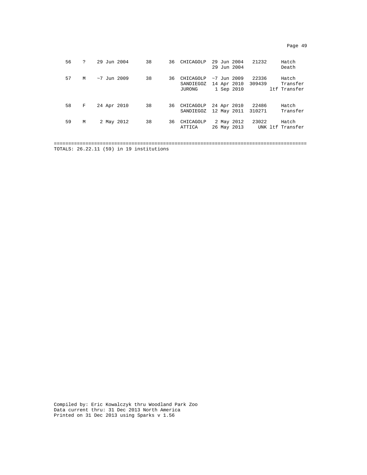| c |  |
|---|--|
|---|--|

| 56 | ? | 29 Jun 2004   | 38 | 36 | CHICAGOLP                        | 29 Jun 2004<br>29 Jun 2004  |             | 21232           | Hatch<br>Death                    |
|----|---|---------------|----|----|----------------------------------|-----------------------------|-------------|-----------------|-----------------------------------|
| 57 | M | $~1$ Jun 2009 | 38 | 36 | CHICAGOLP<br>SANDIEGOZ<br>JURONG | $~1$ Jun 2009<br>1 Sep 2010 | 14 Apr 2010 | 22336<br>309439 | Hatch<br>Transfer<br>ltf Transfer |
| 58 | F | 24 Apr 2010   | 38 |    | 36 CHICAGOLP<br>SANDIEGOZ        | 24 Apr 2010                 | 12 May 2011 | 22486<br>310271 | Hatch<br>Transfer                 |
| 59 | M | 2 May 2012    | 38 | 36 | CHICAGOLP<br>ATTICA              | 2 May 2012                  | 26 May 2013 | 23022           | Hatch<br>UNK ltf Transfer         |
|    |   |               |    |    |                                  |                             |             |                 |                                   |

TOTALS: 26.22.11 (59) in 19 institutions

Compiled by: Eric Kowalczyk thru Woodland Park Zoo Data current thru: 31 Dec 2013 North America Printed on 31 Dec 2013 using Sparks v 1.56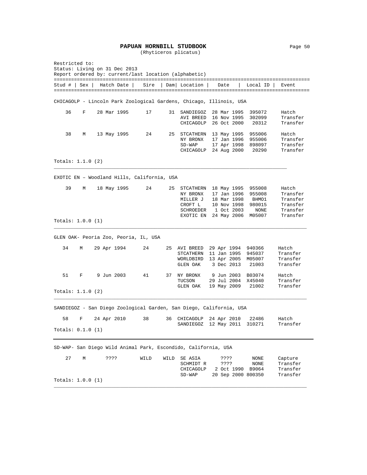#### PAPUAN HORNBILL STUDBOOK Page 50

(Rhyticeros plicatus)

Restricted to: Status: Living on 31 Dec 2013 Report ordered by: current/last location (alphabetic) ========================================================================================= Stud # | Sex | Hatch Date | Sire | Dam| Location | Date | Local ID | Event ========================================================================================= CHICAGOLP - Lincoln Park Zoological Gardens, Chicago, Illinois, USA 36 F 28 Mar 1995 17 31 SANDIEGOZ 28 Mar 1995 395072 Hatch AVI BREED 16 Nov 1995 302099 Transfer CHICAGOLP 26 Oct 2000 20312 Transfer 38 M 13 May 1995 24 25 STCATHERN 13 May 1995 955006 Hatch NY BRONX 17 Jan 1996 955006 SD-WAP 17 Apr 1998 898097 Transfer CHICAGOLP 24 Aug 2000 20290 Transfer Totals: 1.1.0 (2) \_\_\_\_\_\_\_\_\_\_\_\_\_\_\_\_\_\_\_\_\_\_\_\_\_\_\_\_\_\_\_\_\_\_\_\_\_\_\_\_\_\_\_\_\_\_\_\_\_\_\_\_\_\_\_\_\_\_\_\_\_\_\_\_\_\_\_\_\_\_\_\_\_\_\_\_\_\_\_\_\_ EXOTIC EN – Woodland Hills, California, USA 39 M 18 May 1995 24 25 STCATHERN 18 May 1995 955008 Hatch NY BRONX 17 Jan 1996 955008 Transfer MILLER J 18 Mar 1998 BHMO1 Transfer CROFT L 10 Nov 1998 980015 Transfer<br>SCHROEDER 1 Oct 2003 NONE Transfer SCHROEDER 1 Oct 2003 NONE Transfer<br>EXOTIC EN 24 May 2006 M05007 Transfer EXOTIC EN 24 May 2006 M05007 Totals: 1.0.0 (1) \_\_\_\_\_\_\_\_\_\_\_\_\_\_\_\_\_\_\_\_\_\_\_\_\_\_\_\_\_\_\_\_\_\_\_\_\_\_\_\_\_\_\_\_\_\_\_\_\_\_\_\_\_\_\_\_\_\_\_\_\_\_\_\_\_\_\_\_\_\_\_\_\_\_\_\_\_\_\_\_\_\_\_\_\_\_\_\_ GLEN OAK- Peoria Zoo, Peoria, IL, USA 34 M 29 Apr 1994 24 25 AVI BREED 29 Apr 1994 940366 Hatch STCATHERN 11 Jan 1995 945037 Transfer WORLDBIRD 13 Apr 2005 M05007 Transfer GLEN OAK 3 Dec 2013 21003 Transfer 51 F 9 Jun 2003 41 37 NY BRONX 9 Jun 2003 B03074 Hatch 29 Jul 2004 X45040 Transfer<br>19 May 2009 21002 Transfer GLEN OAK 19 May 2009 21002 Totals: 1.1.0 (2) \_\_\_\_\_\_\_\_\_\_\_\_\_\_\_\_\_\_\_\_\_\_\_\_\_\_\_\_\_\_\_\_\_\_\_\_\_\_\_\_\_\_\_\_\_\_\_\_\_\_\_\_\_\_\_\_\_\_\_\_\_\_\_\_\_\_\_\_\_\_\_\_\_\_\_\_\_\_\_\_\_\_\_\_\_\_\_\_ SANDIEGOZ - San Diego Zoological Garden, San Diego, California, USA 58 F 24 Apr 2010 38 36 CHICAGOLP 24 Apr 2010 22486 Hatch SANDIEGOZ 12 May 2011 310271 Totals: 0.1.0 (1) SD-WAP- San Diego Wild Animal Park, Escondido, California, USA 27 M ???? WILD WILD SE ASIA ???? NONE Capture<br>SCHMIDT R ???? NONE Transfer SCHMIDT R ???? NONE Transfer<br>CHICAGOLP 2 Oct 1990 B9064 Transfer CHICAGOLP 2 Oct 1990 B9064 Transfer<br>SD-WAP 20 Sep 2000 800350 Transfer SD-WAP 20 Sep 2000 800350 Totals: 1.0.0 (1) \_\_\_\_\_\_\_\_\_\_\_\_\_\_\_\_\_\_\_\_\_\_\_\_\_\_\_\_\_\_\_\_\_\_\_\_\_\_\_\_\_\_\_\_\_\_\_\_\_\_\_\_\_\_\_\_\_\_\_\_\_\_\_\_\_\_\_\_\_\_\_\_\_\_\_\_\_\_\_\_\_\_\_\_\_\_\_\_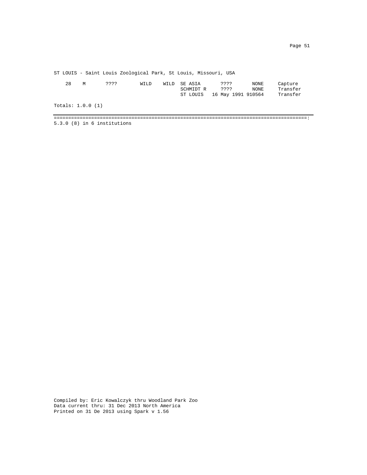ST LOUIS - Saint Louis Zoological Park, St Louis, Missouri, USA

| 28                | M | ???? | WILD | WILD SE ASIA<br>SCHMIDT R | ????<br>????<br>ST LOUIS 16 May 1991 910564 | NONE<br>NONE | Capture<br>Transfer<br>Transfer |
|-------------------|---|------|------|---------------------------|---------------------------------------------|--------------|---------------------------------|
| Totals: 1.0.0 (1) |   |      |      |                           |                                             |              |                                 |

========================================================================================: 5.3.0 (8) in 6 institutions

Compiled by: Eric Kowalczyk thru Woodland Park Zoo Data current thru: 31 Dec 2013 North America Printed on 31 De 2013 using Spark v 1.56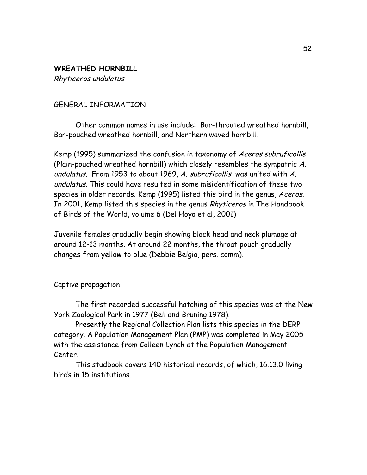# **WREATHED HORNBILL**

Rhyticeros undulatus

# GENERAL INFORMATION

Other common names in use include: Bar-throated wreathed hornbill, Bar-pouched wreathed hornbill, and Northern waved hornbill.

Kemp (1995) summarized the confusion in taxonomy of Aceros subruficollis (Plain-pouched wreathed hornbill) which closely resembles the sympatric A. undulatus. From 1953 to about 1969, A. subruficollis was united with A. undulatus. This could have resulted in some misidentification of these two species in older records. Kemp (1995) listed this bird in the genus, Aceros. In 2001, Kemp listed this species in the genus Rhyticeros in The Handbook of Birds of the World, volume 6 (Del Hoyo et al, 2001)

Juvenile females gradually begin showing black head and neck plumage at around 12-13 months. At around 22 months, the throat pouch gradually changes from yellow to blue (Debbie Belgio, pers. comm).

Captive propagation

The first recorded successful hatching of this species was at the New York Zoological Park in 1977 (Bell and Bruning 1978).

Presently the Regional Collection Plan lists this species in the DERP category. A Population Management Plan (PMP) was completed in May 2005 with the assistance from Colleen Lynch at the Population Management Center.

This studbook covers 140 historical records, of which, 16.13.0 living birds in 15 institutions.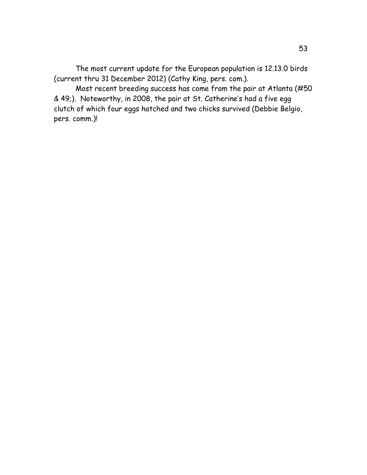The most current update for the European population is 12.13.0 birds (current thru 31 December 2012) (Cathy King, pers. com.).

Most recent breeding success has come from the pair at Atlanta (#50 & 49;). Noteworthy, in 2008, the pair at St. Catherine's had a five egg clutch of which four eggs hatched and two chicks survived (Debbie Belgio, pers. comm.)!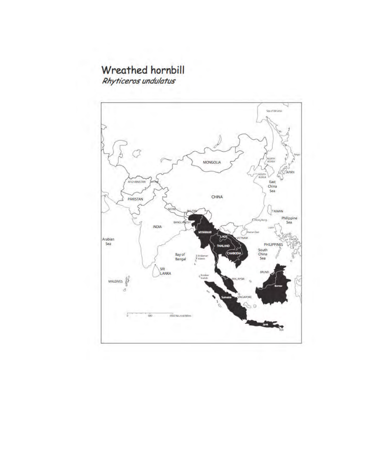# **Wreathed hornbill**

Rhyticeros undulatus

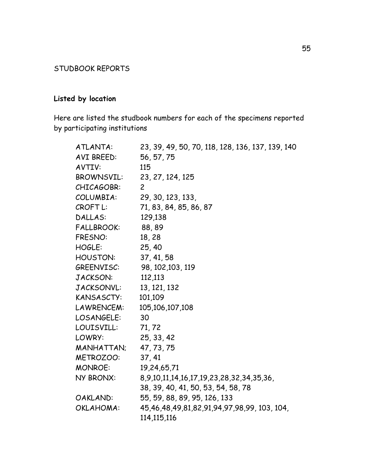# STUDBOOK REPORTS

# **Listed by location**

Here are listed the studbook numbers for each of the specimens reported by participating institutions

| ATLANTA:          | 23, 39, 49, 50, 70, 118, 128, 136, 137, 139, 140 |
|-------------------|--------------------------------------------------|
| AVI BREED:        | 56, 57, 75                                       |
| AVTIV:            | 115                                              |
| <b>BROWNSVIL:</b> | 23, 27, 124, 125                                 |
| CHICAGOBR:        | $\overline{2}$                                   |
| COLUMBIA:         | 29, 30, 123, 133,                                |
| CROFT L:          | 71, 83, 84, 85, 86, 87                           |
| DALLAS:           | 129,138                                          |
| <b>FALLBROOK:</b> | 88,89                                            |
| <b>FRESNO:</b>    | 18,28                                            |
| HOGLE:            | 25, 40                                           |
| HOUSTON:          | 37, 41, 58                                       |
| GREENVISC:        | 98, 102, 103, 119                                |
| JACKSON:          | 112,113                                          |
| JACKSONVL:        | 13, 121, 132                                     |
| KANSASCTY:        | 101,109                                          |
| LAWRENCEM:        | 105, 106, 107, 108                               |
| LOSANGELE:        | 30                                               |
| LOUISVILL:        | 71, 72                                           |
| LOWRY:            | 25, 33, 42                                       |
| MANHATTAN;        | 47, 73, 75                                       |
| METROZOO:         | 37, 41                                           |
| <b>MONROE:</b>    | 19,24,65,71                                      |
| NY BRONX:         | 8,9,10,11,14,16,17,19,23,28,32,34,35,36,         |
|                   | 38, 39, 40, 41, 50, 53, 54, 58, 78               |
| OAKLAND:          | 55, 59, 88, 89, 95, 126, 133                     |
| OKLAHOMA:         | 45,46,48,49,81,82,91,94,97,98,99, 103, 104,      |
|                   | 114, 115, 116                                    |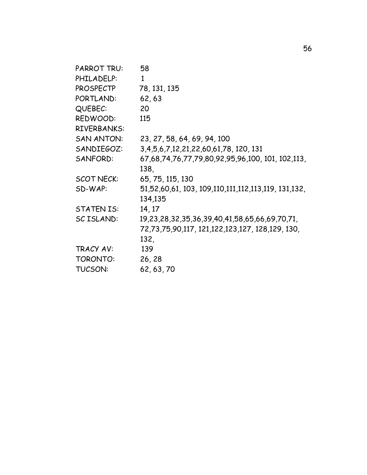| PARROT TRU:       | 58                                                                   |
|-------------------|----------------------------------------------------------------------|
| PHILADELP:        | $\mathbf{1}$                                                         |
| PROSPECTP         | 78, 131, 135                                                         |
| PORTLAND:         | 62,63                                                                |
| QUEBEC:           | 20                                                                   |
| REDWOOD:          | 115                                                                  |
| RIVERBANKS:       |                                                                      |
| <b>SAN ANTON:</b> | 23, 27, 58, 64, 69, 94, 100                                          |
| SANDIEGOZ:        | 3, 4, 5, 6, 7, 12, 21, 22, 60, 61, 78, 120, 131                      |
| SANFORD:          | 67,68,74,76,77,79,80,92,95,96,100, 101, 102,113,                     |
|                   | 138,                                                                 |
| <b>SCOT NECK:</b> | 65, 75, 115, 130                                                     |
| SD-WAP:           | 51,52,60,61, 103, 109, 110, 111, 112, 113, 119, 131, 132,<br>134,135 |
| <b>STATEN IS:</b> | 14, 17                                                               |
| SC ISLAND:        | 19, 23, 28, 32, 35, 36, 39, 40, 41, 58, 65, 66, 69, 70, 71,          |
|                   | 72,73,75,90,117, 121,122,123,127, 128,129, 130,                      |
|                   | 132,                                                                 |
| TRACY AV:         | 139                                                                  |
| TORONTO:          | 26, 28                                                               |
| TUCSON:           | 62, 63, 70                                                           |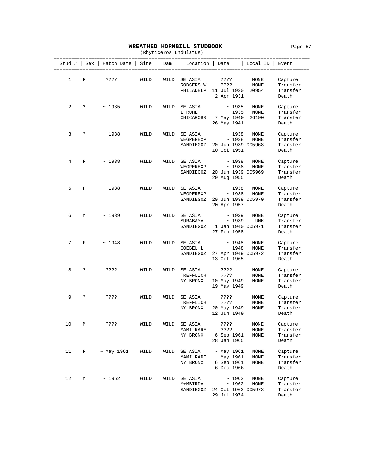#### **WREATHED HORNBILL STUDBOOK** Page 57

| (Rhyticeros undulatus) |     |                  |      |      |                                   |                                                                  |                             |                                          |  |  |  |
|------------------------|-----|------------------|------|------|-----------------------------------|------------------------------------------------------------------|-----------------------------|------------------------------------------|--|--|--|
| Stud #                 | Sex | Hatch Date       | Sire | Dam  | Location   Date                   |                                                                  | Local ID                    | Event                                    |  |  |  |
| 1                      | F   | ????             | WILD | WILD | SE ASIA<br>RODGERS W<br>PHILADELP | ????<br>????<br>11 Jul 1930<br>2 Apr 1931                        | NONE<br>NONE<br>20954       | Capture<br>Transfer<br>Transfer<br>Death |  |  |  |
| 2                      | S.  | ~1935            | WILD | WILD | SE ASIA<br>L RUHE<br>CHICAGOBR    | ~1935<br>~1935<br>7 May 1940<br>26 May 1941                      | NONE<br>NONE<br>26190       | Capture<br>Transfer<br>Transfer<br>Death |  |  |  |
| 3                      | ?   | ~1938            | WILD | WILD | SE ASIA<br>WEGPEREXP<br>SANDIEGOZ | ~1938<br>~1938<br>20 Jun 1939 005968<br>10 Oct 1951              | NONE<br>NONE                | Capture<br>Transfer<br>Transfer<br>Death |  |  |  |
| 4                      | F   | ~1938            | WILD | WILD | SE ASIA<br>WEGPEREXP<br>SANDIEGOZ | ~1938<br>~1938<br>20 Jun 1939 005969<br>29 Aug 1955              | NONE<br><b>NONE</b>         | Capture<br>Transfer<br>Transfer<br>Death |  |  |  |
| 5                      | F   | ~1938            | WILD | WILD | SE ASIA<br>WEGPEREXP<br>SANDIEGOZ | ~1938<br>~1938<br>20 Jun 1939 005970<br>20 Apr 1957              | NONE<br>NONE                | Capture<br>Transfer<br>Transfer<br>Death |  |  |  |
| 6                      | М   | ~1939            | WILD | WILD | SE ASIA<br>SURABAYA<br>SANDIEGOZ  | ~1939<br>~1939<br>1 Jan 1940 005971<br>27 Feb 1958               | NONE<br><b>UNK</b>          | Capture<br>Transfer<br>Transfer<br>Death |  |  |  |
| 7                      | F   | ~1948            | WILD | WILD | SE ASIA<br>GOEBEL L<br>SANDIEGOZ  | ~1948<br>~1948<br>27 Apr 1949 005972<br>13 Oct 1965              | NONE<br>NONE                | Capture<br>Transfer<br>Transfer<br>Death |  |  |  |
| 8                      | ?   | ????             | WILD | WILD | SE ASIA<br>TREFFLICH<br>NY BRONX  | ????<br>????<br>10 May 1949<br>19 May 1949                       | NONE<br>NONE<br>NONE        | Capture<br>Transfer<br>Transfer<br>Death |  |  |  |
| 9                      | ċ.  | ????             | WILD | WILD | SE ASIA<br>TREFFLICH<br>NY BRONX  | ????<br>????<br>20 May 1949<br>12 Jun 1949                       | NONE<br>NONE<br>NONE        | Capture<br>Transfer<br>Transfer<br>Death |  |  |  |
| 10                     | М   | ????             | WILD | WILD | SE ASIA<br>MAMI RARE<br>NY BRONX  | ????<br>????<br>6 Sep 1961<br>28 Jan 1965                        | NONE<br>NONE<br><b>NONE</b> | Capture<br>Transfer<br>Transfer<br>Death |  |  |  |
| 11                     | F   | $~\sim$ May 1961 | WILD | WILD | SE ASIA<br>MAMI RARE<br>NY BRONX  | $~\sim$ May 1961<br>$~\sim$ May 1961<br>6 Sep 1961<br>6 Dec 1966 | NONE<br>NONE<br>NONE        | Capture<br>Transfer<br>Transfer<br>Death |  |  |  |
| 12                     | М   | ~1962            | WILD | WILD | SE ASIA<br>M+MBIRDA<br>SANDIEGOZ  | ~1962<br>~1962<br>24 Oct 1963 005973<br>29 Jul 1974              | NONE<br>NONE                | Capture<br>Transfer<br>Transfer<br>Death |  |  |  |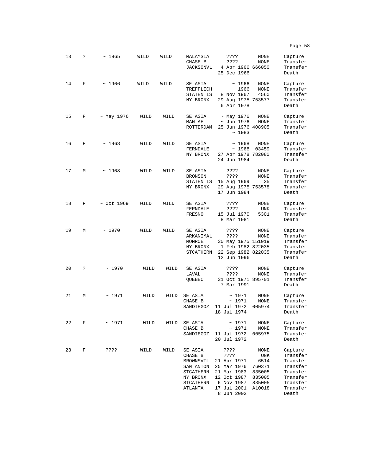| 13 | S. | ~1965            | WILD | WILD | MALAYSIA<br>CHASE B<br>JACKSONVL                                                              | ????<br>????<br>4 Apr 1966 666050<br>25 Dec 1966                                                                    | NONE<br>NONE                                                          | Capture<br>Transfer<br>Transfer<br>Death                                                             |
|----|----|------------------|------|------|-----------------------------------------------------------------------------------------------|---------------------------------------------------------------------------------------------------------------------|-----------------------------------------------------------------------|------------------------------------------------------------------------------------------------------|
| 14 | F  | ~1966            | WILD | WILD | SE ASIA<br>TREFFLICH<br>STATEN IS<br>NY BRONX                                                 | ~1966<br>~1966<br>8 Nov 1967<br>29 Aug 1975 753577<br>6 Apr 1978                                                    | NONE<br>NONE<br>4560                                                  | Capture<br>Transfer<br>Transfer<br>Transfer<br>Death                                                 |
| 15 | F  | $~\sim$ May 1976 | WILD | WILD | SE ASIA<br>MAN AE<br>ROTTERDAM                                                                | ~ May 1976<br>$\sim$ Jun 1976<br>25 Jun 1976 408905<br>~1983                                                        | NONE<br>NONE                                                          | Capture<br>Transfer<br>Transfer<br>Death                                                             |
| 16 | F  | ~1968            | WILD | WILD | SE ASIA<br>FERNDALE<br>NY BRONX                                                               | ~1968<br>~1968<br>27 Apr 1978 782080<br>24 Jun 1984                                                                 | NONE<br>03459                                                         | Capture<br>Transfer<br>Transfer<br>Death                                                             |
| 17 | М  | ~1968            | WILD | WILD | SE ASIA<br><b>BRONSON</b><br>STATEN IS<br>NY BRONX                                            | ????<br>????<br>15 Aug 1969<br>29 Aug 1975 753578<br>17 Jun 1984                                                    | NONE<br><b>NONE</b><br>35                                             | Capture<br>Transfer<br>Transfer<br>Transfer<br>Death                                                 |
| 18 | F  | $\sim$ Oct 1969  | WILD | WILD | SE ASIA<br>FERNDALE<br>FRESNO                                                                 | ????<br>????<br>15 Jul 1970<br>8 Mar 1981                                                                           | NONE<br>UNK<br>5301                                                   | Capture<br>Transfer<br>Transfer<br>Death                                                             |
| 19 | М  | ~1970            | WILD | WILD | SE ASIA<br>ARKANIMAL<br>MONROE<br>NY BRONX<br>STCATHERN                                       | ????<br>????<br>30 May 1975 151019<br>1 Feb 1982 822035<br>22 Sep 1982 822035<br>12 Jun 1996                        | NONE<br>NONE                                                          | Capture<br>Transfer<br>Transfer<br>Transfer<br>Transfer<br>Death                                     |
| 20 | ?  | ~1970            | WILD | WILD | SE ASIA<br>LAVAL<br>QUEBEC                                                                    | ????<br>????<br>31 Oct 1971 895701<br>7 Mar 1991                                                                    | NONE<br>NONE                                                          | Capture<br>Transfer<br>Transfer<br>Death                                                             |
| 21 | М  | ~1971            | WILD | WILD | SE ASIA<br>CHASE B<br>SANDIEGOZ                                                               | ~1971<br>~1971<br>11 Jul 1972<br>18 Jul 1974                                                                        | <b>NONE</b><br>NONE<br>005974                                         | Capture<br>Transfer<br>Transfer<br>Death                                                             |
| 22 | F  | ~1971            | WILD | WILD | SE ASIA<br>CHASE B<br>SANDIEGOZ                                                               | ~1971<br>~1971<br>11 Jul 1972<br>20 Jul 1972                                                                        | NONE<br>NONE<br>005975                                                | Capture<br>Transfer<br>Transfer<br>Death                                                             |
| 23 | F  | ????             | WILD | WILD | SE ASIA<br>CHASE B<br>BROWNSVIL<br>SAN ANTON<br>STCATHERN<br>NY BRONX<br>STCATHERN<br>ATLANTA | ????<br>????<br>21 Apr 1971<br>25 Mar 1976<br>21 Mar 1983<br>12 Oct 1987<br>6 Nov 1987<br>17 Jul 2001<br>8 Jun 2002 | NONE<br>UNK<br>6514<br>760371<br>835005<br>835005<br>835005<br>A10018 | Capture<br>Transfer<br>Transfer<br>Transfer<br>Transfer<br>Transfer<br>Transfer<br>Transfer<br>Death |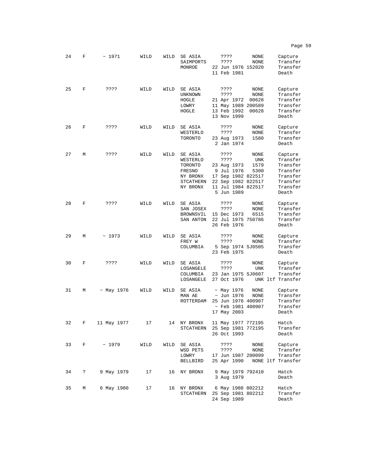24 F ~ 1971 WILD WILD SE ASIA ???? NONE Capture<br>SAIMPORTS ???? NONE Transfer SAIMPORTS ???? NONE Transfer<br>MONROE 22 Jun 1976 152020 Transfer 22 Jun 1976 152020 Transf<br>11 Feb 1981 Death 11 Feb 1981 25 F ???? WILD WILD SEASIA ???? NONE Capture<br>UNKNOWN ???? NONE Transfer UNKNOWN ???? NONE Transfer<br>HOGLE 21 Apr 1972 00628 Transfer HOGLE 21 Apr 1972 00628 Transfer LOWRY 11 May 1989 200589 Transfer 13 Feb 1992 00628 Transf<br>13 Nov 1999 Death 13 Nov 1999 26 F ???? WILD WILD SE ASIA ???? NONE Capture WESTERLO ???? NONE Transfer<br>TORONTO 23 Aug 1973 1580 Transfer 23 Aug 1973 2 Jan 1974 Death 27 M ???? WILD WILD SE ASIA ???? NONE Capture<br>WESTERLO ???? UNK Transfer WESTERLO ???? UNK Transfer<br>TORONTO 23 Aug 1973 1579 Transfer TORONTO 23 Aug 1973 1579 Transfer FRESNO 9 Jul 1976 5300 Transfer 17 Sep 1982 822517 Transfer<br>22 Sep 1982 822517 Transfer STCATHERN 22 Sep 1982 822517 Transfer<br>NY BRONX 11 Jul 1984 822517 Transfer 11 Jul 1984 822517 Transf  $5$  Jun  $1989$ 28 F ???? WILD WILD SEASIA ???? NONE Capture<br>SAN JOSEX ???? NONE Transfer SAN JOSEX ???? NONE Transfer<br>BROWNSVIL 15 Dec 1973 6515 Transfer BROWNSVIL 15 Dec 1973 SAN ANTON 22 Jul 1975 750786 Transfer<br>26 Feb 1976 Death 26 Feb 1976 29 M ~ 1973 WILD WILD SE ASIA ???? NONE Capture<br>FREY W ???? NONE Transfer FREY W ???? NONE Transfer<br>COLUMBIA 5 Sep 1974 SJ0505 Transfer 5 Sep 1974 SJ0505 Transf<br>23 Feb 1975 Death 23 Feb 1975 30 F ???? WILD WILD SEASIA ???? NONE Capture<br>Capture I.OSANGELE ???? UNK Transfer LOSANGELE ???? UNK Transfer 23 Jan 1975 SJ0607 Transfer<br>27 Oct 1976 UNK ltf Transfer LOSANGELE 27 Oct 1976 31 M  $\sim$  May 1976 WILD WILD SE ASIA  $\sim$  May 1976 NONE Capture<br>MAN AE  $\sim$  Jun 1976 NONE Transfer ~ Jun 1976 NONE Transfer<br>25 Jun 1976 400907 Transfer ROTTERDAM 25 Jun 1976 400907 Transfer<br>Feb 1981 400907 Transfer ~ Feb 1981 400907 Transf<br>17 May 2003 Death 17 May 2003 32 F 11 May 1977 17 14 NY BRONX 11 May 1977 772195 Hatch STCATHERN 25 Sep 1981 772195 Transf<br>26 Oct 1993 Death 26 Oct 1993 33 F ~ 1979 WILD WILD SE ASIA ???? NONE Capture WSD PETS ???? NONE Transfer<br>LOWRY 17 Jun 1987 200099 Transfer LOWRY 17 Jun 1987 200099<br>BELLBIRD 25 Apr 1990 NONE 25 Apr 1990 NONE ltf Transfer 34 ? 9 May 1979 17 16 NY BRONX 9 May 1979 792410 Hatch 3 Aug 1979 35 M 6 May 1980 17 16 NY BRONX 6 May 1980 802212 Hatch 25 Sep 1981 802212 Transf<br>24 Sep 1989 Death

24 Sep 1989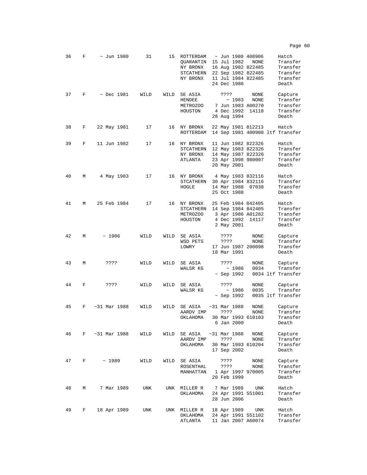| 36 | F | ~ Jun 1980       | 31   | 15   | ROTTERDAM<br>QUARANTIN<br>NY BRONX<br>STCATHERN<br>NY BRONX | ~ Jun 1980 408906<br>15 Jul 1982<br>16 Aug 1982 822485<br>22 Sep 1982 822485<br>11 Jul 1984 822485<br>24 Dec 1986 | NONE                  | Hatch<br>Transfer<br>Transfer<br>Transfer<br>Transfer<br>Death |
|----|---|------------------|------|------|-------------------------------------------------------------|-------------------------------------------------------------------------------------------------------------------|-----------------------|----------------------------------------------------------------|
| 37 | F | $~\sim$ Dec 1981 | WILD | WILD | SE ASIA<br>HENDEE<br>METROZOO<br>HOUSTON                    | ????<br>~1983<br>7 Jun 1983 A00270<br>4 Dec 1992<br>28 Aug 1994                                                   | NONE<br>NONE<br>14118 | Capture<br>Transfer<br>Transfer<br>Transfer<br>Death           |
| 38 | F | 22 May 1981      | 17   | 16   | NY BRONX<br>ROTTERDAM                                       | 22 May 1981 812213                                                                                                |                       | Hatch<br>14 Sep 1981 400908 ltf Transfer                       |
| 39 | F | 11 Jun 1982      | 17   | 16   | NY BRONX<br>STCATHERN<br>NY BRONX<br>ATLANTA                | 11 Jun 1982 822326<br>12 May 1983 822326<br>14 May 1987 822326<br>23 Apr 1998 980007<br>20 May 2001               |                       | Hatch<br>Transfer<br>Transfer<br>Transfer<br>Death             |
| 40 | М | 4 May 1983       | 17   | 16   | NY BRONX<br>STCATHERN<br>HOGLE                              | 4 May 1983 832116<br>30 Apr 1984 832116<br>14 Mar 1988<br>25 Oct 1988                                             | 07038                 | Hatch<br>Transfer<br>Transfer<br>Death                         |
| 41 | М | 25 Feb 1984      | 17   | 16   | NY BRONX<br>STCATHERN<br>METROZOO<br>HOUSTON                | 25 Feb 1984 842405<br>14 Sep 1984 842405<br>3 Apr 1986 A01282<br>4 Dec 1992<br>2 May 2001                         | 14117                 | Hatch<br>Transfer<br>Transfer<br>Transfer<br>Death             |
| 42 | М | ~1986            | WILD | WILD | SE ASIA<br>WSD PETS<br>LOWRY                                | ????<br>????<br>17 Jun 1987 200098<br>18 Mar 1991                                                                 | NONE<br>NONE          | Capture<br>Transfer<br>Transfer<br>Death                       |
| 43 | M | ????             | WILD | WILD | SE ASIA<br>WALSR KG                                         | ????<br>~1986<br>$\sim$ Sep 1992                                                                                  | NONE<br>0034          | Capture<br>Transfer<br>0034 ltf Transfer                       |
| 44 | F | ????             | WILD | WILD | SE ASIA<br>WALSR KG                                         | ????<br>~1986<br>~ Sep 1992                                                                                       | NONE<br>0035          | Capture<br>Transfer<br>0035 ltf Transfer                       |
| 45 | F | ~1988            | WILD | WILD | SE ASIA<br>AARDV IMP<br>OKLAHOMA                            | ~1988<br>????<br>30 Mar 1993 610103<br>6 Jan 2000                                                                 | NONE<br>NONE          | Capture<br>Transfer<br>Transfer<br>Death                       |
| 46 | F | ~1988            | WILD | WILD | SE ASIA<br>AARDV IMP<br>ОКLАНОМА                            | ~1988<br>????<br>30 Mar 1993 610204<br>17 Sep 2002                                                                | NONE<br>NONE          | Capture<br>Transfer<br>Transfer<br>Death                       |
| 47 | F | ~1989            | WILD | WILD | SE ASIA<br>ROSENTHAL<br>MANHATTAN                           | ????<br>????<br>1 Apr 1997 970005<br>20 Feb 1999                                                                  | NONE<br>NONE          | Capture<br>Transfer<br>Transfer<br>Death                       |
| 48 | М | 7 Mar 1989       | UNK  | UNK  | MILLER R<br>ОКLАНОМА                                        | 7 Mar 1989<br>24 Apr 1991 551001<br>28 Jun 2006                                                                   | UNK                   | Hatch<br>Transfer<br>Death                                     |
| 49 | F | 18 Apr 1989      | UNK  | UNK  | MILLER R<br>ОКLАНОМА<br>ATLANTA                             | 18 Apr 1989<br>24 Apr 1991 551102<br>11 Jan 2007 A60074                                                           | UNK                   | Hatch<br>Transfer<br>Transfer                                  |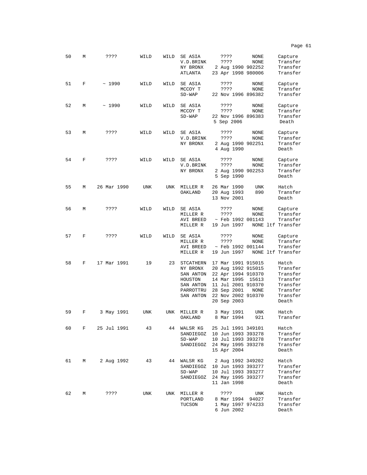| 50 | М | ????        | WILD | WILD | SE ASIA<br>V.D.BRINK<br>NY BRONX<br>ATLANTA                | ????<br>????<br>2 Aug 1990 902252<br>23 Apr 1998 980006                                             | NONE<br>NONE      | Capture<br>Transfer<br>Transfer<br>Transfer           |
|----|---|-------------|------|------|------------------------------------------------------------|-----------------------------------------------------------------------------------------------------|-------------------|-------------------------------------------------------|
| 51 | F | ~1990       | WILD | WILD | SE ASIA<br>MCCOY T<br>$SD-WAP$                             | ????<br>????<br>22 Nov 1996 896382                                                                  | NONE<br>NONE      | Capture<br>Transfer<br>Transfer                       |
| 52 | М | ~1990       | WILD | WILD | SE ASIA<br>MCCOY T<br>$SD-WAP$                             | ????<br>????<br>22 Nov 1996 896383<br>5 Sep 2006                                                    | NONE<br>NONE      | Capture<br>Transfer<br>Transfer<br>Death              |
| 53 | М | ????        | WILD | WILD | SE ASIA<br>V.D.BRINK<br>NY BRONX                           | ????<br>????<br>2 Aug 1990 902251<br>4 Aug 1990                                                     | NONE<br>NONE      | Capture<br>Transfer<br>Transfer<br>Death              |
| 54 | F | ????        | WILD | WILD | SE ASIA<br>V.D.BRINK<br>NY BRONX                           | ????<br>????<br>2 Aug 1990 902253<br>5 Sep 1990                                                     | NONE<br>NONE      | Capture<br>Transfer<br>Transfer<br>Death              |
| 55 | М | 26 Mar 1990 | UNK  | UNK  | MILLER R<br>OAKLAND                                        | 26 Mar 1990<br>20 Aug 1993<br>13 Nov 2001                                                           | UNK<br>890        | Hatch<br>Transfer<br>Death                            |
| 56 | М | ????        | WILD | WILD | SE ASIA<br>MILLER R<br>AVI BREED<br>MILLER R               | ????<br>????<br>$~\sim$ Feb 1992 001143<br>19 Jun 1997                                              | NONE<br>NONE      | Capture<br>Transfer<br>Transfer<br>NONE ltf Transfer  |
| 57 | F | ????        | WILD | WILD | SE ASIA<br>MILLER R<br>AVI BREED<br>MILLER R               | ????<br>????<br>$~\sim$ Feb 1992 001144<br>19 Jun 1997                                              | NONE<br>NONE      | Capture<br>Transfer<br>Transfer<br>NONE ltf Transfer  |
| 58 | F | 17 Mar 1991 | 19   | 23   | STCATHERN<br>NY BRONX<br>SAN ANTON<br>HOUSTON<br>SAN ANTON | 17 Mar 1991 915015<br>20 Aug 1992 915015<br>22 Apr 1994 910370<br>14 Mar 1995<br>11 Jul 2001 910370 | 15613             | Hatch<br>Transfer<br>Transfer<br>Transfer<br>Transfer |
|    |   |             |      |      | PARROTTRU<br>SAN ANTON                                     | 28 Sep 2001<br>22 Nov 2002 910370<br>20 Sep 2003                                                    | NONE              | Transfer<br>Transfer<br>Death                         |
| 59 | F | 3 May 1991  | UNK  | UNK  | MILLER R<br>OAKLAND                                        | 3 May 1991<br>8 Mar 1994                                                                            | <b>UNK</b><br>921 | Hatch<br>Transfer                                     |
| 60 | F | 25 Jul 1991 | 43   | 44   | WALSR KG<br>SANDIEGOZ<br>$SD-WAP$<br>SANDIEGOZ             | 25 Jul 1991 349101<br>10 Jun 1993 393278<br>10 Jul 1993 393278<br>24 May 1995 393278<br>15 Apr 2004 |                   | Hatch<br>Transfer<br>Transfer<br>Transfer<br>Death    |
| 61 | М | 2 Aug 1992  | 43   | 44   | WALSR KG<br>SANDIEGOZ<br>$SD-WAP$<br>SANDIEGOZ             | 2 Aug 1992 349202<br>10 Jun 1993 393277<br>10 Jul 1993 393277<br>24 May 1995 393277<br>11 Jan 1998  |                   | Hatch<br>Transfer<br>Transfer<br>Transfer<br>Death    |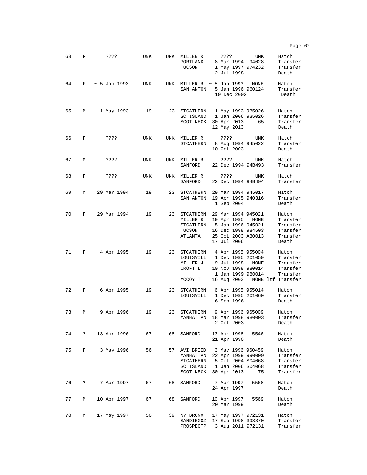| 63 | F        | ????                    | UNK |    | UNK MILLER R<br>PORTLAND<br>TUCSON            | ????<br>UNK<br>Hatch<br>8 Mar 1994 94028<br>Transfer<br>1 May 1997 974232<br>Transfer<br>2 Jul 1998<br>Death                                                                                                                      |
|----|----------|-------------------------|-----|----|-----------------------------------------------|-----------------------------------------------------------------------------------------------------------------------------------------------------------------------------------------------------------------------------------|
| 64 |          | $F \sim 5$ Jan 1993 UNK |     |    | SAN ANTON                                     | UNK MILLER R $\sim$ 5 Jan 1993 NONE<br>Hatch<br>5 Jan 1996 960124<br>Transfer<br>19 Dec 2002<br>Death                                                                                                                             |
| 65 | $M \sim$ | 1 May 1993              | 19  |    |                                               | 23 STCATHERN 1 May 1993 935026<br>Hatch<br>SC ISLAND 1 Jan 2006 935026<br>Transfer<br>SCOT NECK 30 Apr 2013<br>Transfer<br>65<br>12 May 2013<br>Death                                                                             |
| 66 | F        | ????                    | UNK |    | UNK MILLER R                                  | Hatch<br>????<br>UNK<br>STCATHERN 8 Aug 1994 945022<br>Transfer<br>10 Oct 2003<br>Death                                                                                                                                           |
| 67 | М        | ????                    | UNK |    | UNK MILLER R<br>SANFORD                       | ? ? ? ?<br>Hatch<br>UNK<br>22 Dec 1994 94B493<br>Transfer                                                                                                                                                                         |
| 68 | F        | ????                    | UNK |    | UNK MILLER R<br>SANFORD                       | ????<br>Hatch<br>UNK<br>22 Dec 1994 94B494<br>Transfer                                                                                                                                                                            |
| 69 | М        | 29 Mar 1994             | 19  |    |                                               | 23 STCATHERN 29 Mar 1994 945017<br>Hatch<br>SAN ANTON 19 Apr 1995 940316<br>Transfer<br>1 Sep 2004<br>Death                                                                                                                       |
| 70 |          | F 29 Mar 1994           | 19  |    | 23 STCATHERN<br>MILLER R<br>TUCSON<br>ATLANTA | 29 Mar 1994 945021<br>Hatch<br>19 Apr 1995 NONE<br>Transfer<br>STCATHERN 5 Jan 1996 945021<br>Transfer<br>16 Dec 1998 984503<br>Transfer<br>25 Oct 2003 A30013<br>Transfer<br>17 Jul 2006<br>Death                                |
| 71 | F        | 4 Apr 1995              | 19  |    | CROFT L<br>MCCOY T                            | 23 STCATHERN 4 Apr 1995 955004<br>Hatch<br>LOUISVILL 1 Dec 1995 201059<br>Transfer<br>MILLER J 9 Jul 1998<br>NONE<br>Transfer<br>10 Nov 1998 980014<br>Transfer<br>1 Jan 1999 980014<br>Transfer<br>16 Aug 2003 NONE ltf Transfer |
| 72 | F        | 6 Apr 1995              | 19  |    | LOUISVILL                                     | 23 STCATHERN 6 Apr 1995 955014<br>Hatch<br>1 Dec 1995 201060<br>Transfer<br>6 Sep 1996<br>Death                                                                                                                                   |
| 73 | М        | 9 Apr 1996              | 19  |    | MANHATTAN                                     | 23 STCATHERN 9 Apr 1996 965009<br>Hatch<br>Transfer<br>18 Mar 1998 980003<br>2 Oct 2003<br>Death                                                                                                                                  |
| 74 | ?        | 13 Apr 1996             | 67  | 68 | SANFORD                                       | 13 Apr 1996<br>5546<br>Hatch<br>21 Apr 1996<br>Death                                                                                                                                                                              |
| 75 | F        | 3 May 1996              | 56  |    | MANHATTAN<br>SCOT NECK                        | 57 AVI BREED 3 May 1996 960459<br>Hatch<br>22 Apr 1999 990009<br>Transfer<br>STCATHERN 5 Oct 2004 S04068<br>Transfer<br>SC ISLAND 1 Jan 2006 S04068<br>Transfer<br>30 Apr 2013<br>Transfer<br>75                                  |
| 76 | ?        | 7 Apr 1997              | 67  | 68 | SANFORD                                       | Hatch<br>7 Apr 1997<br>5568<br>24 Apr 1997<br>Death                                                                                                                                                                               |
| 77 | М        | 10 Apr 1997             | 67  | 68 | SANFORD                                       | 10 Apr 1997<br>5569<br>Hatch<br>20 Mar 1999<br>Death                                                                                                                                                                              |
| 78 | М        | 17 May 1997             | 50  |    | 39 NY BRONX<br>SANDIEGOZ<br>PROSPECTP         | 17 May 1997 972131<br>Hatch<br>17 Sep 1998 398370<br>Transfer<br>3 Aug 2011 972131<br>Transfer                                                                                                                                    |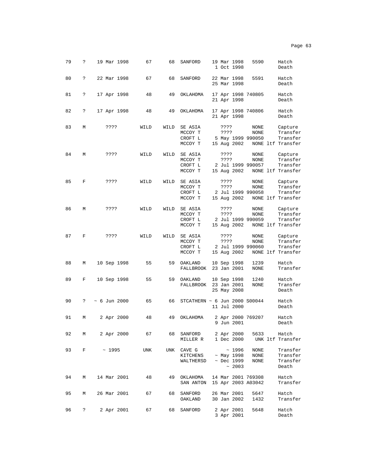| ۰,<br>c |  |
|---------|--|
|---------|--|

| 79 | ? | 19 Mar 1998        | 67   | 68   | SANFORD                                  |              | 19 Mar 1998<br>1 Oct 1998                              | 5590                                     | Hatch<br>Death                                       |
|----|---|--------------------|------|------|------------------------------------------|--------------|--------------------------------------------------------|------------------------------------------|------------------------------------------------------|
| 80 | ? | 22 Mar 1998        | 67   | 68   | SANFORD                                  |              | 22 Mar 1998<br>25 Mar 1998                             | 5591                                     | Hatch<br>Death                                       |
| 81 | ? | 17 Apr 1998        | 48   | 49   | OKLAHOMA                                 |              | 21 Apr 1998                                            | 17 Apr 1998 740805                       | Hatch<br>Death                                       |
| 82 | ? | 17 Apr 1998        | 48   | 49   | OKLAHOMA                                 |              | 21 Apr 1998                                            | 17 Apr 1998 740806                       | Hatch<br>Death                                       |
| 83 | М | ????               | WILD | WILD | SE ASIA<br>MCCOY T<br>CROFT L<br>MCCOY T | ????<br>???? | 15 Aug 2002                                            | NONE<br>NONE<br>5 May 1999 990050        | Capture<br>Transfer<br>Transfer<br>NONE ltf Transfer |
| 84 | М | ????               | WILD | WILD | SE ASIA<br>MCCOY T<br>CROFT L<br>MCCOY T | ????<br>???? | 15 Aug 2002                                            | NONE<br>NONE<br>2 Jul 1999 990057        | Capture<br>Transfer<br>Transfer<br>NONE ltf Transfer |
| 85 | F | ????               | WILD | WILD | SE ASIA<br>MCCOY T<br>CROFT L<br>MCCOY T | ????<br>???? | 15 Aug 2002                                            | NONE<br>NONE<br>2 Jul 1999 990058        | Capture<br>Transfer<br>Transfer<br>NONE ltf Transfer |
| 86 | М | ????               | WILD | WILD | SE ASIA<br>MCCOY T<br>CROFT L<br>MCCOY T | ????<br>???? | 15 Aug 2002                                            | NONE<br>NONE<br>2 Jul 1999 990059        | Capture<br>Transfer<br>Transfer<br>NONE ltf Transfer |
| 87 | F | ????               | WILD | WILD | SE ASIA<br>MCCOY T<br>CROFT L<br>MCCOY T | ????<br>???? | 15 Aug 2002                                            | NONE<br>NONE<br>2 Jul 1999 990060        | Capture<br>Transfer<br>Transfer<br>NONE ltf Transfer |
| 88 | М | 10 Sep 1998        | 55   | 59   | OAKLAND<br>FALLBROOK                     |              | 10 Sep 1998<br>23 Jan 2001                             | 1239<br>NONE                             | Hatch<br>Transfer                                    |
| 89 | F | 10 Sep 1998        | 55   | 59   | OAKLAND<br>FALLBROOK                     |              | 10 Sep 1998<br>23 Jan 2001<br>25 May 2008              | 1240<br>NONE                             | Hatch<br>Transfer<br>Death                           |
| 90 | ? | $~\sim$ 6 Jun 2000 | 65   | 66   | STCATHERN ~ 6 Jun 2000 S00044            |              | 11 Jul 2000                                            |                                          | Hatch<br>Death                                       |
| 91 | М | 2 Apr 2000         | 48   | 49   | OKLAHOMA                                 |              | 9 Jun 2001                                             | 2 Apr 2000 769207                        | Hatch<br>Death                                       |
| 92 | М | 2 Apr 2000 67      |      |      | 68 SANFORD<br>MILLER R 1 Dec 2000        |              |                                                        | 2 Apr 2000 5633 Hatch                    | UNK ltf Transfer                                     |
| 93 | F | $\sim$ 1995        | UNK  | UNK  | CAVE G<br>KITCHENS<br>WALTHERSD          |              | ~1996<br>$~\sim$ May 1998<br>$~\sim$ Dec 1999<br>~2003 | NONE<br>NONE<br>NONE                     | Transfer<br>Transfer<br>Transfer<br>Death            |
| 94 | М | 14 Mar 2001        | 48   | 49   | OKLAHOMA<br>SAN ANTON                    |              |                                                        | 14 Mar 2001 769308<br>15 Apr 2003 A03042 | Hatch<br>Transfer                                    |
| 95 | М | 26 Mar 2001        | 67   | 68   | SANFORD<br>OAKLAND                       |              | 26 Mar 2001<br>30 Jan 2002                             | 5647<br>1432                             | Hatch<br>Transfer                                    |
| 96 | ? | 2 Apr 2001         | 67   | 68   | SANFORD                                  |              | 2 Apr 2001<br>3 Apr 2001                               | 5648                                     | Hatch<br>Death                                       |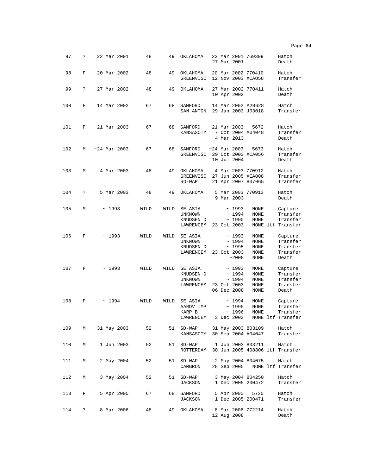| 97  | ?          | 22 Mar 2001    | 48   | 49   | OKLAHOMA                                                     |  | 27 Mar 2001                                               | 22 Mar 2001 769309                                            | Hatch<br>Death                                       |
|-----|------------|----------------|------|------|--------------------------------------------------------------|--|-----------------------------------------------------------|---------------------------------------------------------------|------------------------------------------------------|
| 98  | F          | 20 Mar 2002    | 48   | 49   | ОКLАНОМА<br>GREENVISC                                        |  |                                                           | 20 Mar 2002 770410<br>12 Nov 2003 XCA058                      | Hatch<br>Transfer                                    |
| 99  | ?          | 27 Mar 2002    | 48   | 49   | OKLAHOMA                                                     |  | 10 Apr 2002                                               | 27 Mar 2002 770411                                            | Hatch<br>Death                                       |
| 100 | F          | 14 Mar 2002    | 67   | 68   | SANFORD<br>SAN ANTON                                         |  |                                                           | 14 Mar 2002 A2B628<br>29 Jan 2003 J03018                      | Hatch<br>Transfer                                    |
| 101 | F          | 21 Mar 2003    | 67   | 68   | SANFORD<br>KANSASCTY                                         |  | 21 Mar 2003<br>4 Mar 2013                                 | 5672<br>7 Oct 2004 A04048                                     | Hatch<br>Transfer<br>Death                           |
| 102 | М          | $~24$ Mar 2003 | 67   | 68   | SANFORD<br>GREENVISC                                         |  | $~24$ Mar 2003<br>10 Jul 2004                             | 5673<br>29 Oct 2003 XCA056                                    | Hatch<br>Transfer<br>Death                           |
| 103 | М          | 4 Mar 2003     | 48   | 49   | ОКLАНОМА<br>GREENVISC<br>$SD-WAP$                            |  |                                                           | 4 Mar 2003 770912<br>27 Jun 2005 XEA008<br>21 Apr 2007 807065 | Hatch<br>Transfer<br>Transfer                        |
| 104 | ?          | 5 Mar 2003     | 48   | 49   | OKLAHOMA                                                     |  | 9 Mar 2003                                                | 5 Mar 2003 770913                                             | Hatch<br>Death                                       |
| 105 | М          | ~1993          | WILD | WILD | SE ASIA<br>UNKNOWN<br>KNUDSEN D<br>LAWRENCEM                 |  | ~1993<br>~1994<br>~1995<br>23 Oct 2003                    | <b>NONE</b><br>NONE<br><b>NONE</b>                            | Capture<br>Transfer<br>Transfer<br>NONE ltf Transfer |
| 106 | F          | ~1993          | WILD | WILD | SE ASIA<br>UNKNOWN<br>KNUDSEN D<br>LAWRENCEM                 |  | ~1993<br>~1994<br>~1995<br>23 Oct 2003<br>~2008           | <b>NONE</b><br>NONE<br>NONE<br><b>NONE</b><br><b>NONE</b>     | Capture<br>Transfer<br>Transfer<br>Transfer<br>Death |
| 107 | F          | ~1993          | WILD | WILD | SE ASIA<br>KNUDSEN D<br>UNKNOWN<br>LAWRENCEM                 |  | ~1993<br>~1994<br>~1994<br>23 Oct 2003<br>$~106$ Dec 2008 | NONE<br>NONE<br>NONE<br><b>NONE</b><br><b>NONE</b>            | Capture<br>Transfer<br>Transfer<br>Transfer<br>Death |
| 108 | F          | ~1994          | WILD | WILD | SE ASIA<br>AARDV IMP<br>KARP B<br>LAWRENCEM                  |  | ~1994<br>~1995<br>~1996<br>3 Dec 2003                     | NONE<br>NONE<br><b>NONE</b>                                   | Capture<br>Transfer<br>Transfer<br>NONE ltf Transfer |
| 109 | М          | 31 May 2003    | 52   |      | 51 SD-WAP 31 May 2003 803109<br>KANSASCTY 30 Sep 2004 A04047 |  |                                                           |                                                               | Hatch<br>Transfer                                    |
| 110 | М          | 1 Jun 2003     | 52   |      | 51 SD-WAP 1 Jun 2003 803211<br>ROTTERDAM                     |  |                                                           |                                                               | Hatch<br>30 Jun 2005 408806 ltf Transfer             |
| 111 | М          | 2 May 2004     | 52   | 51   | SD-WAP 2 May 2004 804075<br>CAMBRON                          |  |                                                           |                                                               | Hatch<br>28 Sep 2005 NONE ltf Transfer               |
| 112 | М          | 3 May 2004     | 52   |      | 51 SD-WAP<br>JACKSON                                         |  |                                                           | 3 May 2004 804250<br>1 Dec 2005 200472                        | Hatch<br>Transfer                                    |
| 113 | F          | 5 Apr 2005     | 67   |      | 68 SANFORD<br>JACKSON                                        |  |                                                           | 5 Apr 2005 5730<br>1 Dec 2005 200471                          | Hatch<br>Transfer                                    |
| 114 | $\ddot{?}$ | 8 Mar 2006     | 48   |      | 49 OKLAHOMA                                                  |  | 12 Aug 2008                                               | 8 Mar 2006 772214                                             | Hatch<br>Death                                       |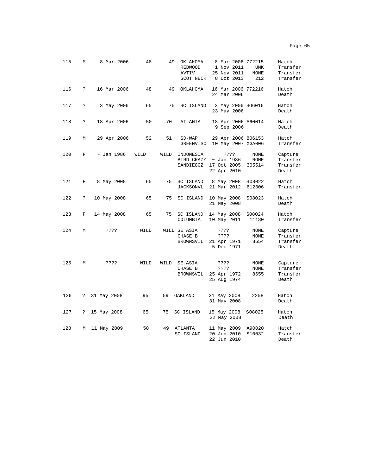| 115 | М | 8 Mar 2006      | 48   | 49   | OKLAHOMA<br>REDWOOD<br>AVTIV<br>SCOT NECK | 8 Mar 2006 772215<br>1 Nov 2011<br>25 Nov 2011<br>8 Oct 2013 | <b>UNK</b><br><b>NONE</b><br>212 | Hatch<br>Transfer<br>Transfer<br>Transfer |
|-----|---|-----------------|------|------|-------------------------------------------|--------------------------------------------------------------|----------------------------------|-------------------------------------------|
| 116 | ? | 16 Mar 2006     | 48   | 49   | OKLAHOMA                                  | 16 Mar 2006 772216<br>24 Mar 2006                            |                                  | Hatch<br>Death                            |
| 117 | ? | 3 May 2006      | 65   | 75   | SC ISLAND                                 | 3 May 2006 SO6016<br>23 May 2006                             |                                  | Hatch<br>Death                            |
| 118 | ? | 18 Apr 2006     | 50   | 70   | ATLANTA                                   | 18 Apr 2006 A60014<br>9 Sep 2006                             |                                  | Hatch<br>Death                            |
| 119 | М | 29 Apr 2006     | 52   | 51   | $SD-WAP$<br><b>GREENVISC</b>              | 29 Apr 2006 806153<br>10 May 2007 XGA006                     |                                  | Hatch<br>Transfer                         |
| 120 | F | $\sim$ Jan 1986 | WILD | WILD | INDONESIA<br>BIRD CRAZY<br>SANDIEGOZ      | ????<br>$\sim$ Jan 1986<br>17 Oct 2005<br>22 Apr 2010        | NONE<br>NONE<br>305514           | Capture<br>Transfer<br>Transfer<br>Death  |
| 121 | F | 8 May 2008      | 65   | 75   | SC ISLAND<br><b>JACKSONVL</b>             | 8 May 2008<br>21 Mar 2012                                    | S08022<br>612306                 | Hatch<br>Transfer                         |
| 122 | ? | 10 May 2008     | 65   | 75   | SC ISLAND                                 | 10 May 2008<br>21 May 2008                                   | S08023                           | Hatch<br>Death                            |
| 123 | F | 14 May 2008     | 65   | 75   | SC ISLAND<br>COLUMBIA                     | 14 May 2008<br>10 May 2011                                   | S08024<br>11180                  | Hatch<br>Transfer                         |
| 124 | М | ????            | WILD |      | WILD SE ASIA<br>CHASE B<br>BROWNSVIL      | ????<br>????<br>21 Apr 1971<br>5 Dec 1971                    | NONE<br>NONE<br>8654             | Capture<br>Transfer<br>Transfer<br>Death  |
| 125 | М | ????            | WILD | WILD | SE ASIA<br>CHASE B<br>BROWNSVIL           | ????<br>????<br>25 Apr 1972<br>25 Aug 1974                   | NONE<br>NONE<br>8655             | Capture<br>Transfer<br>Transfer<br>Death  |
| 126 | ? | 31 May 2008     | 95   | 59   | OAKLAND                                   | 31 May 2008<br>31 May 2008                                   | 2258                             | Hatch<br>Death                            |
| 127 | ? | 15 May 2008     | 65   | 75   | SC ISLAND                                 | 15 May 2008<br>22 May 2008                                   | S08025                           | Hatch<br>Death                            |
| 128 | М | 11 May 2009     | 50   | 49   | ATLANTA<br>SC ISLAND                      | 11 May 2009<br>20 Jun 2010<br>22 Jun 2010                    | A90020<br>S10032                 | Hatch<br>Transfer<br>Death                |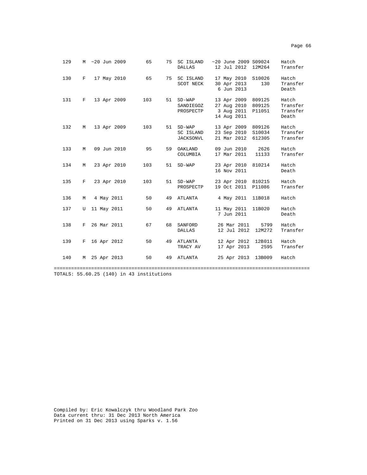| 129 |   | M ~20 Jun 2009 | 65  | 75 | SC ISLAND<br><b>DALLAS</b>                 | $~20$ June 2009 S09024<br>12 Jul 2012                   | 12M264                     | Hatch<br>Transfer                      |
|-----|---|----------------|-----|----|--------------------------------------------|---------------------------------------------------------|----------------------------|----------------------------------------|
| 130 | F | 17 May 2010    | 65  | 75 | SC ISLAND<br>SCOT NECK                     | 17 May 2010<br>30 Apr 2013<br>6 Jun 2013                | S10026<br>130              | Hatch<br>Transfer<br>Death             |
| 131 | F | 13 Apr 2009    | 103 | 51 | $SD-WAP$<br>SANDIEGOZ<br>PROSPECTP         | 13 Apr 2009<br>27 Aug 2010<br>3 Aug 2011<br>14 Aug 2011 | 809125<br>809125<br>P11051 | Hatch<br>Transfer<br>Transfer<br>Death |
| 132 | М | 13 Apr 2009    | 103 |    | 51 SD-WAP<br>SC ISLAND<br><b>JACKSONVL</b> | 13 Apr 2009<br>23 Sep 2010<br>21 Mar 2012               | 809126<br>S10034<br>612305 | Hatch<br>Transfer<br>Transfer          |
| 133 | M | 09 Jun 2010    | 95  | 59 | OAKLAND<br>COLUMBIA                        | 09 Jun 2010<br>17 Mar 2011                              | 2626<br>11133              | Hatch<br>Transfer                      |
| 134 | M | 23 Apr 2010    | 103 | 51 | $SD-WAP$                                   | 23 Apr 2010<br>16 Nov 2011                              | 810214                     | Hatch<br>Death                         |
| 135 | F | 23 Apr 2010    | 103 | 51 | $SD-WAP$<br>PROSPECTP                      | 23 Apr 2010<br>19 Oct 2011                              | 810215<br>P11086           | Hatch<br>Transfer                      |
| 136 | М | 4 May 2011     | 50  | 49 | ATLANTA                                    | 4 May 2011                                              | 11B018                     | Hatch                                  |
| 137 | U | 11 May 2011    | 50  | 49 | ATLANTA                                    | 11 May 2011<br>7 Jun 2011                               | 11B020                     | Hatch<br>Death                         |
| 138 | F | 26 Mar 2011    | 67  | 68 | SANFORD<br><b>DALLAS</b>                   | 26 Mar 2011<br>12 Jul 2012                              | 5799<br>12M272             | Hatch<br>Transfer                      |
| 139 | F | 16 Apr 2012    | 50  | 49 | ATLANTA<br>TRACY AV                        | 12 Apr 2012 12B011<br>17 Apr 2013                       | 2595                       | Hatch<br>Transfer                      |
| 140 | M | 25 Apr 2013    | 50  | 49 | ATLANTA                                    | 25 Apr 2013                                             | 13B009                     | Hatch                                  |

========================================================================================= TOTALS: 55.60.25 (140) in 43 institutions

Compiled by: Eric Kowalczyk thru Woodland Park Zoo Data current thru: 31 Dec 2013 North America Printed on 31 Dec 2013 using Sparks v. 1.56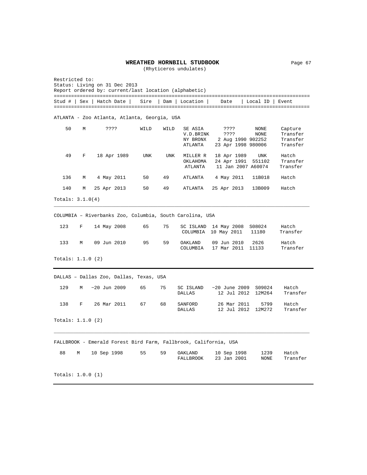#### **WREATHED HORNBILL STUDBOOK** Page 67

(Rhyticeros undulates)

Restricted to: Status: Living on 31 Dec 2013 Report ordered by: current/last location (alphabetic) ========================================================================================= Stud # | Sex | Hatch Date | Sire | Dam | Location | Date | Local ID | Event ========================================================================================= ATLANTA - Zoo Atlanta, Atlanta, Georgia, USA 50 M ???? WILD WILD SE ASIA ???? NONE Capture V.D.BRINK ???? NONE Transfer NY BRONX 2 Aug 1990 902252<br>NY BRONX 2 Aug 1990 902252 Transfer ATLANTA 23 Apr 1998 980006 Transfer 49 F 18 Apr 1989 UNK UNK MILLER R 18 Apr 1989 UNK Hatch OKLAHOMA 24 Apr 1991 551102 Transfer ATLANTA 11 Jan 2007 A60074 Transfer 136 M 4 May 2011 50 49 ATLANTA 4 May 2011 11B018 Hatch 140 M 25 Apr 2013 50 49 ATLANTA 25 Apr 2013 13B009 Hatch Totals: 3.1.0(4) \_\_\_\_\_\_\_\_\_\_\_\_\_\_\_\_\_\_\_\_\_\_\_\_\_\_\_\_\_\_\_\_\_\_\_\_\_\_\_\_\_\_\_\_\_\_\_\_\_\_\_\_\_\_\_\_\_\_\_\_\_\_\_\_\_\_\_\_\_\_\_\_\_\_\_\_\_\_\_\_\_\_\_\_\_\_\_\_\_ COLUMBIA – Riverbanks Zoo, Columbia, South Carolina, USA 123 F 14 May 2008 65 75 SC ISLAND 14 May 2008 S08024 Hatch COLUMBIA 10 May 2011 11180 Transfer 133 M 09 Jun 2010 95 59 OAKLAND 09 Jun 2010 2626 Hatch COLUMBIA 17 Mar 2011 11133 Totals: 1.1.0 (2) DALLAS – Dallas Zoo, Dallas, Texas, USA 129 M ~20 Jun 2009 65 75 SC ISLAND ~20 June 2009 S09024 Hatch 12 Jul 2012 12M264 Transfer 138 F 26 Mar 2011 67 68 SANFORD 26 Mar 2011 5799 Hatch 12 Jul 2012 12M272 Transfer Totals: 1.1.0 (2) \_\_\_\_\_\_\_\_\_\_\_\_\_\_\_\_\_\_\_\_\_\_\_\_\_\_\_\_\_\_\_\_\_\_\_\_\_\_\_\_\_\_\_\_\_\_\_\_\_\_\_\_\_\_\_\_\_\_\_\_\_\_\_\_\_\_\_\_\_\_\_\_\_\_\_\_\_\_\_\_\_\_\_\_\_\_\_\_\_ FALLBROOK - Emerald Forest Bird Farm, Fallbrook, California, USA 88 M 10 Sep 1998 55 59 OAKLAND 10 Sep 1998 1239 Hatch 23 Jan 2001 NONE Totals: 1.0.0 (1)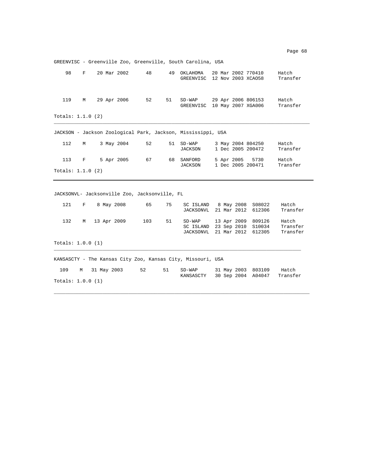GREENVISC - Greenville Zoo, Greenville, South Carolina, USA 98 F 20 Mar 2002 48 49 OKLAHOMA 20 Mar 2002 770410 Hatch GREENVISC 12 Nov 2003 XCAO58 Transfer 119 M 29 Apr 2006 52 51 SD-WAP 29 Apr 2006 806153 Hatch GREENVISC 10 May 2007 XGA006 Totals: 1.1.0 (2) \_\_\_\_\_\_\_\_\_\_\_\_\_\_\_\_\_\_\_\_\_\_\_\_\_\_\_\_\_\_\_\_\_\_\_\_\_\_\_\_\_\_\_\_\_\_\_\_\_\_\_\_\_\_\_\_\_\_\_\_\_\_\_\_\_\_\_\_\_\_\_\_\_\_\_\_\_\_\_\_\_\_\_\_\_\_\_\_\_ JACKSON - Jackson Zoological Park, Jackson, Mississippi, USA 112 M 3 May 2004 52 51 SD-WAP 3 May 2004 804250 Hatch 1 Dec 2005 200472 113 F 5 Apr 2005 67 68 SANFORD 5 Apr 2005 5730 Hatch 1 Dec 2005 200471 Totals: 1.1.0 (2) JACKSONVL- Jacksonville Zoo, Jacksonville, FL 121 F 8 May 2008 65 75 SC ISLAND 8 May 2008 S08022 Hatch JACKSONVL 21 Mar 2012 612306 Transfer 132 M 13 Apr 2009 103 51 SD-WAP 13 Apr 2009 809126 Hatch SC ISLAND 23 Sep 2010 S10034 Transfer<br>JACKSONVL 21 Mar 2012 612305 Transfer JACKSONVL 21 Mar 2012 612305 Totals: 1.0.0 (1)  $\_$  ,  $\_$  ,  $\_$  ,  $\_$  ,  $\_$  ,  $\_$  ,  $\_$  ,  $\_$  ,  $\_$  ,  $\_$  ,  $\_$  ,  $\_$  ,  $\_$  ,  $\_$  ,  $\_$  ,  $\_$  ,  $\_$  ,  $\_$  ,  $\_$  ,  $\_$  ,  $\_$  ,  $\_$  ,  $\_$  ,  $\_$  ,  $\_$  ,  $\_$  ,  $\_$  ,  $\_$  ,  $\_$  ,  $\_$  ,  $\_$  ,  $\_$  ,  $\_$  ,  $\_$  ,  $\_$  ,  $\_$  ,  $\_$  , KANSASCTY - The Kansas City Zoo, Kansas City, Missouri, USA 109 M 31 May 2003 52 51 SD-WAP 31 May 2003 803109 Hatch KANSASCTY 30 Sep 2004 A04047 Transfer Totals: 1.0.0 (1)

\_\_\_\_\_\_\_\_\_\_\_\_\_\_\_\_\_\_\_\_\_\_\_\_\_\_\_\_\_\_\_\_\_\_\_\_\_\_\_\_\_\_\_\_\_\_\_\_\_\_\_\_\_\_\_\_\_\_\_\_\_\_\_\_\_\_\_\_\_\_\_\_\_\_\_\_\_\_\_\_\_\_\_\_\_\_\_\_\_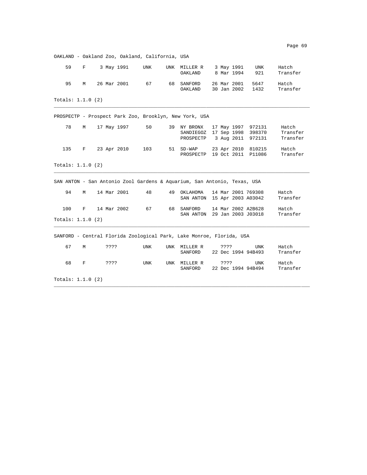OAKLAND - Oakland Zoo, Oakland, California, USA 59 F 3 May 1991 UNK UNK MILLER R 3 May 1991 UNK Hatch OAKLAND 8 Mar 1994 95 M 26 Mar 2001 67 68 SANFORD 26 Mar 2001 5647 Hatch 30 Jan 2002 1432 Totals: 1.1.0 (2) \_\_\_\_\_\_\_\_\_\_\_\_\_\_\_\_\_\_\_\_\_\_\_\_\_\_\_\_\_\_\_\_\_\_\_\_\_\_\_\_\_\_\_\_\_\_\_\_\_\_\_\_\_\_\_\_\_\_\_\_\_\_\_\_\_\_\_\_\_\_\_\_\_\_\_\_\_\_\_\_\_\_\_\_\_\_\_\_\_ PROSPECTP - Prospect Park Zoo, Brooklyn, New York, USA 78 M 17 May 1997 50 39 NY BRONX 17 May 1997 972131 Hatch SANDIEGOZ 17 Sep 1998 398370 Transfer PROSPECTP 3 Aug 2011 972131 Transfer 135 F 23 Apr 2010 103 51 SD-WAP 23 Apr 2010 810215 Hatch PROSPECTP 19 Oct 2011 P11086 Transfer Totals: 1.1.0 (2) \_\_\_\_\_\_\_\_\_\_\_\_\_\_\_\_\_\_\_\_\_\_\_\_\_\_\_\_\_\_\_\_\_\_\_\_\_\_\_\_\_\_\_\_\_\_\_\_\_\_\_\_\_\_\_\_\_\_\_\_\_\_\_\_\_\_\_\_\_\_\_\_\_\_\_\_\_\_\_\_\_\_\_\_\_\_\_\_\_ SAN ANTON - San Antonio Zool Gardens & Aquarium, San Antonio, Texas, USA 94 M 14 Mar 2001 48 49 OKLAHOMA 14 Mar 2001 769308 Hatch SAN ANTON 15 Apr 2003 A03042 100 F 14 Mar 2002 67 68 SANFORD 14 Mar 2002 A2B628 Hatch SAN ANTON 29 Jan 2003 J03018 Totals: 1.1.0 (2) \_\_\_\_\_\_\_\_\_\_\_\_\_\_\_\_\_\_\_\_\_\_\_\_\_\_\_\_\_\_\_\_\_\_\_\_\_\_\_\_\_\_\_\_\_\_\_\_\_\_\_\_\_\_\_\_\_\_\_\_\_\_\_\_\_\_\_\_\_\_\_\_\_\_\_\_\_\_\_\_\_\_\_\_\_\_\_\_\_ SANFORD - Central Florida Zoological Park, Lake Monroe, Florida, USA 67 M ???? UNK UNK MILLER R ???? UNK Hatch SANFORD 22 Dec 1994 94B493 68 F ???? UNK UNK MILLER R ???? UNK Hatch 22 Dec 1994 94B494

Totals: 1.1.0 (2) \_\_\_\_\_\_\_\_\_\_\_\_\_\_\_\_\_\_\_\_\_\_\_\_\_\_\_\_\_\_\_\_\_\_\_\_\_\_\_\_\_\_\_\_\_\_\_\_\_\_\_\_\_\_\_\_\_\_\_\_\_\_\_\_\_\_\_\_\_\_\_\_\_\_\_\_\_\_\_\_\_\_\_\_\_\_\_\_\_

Page 69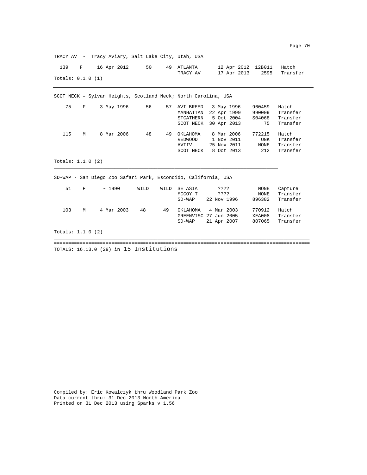TRACY AV - Tracy Aviary, Salt Lake City, Utah, USA 139 F 16 Apr 2012 50 49 ATLANTA 12 Apr 2012 12B011 Hatch<br>TRACY AV 17 Apr 2013 2595 Transi 17 Apr 2013 2595 Transfer Totals: 0.1.0 (1) SCOT NECK – Sylvan Heights, Scotland Neck; North Carolina, USA 75 F 3 May 1996 56 57 AVI BREED 3 May 1996 960459 Hatch MANHATTAN 22 Apr 1999 STCATHERN 5 Oct 2004 S04068 Transfer SCOT NECK 30 Apr 2013 75 Transfer 115 M 8 Mar 2006 48 49 OKLAHOMA 8 Mar 2006 772215 Hatch<br>REDWOOD 1 Nov 2011 UNK Transfer REDWOOD 1 Nov 2011 UNK Transfer AVTIV 25 Nov 2011 NONE Transfer SCOT NECK 8 Oct 2013 212 Transfer Totals: 1.1.0 (2) \_\_\_\_\_\_\_\_\_\_\_\_\_\_\_\_\_\_\_\_\_\_\_\_\_\_\_\_\_\_\_\_\_\_\_\_\_\_\_\_\_\_\_\_\_\_\_\_\_\_\_\_\_\_\_\_\_\_\_\_\_\_\_\_\_\_\_\_\_\_\_\_\_\_\_\_\_\_ SD-WAP - San Diego Zoo Safari Park, Escondido, California, USA 51 F ~ 1990 WILD WILD SE ASIA ???? NONE Capture MCCOY T 2??? NONE Transfer<br>SD-WAP 22 Nov 1996 896382 Transfer 22 Nov 1996 103 M 4 Mar 2003 48 49 OKLAHOMA 4 Mar 2003 770912 Hatch GREENVISC 27 Jun 2005 XEA008 Transfer<br>SD-WAP 21 Apr 2007 807065 Transfer SD-WAP 21 Apr 2007 Totals: 1.1.0 (2) \_\_\_\_\_\_\_\_\_\_\_\_\_\_\_\_\_\_\_\_\_\_\_\_\_\_\_\_\_\_\_\_\_\_\_\_\_\_\_\_\_\_\_\_\_\_\_\_\_\_\_\_\_\_\_\_\_\_\_\_\_\_\_\_\_\_\_\_\_\_\_\_\_\_\_\_\_\_\_\_\_\_\_\_\_\_\_\_\_ ========================================================================================= TOTALS: 16.13.0 (29) in 15 Institutions

Compiled by: Eric Kowalczyk thru Woodland Park Zoo Data current thru: 31 Dec 2013 North America Printed on 31 Dec 2013 using Sparks v 1.56

Page 70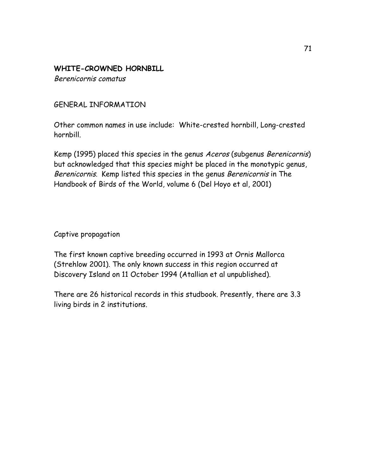### **WHITE-CROWNED HORNBILL**

Berenicornis comatus

#### GENERAL INFORMATION

Other common names in use include: White-crested hornbill, Long-crested hornbill.

Kemp (1995) placed this species in the genus Aceros (subgenus Berenicornis) but acknowledged that this species might be placed in the monotypic genus, Berenicornis. Kemp listed this species in the genus Berenicornis in The Handbook of Birds of the World, volume 6 (Del Hoyo et al, 2001)

Captive propagation

The first known captive breeding occurred in 1993 at Ornis Mallorca (Strehlow 2001). The only known success in this region occurred at Discovery Island on 11 October 1994 (Atallian et al unpublished).

There are 26 historical records in this studbook. Presently, there are 3.3 living birds in 2 institutions.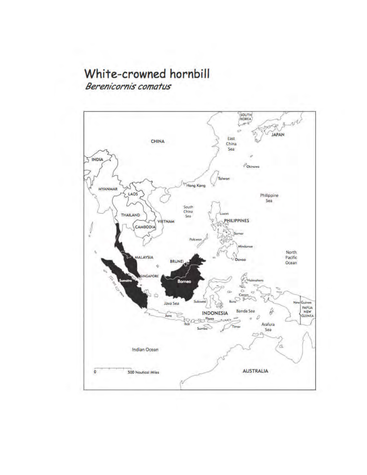## White-crowned hornbill

Berenicornis comatus

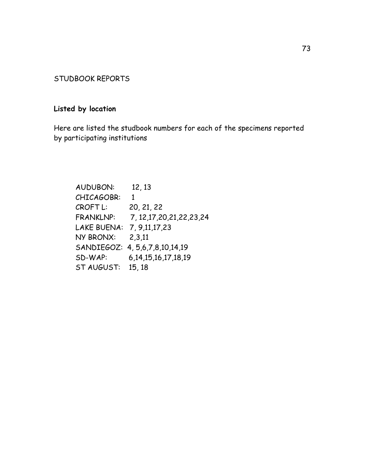#### STUDBOOK REPORTS

#### **Listed by location**

Here are listed the studbook numbers for each of the specimens reported by participating institutions

AUDUBON: 12, 13 CHICAGOBR: 1 CROFT L: 20, 21, 22 FRANKLNP: 7, 12,17,20,21,22,23,24 LAKE BUENA: 7, 9,11,17,23 NY BRONX: 2,3,11 SANDIEGOZ: 4, 5,6,7,8,10,14,19 SD-WAP: 6,14,15,16,17,18,19 ST AUGUST: 15, 18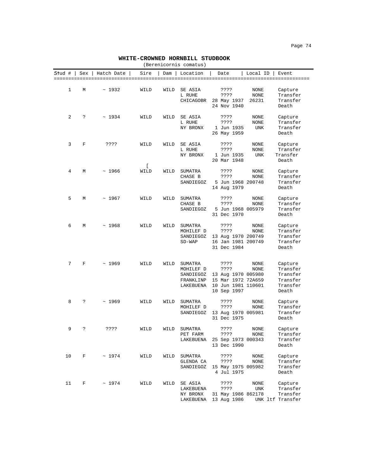#### **WHITE-CROWNED HORNBILL STUDBOOK**

| (Berenicornis comatus) |  |
|------------------------|--|
|------------------------|--|

|               |     |              |                        |      | (DELENICOLIIIS COMACUS)                                     |                                                                                               |                       |                                                                  |
|---------------|-----|--------------|------------------------|------|-------------------------------------------------------------|-----------------------------------------------------------------------------------------------|-----------------------|------------------------------------------------------------------|
| <b>Stud</b> # | Sex | Hatch Date   | Sire                   | Dam  | Location                                                    | Date                                                                                          | Local ID              | Event                                                            |
| 1             | М   | ~1932        | WILD                   | WILD | SE ASIA<br>L RUHE<br>CHICAGOBR                              | ????<br>????<br>28 May 1937<br>24 Nov 1940                                                    | NONE<br>NONE<br>26231 | Capture<br>Transfer<br>Transfer<br>Death                         |
| 2             | د:  | ~1934        | WILD                   | WILD | SE ASIA<br>L RUHE<br>NY BRONX                               | ????<br>????<br>1 Jun 1935<br>26 May 1959                                                     | NONE<br>NONE<br>UNK   | Capture<br>Transfer<br>Transfer<br>Death                         |
| 3             | F   | ????         | WILD                   | WILD | SE ASIA<br>L RUHE<br>NY BRONX                               | ????<br>????<br>1 Jun 1935<br>20 Mar 1948                                                     | NONE<br>NONE<br>UNK   | Capture<br>Transfer<br>Transfer<br>Death                         |
| 4             | М   | ~1966        | $\mathfrak{r}$<br>WILD | WILD | SUMATRA<br>CHASE B<br>SANDIEGOZ                             | ????<br>????<br>5 Jun 1968 200748<br>14 Aug 1979                                              | NONE<br>NONE          | Capture<br>Transfer<br>Transfer<br>Death                         |
| 5             | М   | ~1967        | WILD                   | WILD | SUMATRA<br>CHASE B<br>SANDIEGOZ                             | ????<br>????<br>5 Jun 1968 005979<br>31 Dec 1970                                              | NONE<br>NONE          | Capture<br>Transfer<br>Transfer<br>Death                         |
| 6             | М   | ~1968        | WILD                   | WILD | SUMATRA<br>MOHILEF D<br>SANDIEGOZ<br>$SD-WAP$               | ????<br>????<br>13 Aug 1970 200749<br>16 Jan 1981 200749<br>31 Dec 1984                       | NONE<br>NONE          | Capture<br>Transfer<br>Transfer<br>Transfer<br>Death             |
| 7             | F   | ~1969        | WILD                   | WILD | SUMATRA<br>MOHILEF D<br>SANDIEGOZ<br>FRANKLINP<br>LAKEBUENA | ????<br>????<br>13 Aug 1970 005980<br>15 Mar 1972 72A659<br>10 Jun 1981 110601<br>10 Sep 1997 | NONE<br>NONE          | Capture<br>Transfer<br>Transfer<br>Transfer<br>Transfer<br>Death |
| 8             | S.  | ~1969        | WILD                   | WILD | SUMATRA<br>MOHILEF D<br>SANDIEGOZ                           | ????<br>????<br>13 Aug 1970 005981<br>31 Dec 1975                                             | NONE<br>NONE          | Capture<br>Transfer<br>Transfer<br>Death                         |
| 9             | د:  | ????         | WILD                   | WILD | SUMATRA<br>PET FARM                                         | ????<br>????<br>LAKEBUENA 25 Sep 1973 000343<br>13 Dec 1990                                   | NONE<br>NONE          | Capture<br>Transfer<br>Transfer<br>Death                         |
| 10            | F   | $~\sim~1974$ | WILD                   | WILD | SUMATRA<br>GLENDA CA<br>SANDIEGOZ                           | ????<br>????<br>15 May 1975 005982<br>4 Jul 1975                                              | NONE<br>NONE          | Capture<br>Transfer<br>Transfer<br>Death                         |
| 11            | F   | ~1974        | WILD                   | WILD | SE ASIA<br>LAKEBUENA<br>NY BRONX<br>LAKEBUENA               | ????<br>????<br>31 May 1986 862178<br>13 Aug 1986                                             | NONE<br>UNK           | Capture<br>Transfer<br>Transfer<br>UNK ltf Transfer              |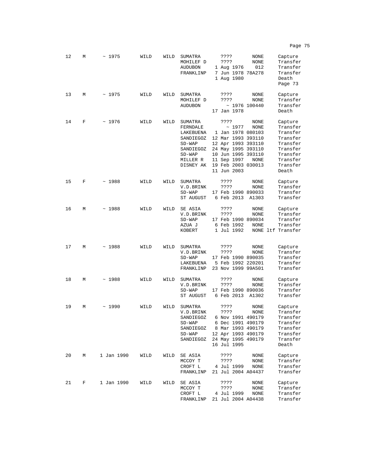| 12 | М | ~1975      | WILD | WILD | SUMATRA<br>MOHILEF D<br><b>AUDUBON</b><br>FRANKLINP                                                         | Capture<br>????<br>NONE<br>Transfer<br>????<br>NONE<br>012<br>1 Aug 1976<br>Transfer<br>7 Jun 1978 78A278<br>Transfer<br>1 Aug 1980<br>Death<br>Page 73                                                                                                                                                                    |
|----|---|------------|------|------|-------------------------------------------------------------------------------------------------------------|----------------------------------------------------------------------------------------------------------------------------------------------------------------------------------------------------------------------------------------------------------------------------------------------------------------------------|
| 13 | М | ~1975      | WILD | WILD | SUMATRA<br>MOHILEF D<br>AUDUBON                                                                             | ????<br>NONE<br>Capture<br>????<br>NONE<br>Transfer<br>$~\sim$ 1976 100440<br>Transfer<br>17 Jan 1978<br>Death                                                                                                                                                                                                             |
| 14 | F | ~1976      | WILD | WILD | SUMATRA<br>FERNDALE<br>LAKEBUENA<br>SANDIEGOZ<br>$SD-WAP$<br>SANDIEGOZ<br>$SD-WAP$<br>MILLER R<br>DISNEY AK | ????<br>Capture<br>NONE<br>Transfer<br>~1977<br>NONE<br>1 Jan 1978 080103<br>Transfer<br>12 Mar 1993 393110<br>Transfer<br>12 Apr 1993 393110<br>Transfer<br>24 May 1995 393110<br>Transfer<br>10 Jun 1995 393110<br>Transfer<br>11 Sep 1997<br>Transfer<br>NONE<br>19 Feb 2003 030013<br>Transfer<br>11 Jun 2003<br>Death |
| 15 | F | ~1988      | WILD | WILD | SUMATRA<br>V.D.BRINK<br>$SD-WAP$<br>ST AUGUST                                                               | ????<br>NONE<br>Capture<br>Transfer<br>????<br>NONE<br>17 Feb 1990 890033<br>Transfer<br>6 Feb 2013<br>A1303<br>Transfer                                                                                                                                                                                                   |
| 16 | М | ~1988      | WILD | WILD | SE ASIA<br>V.D.BRINK<br>$SD-WAP$<br>AZUA J<br>KOBERT                                                        | Capture<br>????<br>NONE<br>Transfer<br>????<br>NONE<br>17 Feb 1990 890034<br>Transfer<br>6 Feb 1992<br>NONE<br>Transfer<br>1 Jul 1992<br>NONE ltf Transfer                                                                                                                                                                 |
| 17 | М | ~1988      | WILD | WILD | SUMATRA<br>V.D.BRINK<br>$SD-WAP$<br>LAKEBUENA<br>FRANKLINP                                                  | ????<br>NONE<br>Capture<br>Transfer<br>????<br>NONE<br>17 Feb 1990 890035<br>Transfer<br>5 Feb 1992 220201<br>Transfer<br>23 Nov 1999 99A501<br>Transfer                                                                                                                                                                   |
| 18 | М | ~1988      | WILD | WILD | SUMATRA<br>V.D.BRINK<br>$SD-WAP$<br>ST AUGUST                                                               | NONE<br>Capture<br>????<br>Transfer<br>????<br>NONE<br>Transfer<br>17 Feb 1990 890036<br>6 Feb 2013<br>Transfer<br>A1302                                                                                                                                                                                                   |
| 19 | М | ~1990      | WILD | WILD | SUMATRA<br>V.D.BRINK<br>SANDIEGOZ<br>$SD-WAP$<br>SANDIEGOZ<br>$SD-WAP$<br>SANDIEGOZ                         | ????<br>Capture<br>NONE<br>????<br><b>NONE</b><br>Transfer<br>6 Nov 1991 490179<br>Transfer<br>6 Dec 1991 490179<br>Transfer<br>8 Mar 1993 490179<br>Transfer<br>12 Apr 1993 490179<br>Transfer<br>24 May 1995 490179<br>Transfer<br>16 Jul 1995<br>Death                                                                  |
| 20 | М | 1 Jan 1990 | WILD | WILD | SE ASIA<br>MCCOY T<br>CROFT L<br>FRANKLINP                                                                  | ????<br>Capture<br>NONE<br>Transfer<br>????<br>NONE<br>4 Jul 1999<br>NONE<br>Transfer<br>21 Jul 2004 A04437<br>Transfer                                                                                                                                                                                                    |
| 21 | F | 1 Jan 1990 | WILD | WILD | SE ASIA<br>MCCOY T<br>CROFT L<br>FRANKLINP                                                                  | Capture<br>????<br>NONE<br>Transfer<br>????<br>NONE<br>Transfer<br>4 Jul 1999<br>NONE<br>21 Jul 2004 A04438<br>Transfer                                                                                                                                                                                                    |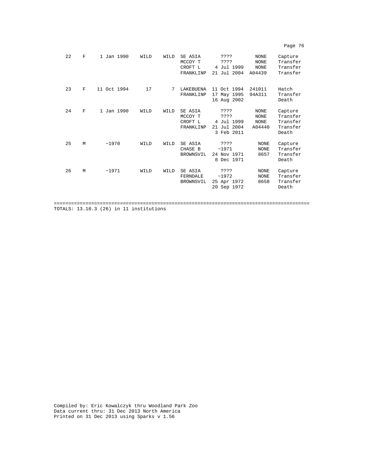| 22 | $_{\rm F}$ | 1 Jan 1990  | WILD | WILD | SE ASIA<br>MCCOY T<br>CROFT L<br>FRANKLINP | ? ? ? ?<br>????<br>4 Jul 1999<br>21 Jul 2004            | <b>NONE</b><br><b>NONE</b><br><b>NONE</b><br>A04439 | Capture<br>Transfer<br>Transfer<br>Transfer          |
|----|------------|-------------|------|------|--------------------------------------------|---------------------------------------------------------|-----------------------------------------------------|------------------------------------------------------|
| 23 | F          | 11 Oct 1994 | 17   | 7    | LAKEBUENA<br>FRANKLINP                     | 11 Oct 1994<br>17 May 1995<br>16 Aug 2002               | 241011<br>94A311                                    | Hatch<br>Transfer<br>Death                           |
| 24 | F          | 1 Jan 1990  | WILD | WILD | SE ASIA<br>MCCOY T<br>CROFT L<br>FRANKLINP | ????<br>????<br>4 Jul 1999<br>21 Jul 2004<br>3 Feb 2011 | <b>NONE</b><br><b>NONE</b><br><b>NONE</b><br>A04440 | Capture<br>Transfer<br>Transfer<br>Transfer<br>Death |
| 25 | M          | ~1970       | WILD | WILD | SE ASIA<br>CHASE B<br>BROWNSVIL            | ????<br>~1971<br>24 Nov 1971<br>8 Dec 1971              | <b>NONE</b><br><b>NONE</b><br>8657                  | Capture<br>Transfer<br>Transfer<br>Death             |
| 26 | M          | ~1971       | WILD | WILD | SE ASIA<br>FERNDALE<br>BROWNSVIL           | ????<br>~1972<br>25 Apr 1972<br>20 Sep 1972             | <b>NONE</b><br><b>NONE</b><br>8658                  | Capture<br>Transfer<br>Transfer<br>Death             |
|    |            |             |      |      |                                            |                                                         |                                                     |                                                      |

TOTALS: 13.10.3 (26) in 11 institutions

Compiled by: Eric Kowalczyk thru Woodland Park Zoo Data current thru: 31 Dec 2013 North America Printed on 31 Dec 2013 using Sparks v 1.56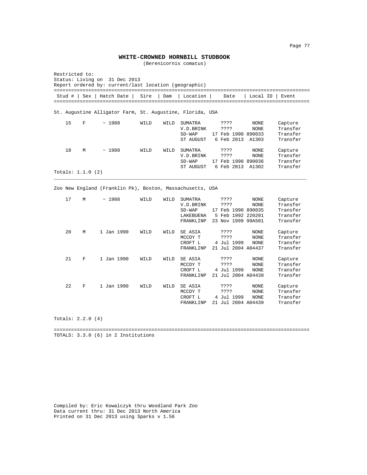#### **WHITE-CROWNED HORNBILL STUDBOOK**

(Berenicornis comatus)

| Restricted to:<br>Status: Living on<br>31 Dec 2013<br>Report ordered by: current/last location (geographic)<br>======================= |                          |                                                                                                     |      |      |                                                                   |  |                                                                               |                                     |                                                         |
|----------------------------------------------------------------------------------------------------------------------------------------|--------------------------|-----------------------------------------------------------------------------------------------------|------|------|-------------------------------------------------------------------|--|-------------------------------------------------------------------------------|-------------------------------------|---------------------------------------------------------|
| Stud #                                                                                                                                 |                          | Sex   Hatch Date                                                                                    | Sire | Dam  | Location                                                          |  | Date                                                                          | Local ID                            | Event                                                   |
|                                                                                                                                        |                          | ======================================<br>St. Augustine Alligator Farm, St. Augustine, Florida, USA |      |      | ===============================                                   |  |                                                                               |                                     |                                                         |
| 15                                                                                                                                     | F                        | ~1988                                                                                               | WILD | WILD | <b>SUMATRA</b><br>V.D.BRINK<br>$SD-WAP$<br>ST AUGUST              |  | ????<br>????<br>17 Feb 1990 890033<br>6 Feb 2013                              | <b>NONE</b><br><b>NONE</b><br>A1303 | Capture<br>Transfer<br>Transfer<br>Transfer             |
| 18                                                                                                                                     | М<br>Totals: $1.1.0$ (2) | ~1988                                                                                               | WILD | WILD | SUMATRA<br>V.D.BRINK<br>$SD-WAP$<br>ST AUGUST                     |  | ????<br>????<br>17 Feb 1990 890036<br>6 Feb 2013                              | NONE<br><b>NONE</b><br>A1302        | Capture<br>Transfer<br>Transfer<br>Transfer             |
| Zoo New England (Franklin Pk), Boston, Massachusetts, USA                                                                              |                          |                                                                                                     |      |      |                                                                   |  |                                                                               |                                     |                                                         |
| 17                                                                                                                                     | М                        | ~1988                                                                                               | WILD | WILD | <b>SUMATRA</b><br>V.D.BRINK<br>$SD-WAP$<br>LAKEBUENA<br>FRANKLINP |  | ????<br>????<br>17 Feb 1990 890035<br>5 Feb 1992 220201<br>23 Nov 1999 99A501 | NONE<br>NONE                        | Capture<br>Transfer<br>Transfer<br>Transfer<br>Transfer |
| 20                                                                                                                                     | М                        | 1 Jan 1990                                                                                          | WILD | WILD | SE ASIA<br>MCCOY T<br>CROFT L<br>FRANKLINP                        |  | ????<br>????<br>4 Jul 1999<br>21 Jul 2004 A04437                              | NONE<br>NONE<br><b>NONE</b>         | Capture<br>Transfer<br>Transfer<br>Transfer             |
| 21                                                                                                                                     | F                        | 1 Jan 1990                                                                                          | WILD | WILD | SE ASIA<br>MCCOY T<br>CROFT L<br>FRANKLINP                        |  | ????<br>????<br>4 Jul 1999<br>21 Jul 2004 A04438                              | NONE<br><b>NONE</b><br><b>NONE</b>  | Capture<br>Transfer<br>Transfer<br>Transfer             |
| 22                                                                                                                                     | F                        | 1 Jan 1990                                                                                          | WILD | WILD | SE ASIA<br>MCCOY T<br>CROFT L<br>FRANKLINP                        |  | ????<br>????<br>4 Jul 1999<br>21 Jul 2004 A04439                              | <b>NONE</b><br>NONE<br><b>NONE</b>  | Capture<br>Transfer<br>Transfer<br>Transfer             |

Totals: 2.2.0 (4)

========================================================================================= TOTALS: 3.3.0 (6) in 2 Institutions

Compiled by: Eric Kowalczyk thru Woodland Park Zoo Data current thru: 31 Dec 2013 North America Printed on 31 Dec 2013 using Sparks v 1.56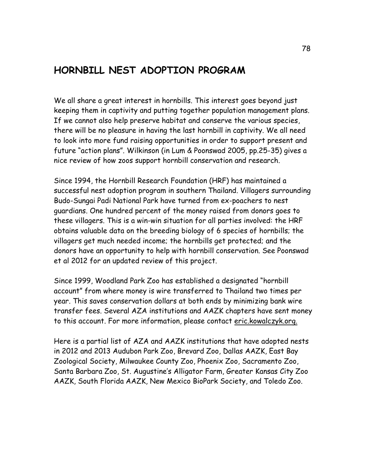## **HORNBILL NEST ADOPTION PROGRAM**

We all share a great interest in hornbills. This interest goes beyond just keeping them in captivity and putting together population management plans. If we cannot also help preserve habitat and conserve the various species, there will be no pleasure in having the last hornbill in captivity. We all need to look into more fund raising opportunities in order to support present and future "action plans". Wilkinson (in Lum & Poonswad 2005, pp.25-35) gives a nice review of how zoos support hornbill conservation and research.

Since 1994, the Hornbill Research Foundation (HRF) has maintained a successful nest adoption program in southern Thailand. Villagers surrounding Budo-Sungai Padi National Park have turned from ex-poachers to nest guardians. One hundred percent of the money raised from donors goes to these villagers. This is a win-win situation for all parties involved: the HRF obtains valuable data on the breeding biology of 6 species of hornbills; the villagers get much needed income; the hornbills get protected; and the donors have an opportunity to help with hornbill conservation. See Poonswad et al 2012 for an updated review of this project.

Since 1999, Woodland Park Zoo has established a designated "hornbill account" from where money is wire transferred to Thailand two times per year. This saves conservation dollars at both ends by minimizing bank wire transfer fees. Several AZA institutions and AAZK chapters have sent money to this account. For more information, please contact eric.kowalczyk.org.

Here is a partial list of AZA and AAZK institutions that have adopted nests in 2012 and 2013 Audubon Park Zoo, Brevard Zoo, Dallas AAZK, East Bay Zoological Society, Milwaukee County Zoo, Phoenix Zoo, Sacramento Zoo, Santa Barbara Zoo, St. Augustine's Alligator Farm, Greater Kansas City Zoo AAZK, South Florida AAZK, New Mexico BioPark Society, and Toledo Zoo.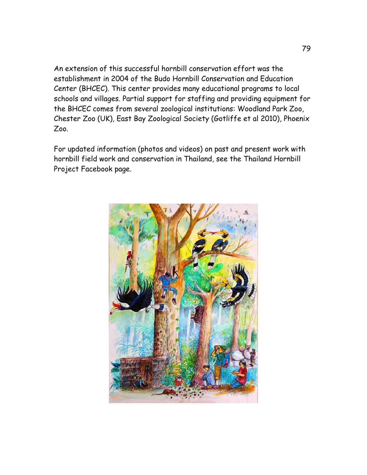An extension of this successful hornbill conservation effort was the establishment in 2004 of the Budo Hornbill Conservation and Education Center (BHCEC). This center provides many educational programs to local schools and villages. Partial support for staffing and providing equipment for the BHCEC comes from several zoological institutions: Woodland Park Zoo, Chester Zoo (UK), East Bay Zoological Society (Gotliffe et al 2010), Phoenix Zoo.

For updated information (photos and videos) on past and present work with hornbill field work and conservation in Thailand, see the Thailand Hornbill Project Facebook page.

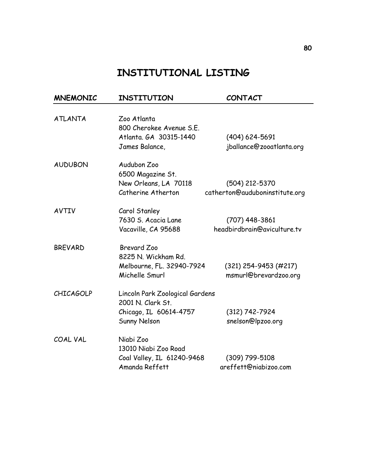## **INSTITUTIONAL LISTING**

| <b>MNEMONIC</b>  | INSTITUTION                     | <b>CONTACT</b>                 |
|------------------|---------------------------------|--------------------------------|
|                  |                                 |                                |
| <b>ATLANTA</b>   | Zoo Atlanta                     |                                |
|                  | 800 Cherokee Avenue S.E.        |                                |
|                  | Atlanta, GA 30315-1440          | $(404) 624 - 5691$             |
|                  | James Balance,                  | jballance@zooatlanta.org       |
| <b>AUDUBON</b>   | Audubon Zoo                     |                                |
|                  | 6500 Magazine St.               |                                |
|                  | New Orleans, LA 70118           | (504) 212-5370                 |
|                  | Catherine Atherton              | catherton@auduboninstitute.org |
| <b>AVTIV</b>     | Carol Stanley                   |                                |
|                  | 7630 S. Acacia Lane             | $(707)$ 448-3861               |
|                  | Vacaville, CA 95688             | headbirdbrain@aviculture.tv    |
| <b>BREVARD</b>   | <b>Brevard Zoo</b>              |                                |
|                  | 8225 N. Wickham Rd.             |                                |
|                  | Melbourne, FL. 32940-7924       | $(321)$ 254-9453 (#217)        |
|                  | Michelle Smurl                  | msmurl@brevardzoo.org          |
| <b>CHICAGOLP</b> | Lincoln Park Zoological Gardens |                                |
|                  | 2001 N. Clark St.               |                                |
|                  | Chicago, IL 60614-4757          | $(312) 742 - 7924$             |
|                  | <b>Sunny Nelson</b>             | snelson@lpzoo.org              |
| COAL VAL         | Niabi Zoo                       |                                |
|                  | 13010 Niabi Zoo Road            |                                |
|                  | Coal Valley, IL 61240-9468      | (309) 799-5108                 |
|                  | Amanda Reffett                  | areffett@niabizoo.com          |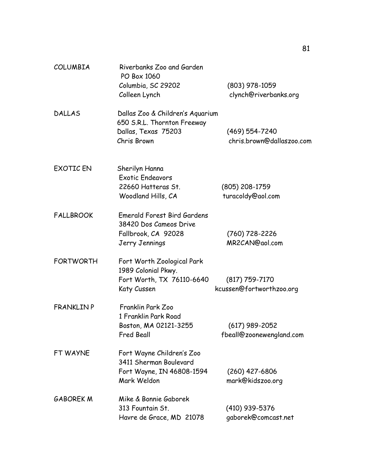| COLUMBIA          | Riverbanks Zoo and Garden<br>PO Box 1060<br>Columbia, SC 29202                                                         | $(803)$ 978-1059                                                     |
|-------------------|------------------------------------------------------------------------------------------------------------------------|----------------------------------------------------------------------|
| <b>DALLAS</b>     | Colleen Lynch<br>Dallas Zoo & Children's Aquarium<br>650 S.R.L. Thornton Freeway<br>Dallas, Texas 75203<br>Chris Brown | clynch@riverbanks.org<br>(469) 554-7240<br>chris.brown@dallaszoo.com |
| <b>EXOTIC EN</b>  | Sherilyn Hanna<br><b>Exotic Endeavors</b><br>22660 Hatteras St.<br>Woodland Hills, CA                                  | (805) 208-1759<br>turacoldy@aol.com                                  |
| <b>FALLBROOK</b>  | Emerald Forest Bird Gardens<br>38420 Dos Cameos Drive<br>Fallbrook, CA 92028<br>Jerry Jennings                         | (760) 728-2226<br>MR2CAN@aol.com                                     |
| <b>FORTWORTH</b>  | Fort Worth Zoological Park<br>1989 Colonial Pkwy.<br>Fort Worth, TX 76110-6640<br>Katy Cussen                          | $(817)$ 759-7170<br>kcussen@fortworthzoo.org                         |
| <b>FRANKLIN P</b> | Franklin Park Zoo<br>1 Franklin Park Road<br>Boston, MA 02121-3255<br>Fred Beall                                       | $(617)$ 989-2052<br>fbeall@zoonewengland.com                         |
| FT WAYNE          | Fort Wayne Children's Zoo<br>3411 Sherman Boulevard<br>Fort Wayne, IN 46808-1594<br>Mark Weldon                        | $(260)$ 427-6806<br>mark@kidszoo.org                                 |
| <b>GABOREK M</b>  | Mike & Bonnie Gaborek<br>313 Fountain St.<br>Havre de Grace, MD 21078                                                  | (410) 939-5376<br>gaborek@comcast.net                                |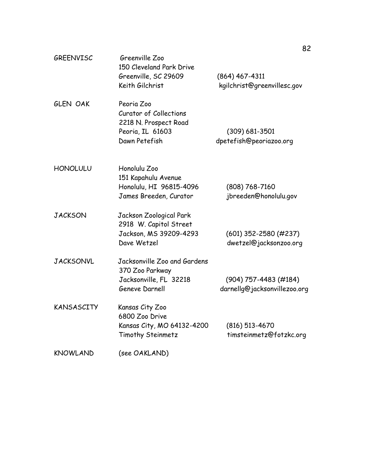| <b>GREENVISC</b> | Greenville Zoo<br>150 Cleveland Park Drive<br>Greenville, SC 29609<br>Keith Gilchrist                     | $(864)$ 467-4311<br>kgilchrist@greenvillesc.gov         |
|------------------|-----------------------------------------------------------------------------------------------------------|---------------------------------------------------------|
| <b>GLEN OAK</b>  | Peoria Zoo<br><b>Curator of Collections</b><br>2218 N. Prospect Road<br>Peoria, IL 61603<br>Dawn Petefish | $(309) 681 - 3501$<br>dpetefish@peoriazoo.org           |
| <b>HONOLULU</b>  | Honolulu Zoo<br>151 Kapahulu Avenue<br>Honolulu, HI 96815-4096<br>James Breeden, Curator                  | $(808) 768 - 7160$<br>jbreeden@honolulu.gov             |
| <b>JACKSON</b>   | Jackson Zoological Park<br>2918 W. Capitol Street<br>Jackson, MS 39209-4293<br>Dave Wetzel                | $(601)$ 352-2580 (#237)<br>dwetzel@jacksonzoo.org       |
| <b>JACKSONVL</b> | Jacksonville Zoo and Gardens<br>370 Zoo Parkway<br>Jacksonville, FL 32218<br>Geneve Darnell               | $(904)$ 757-4483 (#184)<br>darnellg@jacksonvillezoo.org |
| KANSASCITY       | Kansas City Zoo<br>6800 Zoo Drive<br>Kansas City, MO 64132-4200<br>Timothy Steinmetz                      | $(816)$ 513-4670<br>timsteinmetz@fotzkc.org             |
| <b>KNOWLAND</b>  | (see OAKLAND)                                                                                             |                                                         |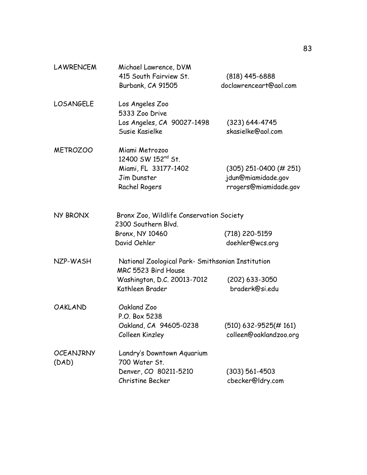| <b>LAWRENCEM</b>          | Michael Lawrence, DVM                                                    |                          |
|---------------------------|--------------------------------------------------------------------------|--------------------------|
|                           | 415 South Fairview St.                                                   | $(818)$ 445-6888         |
|                           | Burbank, CA 91505                                                        | doclawrenceart@aol.com   |
| <b>LOSANGELE</b>          | Los Angeles Zoo<br>5333 Zoo Drive                                        |                          |
|                           | Los Angeles, CA 90027-1498                                               | $(323) 644 - 4745$       |
|                           | Susie Kasielke                                                           | skasielke@aol.com        |
| <b>METROZOO</b>           | Miami Metrozoo<br>12400 SW 152 <sup>nd</sup> St.                         |                          |
|                           | Miami, FL 33177-1402                                                     | $(305)$ 251-0400 (# 251) |
|                           | Jim Dunster                                                              | jdun@miamidade.gov       |
|                           | Rachel Rogers                                                            | rrogers@miamidade.gov    |
| <b>NY BRONX</b>           | Bronx Zoo, Wildlife Conservation Society                                 |                          |
|                           | 2300 Southern Blvd.                                                      |                          |
|                           | Bronx, NY 10460                                                          | (718) 220-5159           |
|                           | David Oehler                                                             | doehler@wcs.org          |
| NZP-WASH                  | National Zoological Park- Smithsonian Institution<br>MRC 5523 Bird House |                          |
|                           | Washington, D.C. 20013-7012                                              | $(202)$ 633-3050         |
|                           | Kathleen Brader                                                          | braderk@si.edu           |
| <b>OAKLAND</b>            | Oakland Zoo<br>P.O. Box 5238                                             |                          |
|                           | Oakland, CA 94605-0238                                                   | $(510)$ 632-9525(#161)   |
|                           | Colleen Kinzley                                                          | colleen@oaklandzoo.org   |
|                           |                                                                          |                          |
| <b>OCEANJRNY</b><br>(DAD) | Landry's Downtown Aquarium<br>700 Water St.                              |                          |
|                           | Denver, CO 80211-5210                                                    | $(303) 561 - 4503$       |
|                           | Christine Becker                                                         | cbecker@ldry.com         |
|                           |                                                                          |                          |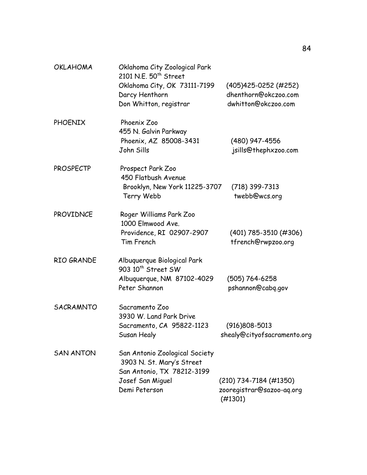| <b>OKLAHOMA</b>  | Oklahoma City Zoological Park<br>2101 N.E. 50 <sup>th</sup> Street                        |                                                  |
|------------------|-------------------------------------------------------------------------------------------|--------------------------------------------------|
|                  | Oklahoma City, OK 73111-7199<br>Darcy Henthorn                                            | (405) 425-0252 (#252)<br>dhenthorn@okczoo.com    |
|                  | Don Whitton, registrar                                                                    | dwhitton@okczoo.com                              |
| <b>PHOENIX</b>   | Phoenix Zoo<br>455 N. Galvin Parkway<br>Phoenix, AZ 85008-3431<br>John Sills              | (480) 947-4556<br>jsills@thephxzoo.com           |
| <b>PROSPECTP</b> | Prospect Park Zoo<br>450 Flatbush Avenue<br>Brooklyn, New York 11225-3707                 | $(718)$ 399-7313                                 |
|                  | Terry Webb                                                                                | twebb@wcs.org                                    |
| PROVIDNCE        | Roger Williams Park Zoo<br>1000 Elmwood Ave.                                              |                                                  |
|                  | Providence, RI 02907-2907<br>Tim French                                                   | $(401)$ 785-3510 (#306)<br>tfrench@rwpzoo.org    |
| RIO GRANDE       | Albuquerque Biological Park<br>903 10 <sup>th</sup> Street SW                             |                                                  |
|                  | Albuquerque, NM 87102-4029<br>Peter Shannon                                               | (505) 764-6258<br>pshannon@cabq.gov              |
| <b>SACRAMNTO</b> | Sacramento Zoo<br>3930 W. Land Park Drive                                                 |                                                  |
|                  | Sacramento, CA 95822-1123<br>Susan Healy                                                  | $(916)808 - 5013$<br>shealy@cityofsacramento.org |
| <b>SAN ANTON</b> | San Antonio Zoological Society<br>3903 N. St. Mary's Street<br>San Antonio, TX 78212-3199 |                                                  |
|                  | Josef San Miguel<br>Demi Peterson                                                         | $(210)$ 734-7184 (#1350)                         |
|                  |                                                                                           | zooregistrar@sazoo-aq.org<br>(#1301)             |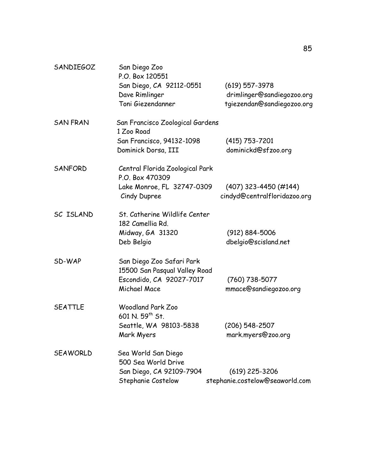| <b>SANDIEGOZ</b> | San Diego Zoo<br>P.O. Box 120551                           |                                                         |
|------------------|------------------------------------------------------------|---------------------------------------------------------|
|                  | San Diego, CA 92112-0551                                   | $(619)$ 557-3978                                        |
|                  | Dave Rimlinger                                             | drimlinger@sandiegozoo.org                              |
|                  | Toni Giezendanner                                          | tgiezendan@sandiegozoo.org                              |
| <b>SAN FRAN</b>  | San Francisco Zoological Gardens<br>1 Zoo Road             |                                                         |
|                  | San Francisco, 94132-1098                                  | (415) 753-7201                                          |
|                  | Dominick Dorsa, III                                        | dominickd@sfzoo.org                                     |
| SANFORD          | Central Florida Zoological Park<br>P.O. Box 470309         |                                                         |
|                  | Lake Monroe, FL 32747-0309<br>Cindy Dupree                 | $(407)$ 323-4450 (#144)<br>cindyd@centralfloridazoo.org |
| SC ISLAND        | St. Catherine Wildlife Center<br>182 Camellia Rd.          |                                                         |
|                  | Midway, GA 31320                                           | $(912) 884 - 5006$                                      |
|                  | Deb Belgio                                                 | dbelgio@scisland.net                                    |
| SD-WAP           | San Diego Zoo Safari Park<br>15500 San Pasqual Valley Road |                                                         |
|                  | Escondido, CA 92027-7017<br>Michael Mace                   | $(760)$ 738-5077<br>mmace@sandiegozoo.org               |
| <b>SEATTLE</b>   | <b>Woodland Park Zoo</b><br>601 N. 59th St.                |                                                         |
|                  | Seattle, WA 98103-5838                                     | (206) 548-2507                                          |
|                  | Mark Myers                                                 | mark.myers@zoo.org                                      |
| <b>SEAWORLD</b>  | Sea World San Diego<br>500 Sea World Drive                 |                                                         |
|                  | San Diego, CA 92109-7904                                   | $(619)$ 225-3206                                        |
|                  | Stephanie Costelow                                         | stephanie.costelow@seaworld.com                         |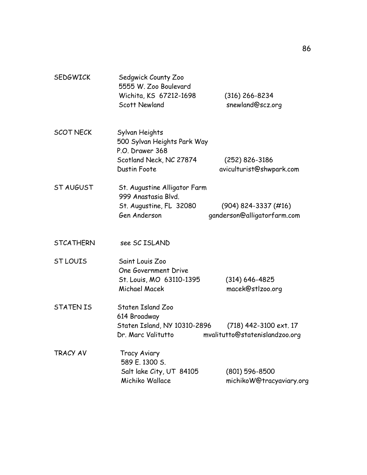| <b>SEDGWICK</b>  | Sedgwick County Zoo<br>5555 W. Zoo Boulevard<br>Wichita, KS 67212-1698<br><b>Scott Newland</b>                     | $(316)$ 266-8234<br>snewland@scz.org                     |
|------------------|--------------------------------------------------------------------------------------------------------------------|----------------------------------------------------------|
| <b>SCOT NECK</b> | Sylvan Heights<br>500 Sylvan Heights Park Way<br>P.O. Drawer 368<br>Scotland Neck, NC 27874<br><b>Dustin Foote</b> | $(252)$ 826-3186<br>aviculturist@shwpark.com             |
| ST AUGUST        | St. Augustine Alligator Farm<br>999 Anastasia Blvd.<br>St. Augustine, FL 32080<br>Gen Anderson                     | $(904)$ 824-3337 (#16)<br>ganderson@alligatorfarm.com    |
| <b>STCATHERN</b> | see SC ISLAND                                                                                                      |                                                          |
| <b>ST LOUIS</b>  | Saint Louis Zoo<br>One Government Drive<br>St. Louis, MO 63110-1395<br>Michael Macek                               | $(314) 646 - 4825$<br>macek@stlzoo.org                   |
| <b>STATEN IS</b> | Staten Island Zoo<br>614 Broadway<br>Staten Island, NY 10310-2896<br>Dr. Marc Valitutto                            | (718) 442-3100 ext. 17<br>mvalitutto@statenislandzoo.org |
| TRACY AV         | Tracy Aviary<br>589 E. 1300 S.<br>Salt lake City, UT 84105<br>Michiko Wallace                                      | $(801) 596 - 8500$<br>michikoW@tracyaviary.org           |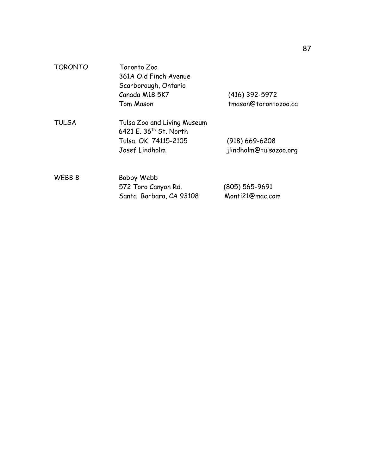| <b>TORONTO</b> | Toronto Zoo                                                       |                        |  |  |  |  |  |  |  |
|----------------|-------------------------------------------------------------------|------------------------|--|--|--|--|--|--|--|
|                | 361A Old Finch Avenue                                             |                        |  |  |  |  |  |  |  |
|                | Scarborough, Ontario                                              |                        |  |  |  |  |  |  |  |
|                | Canada M1B 5K7                                                    | (416) 392-5972         |  |  |  |  |  |  |  |
|                | Tom Mason                                                         | tmason@torontozoo.ca   |  |  |  |  |  |  |  |
| <b>TULSA</b>   | Tulsa Zoo and Living Museum<br>6421 E. 36 <sup>th</sup> St. North |                        |  |  |  |  |  |  |  |
|                | Tulsa, OK 74115-2105                                              | $(918)$ 669-6208       |  |  |  |  |  |  |  |
|                | Josef Lindholm                                                    | jlindholm@tulsazoo.org |  |  |  |  |  |  |  |
| <b>WEBB B</b>  | Bobby Webb                                                        |                        |  |  |  |  |  |  |  |
|                | 572 Toro Canyon Rd.                                               | (805) 565-9691         |  |  |  |  |  |  |  |

Santa Barbara, CA 93108 Monti21@mac.com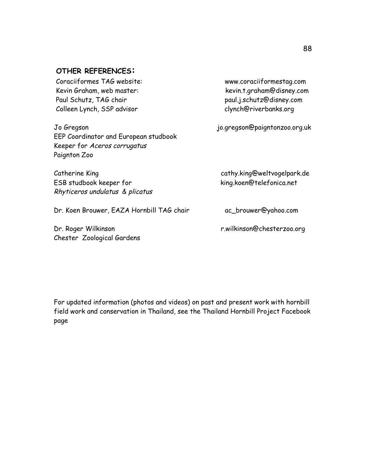#### **OTHER REFERENCES:**

Coraciiformes TAG website: www.coraciiformestag.com Kevin Graham, web master: kevin.t.graham@disney.com Paul Schutz, TAG chair entitled and the paul.j.schutz@disney.com Colleen Lynch, SSP advisor clynch@riverbanks.org

Jo Gregson jo.gregson@paigntonzoo.org.uk EEP Coordinator and European studbook Keeper for Aceros corrugatus Paignton Zoo

ESB studbook keeper for king.koen@telefonica.net Rhyticeros undulatus & plicatus

Dr. Koen Brouwer, EAZA Hornbill TAG chair ac\_brouwer@yahoo.com

Chester Zoological Gardens

Catherine King cathy.king@weltvogelpark.de

Dr. Roger Wilkinson r.wilkinson@chesterzoo.org

For updated information (photos and videos) on past and present work with hornbill field work and conservation in Thailand, see the Thailand Hornbill Project Facebook page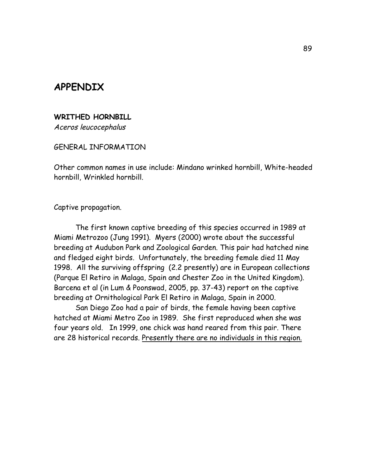## **APPENDIX**

#### **WRITHED HORNBILL**

Aceros leucocephalus

GENERAL INFORMATION

Other common names in use include: Mindano wrinked hornbill, White-headed hornbill, Wrinkled hornbill.

Captive propagation.

The first known captive breeding of this species occurred in 1989 at Miami Metrozoo (Jung 1991). Myers (2000) wrote about the successful breeding at Audubon Park and Zoological Garden. This pair had hatched nine and fledged eight birds. Unfortunately, the breeding female died 11 May 1998. All the surviving offspring (2.2 presently) are in European collections (Parque El Retiro in Malaga, Spain and Chester Zoo in the United Kingdom). Barcena et al (in Lum & Poonswad, 2005, pp. 37-43) report on the captive breeding at Ornithological Park El Retiro in Malaga, Spain in 2000.

San Diego Zoo had a pair of birds, the female having been captive hatched at Miami Metro Zoo in 1989. She first reproduced when she was four years old. In 1999, one chick was hand reared from this pair. There are 28 historical records. Presently there are no individuals in this region.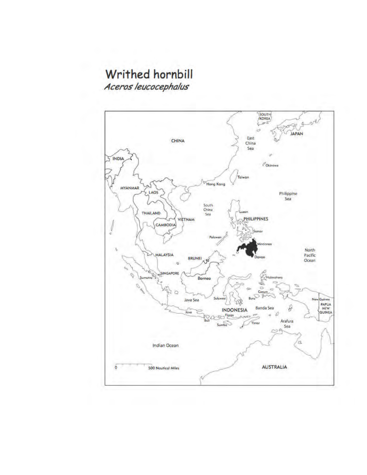# Writhed hornbill

Aceros leucocephalus

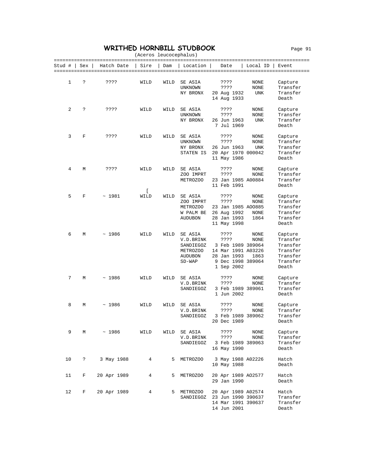#### **WRITHED HORNBILL STUDBOOK** Page 91

|        | (Aceros leucocephalus) |             |           |      |                                                                             |  |                                                                                                           |                                   |                                                                              |  |  |
|--------|------------------------|-------------|-----------|------|-----------------------------------------------------------------------------|--|-----------------------------------------------------------------------------------------------------------|-----------------------------------|------------------------------------------------------------------------------|--|--|
| Stud # | Sex                    | Hatch Date  | Sire      | Dam  | Location                                                                    |  | Date                                                                                                      | Local ID $\vert$                  | Event                                                                        |  |  |
| 1      | ?                      | ????        | WILD      | WILD | SE ASIA<br>UNKNOWN<br>NY BRONX                                              |  | ????<br>????<br>20 Aug 1932<br>14 Aug 1933                                                                | NONE<br>NONE<br>UNK               | Capture<br>Transfer<br>Transfer<br>Death                                     |  |  |
| 2      | ?                      | ????        | WILD      | WILD | SE ASIA<br>UNKNOWN<br>NY BRONX                                              |  | ????<br>????<br>26 Jun 1963<br>7 Jul 1969                                                                 | NONE<br>NONE<br><b>UNK</b>        | Capture<br>Transfer<br>Transfer<br>Death                                     |  |  |
| 3      | F                      | ????        | WILD      | WILD | SE ASIA<br>UNKNOWN<br>NY BRONX<br>STATEN IS                                 |  | ????<br>????<br>26 Jun 1963<br>20 Apr 1970 000042<br>11 May 1986                                          | <b>NONE</b><br>NONE<br><b>UNK</b> | Capture<br>Transfer<br>Transfer<br>Transfer<br>Death                         |  |  |
| 4      | М                      | ????        | WILD      | WILD | SE ASIA<br>ZOO IMPRT<br>METROZOO                                            |  | ????<br>????<br>23 Jan 1985 A00884<br>11 Feb 1991                                                         | NONE<br><b>NONE</b>               | Capture<br>Transfer<br>Transfer<br>Death                                     |  |  |
| 5      | F                      | ~1981       | L<br>WILD | WILD | SE ASIA<br>ZOO IMPRT<br>METROZOO<br>W PALM BE<br><b>AUDUBON</b>             |  | ????<br>????<br>23 Jan 1985 A00885<br>26 Aug 1992<br>28 Jan 1993<br>11 May 1998                           | NONE<br>NONE<br>NONE<br>1864      | Capture<br>Transfer<br>Transfer<br>Transfer<br>Transfer<br>Death             |  |  |
| 6      | M                      | ~1986       | WILD      | WILD | SE ASIA<br>V.D.BRINK<br>SANDIEGOZ<br>METROZOO<br><b>AUDUBON</b><br>$SD-WAP$ |  | ????<br>????<br>3 Feb 1989 389064<br>14 Mar 1991 A03226<br>28 Jan 1993<br>9 Dec 1998 389064<br>1 Sep 2002 | NONE<br>NONE<br>1863              | Capture<br>Transfer<br>Transfer<br>Transfer<br>Transfer<br>Transfer<br>Death |  |  |
| 7      | М                      | ~1986       | WILD      | WILD | SE ASIA<br>V.D.BRINK<br>SANDIEGOZ                                           |  | ????<br>????<br>3 Feb 1989 389061<br>1 Jun 2002                                                           | NONE<br>NONE                      | Capture<br>Transfer<br>Transfer<br>Death                                     |  |  |
| 8      | М                      | ~1986       | WILD      | WILD | SE ASIA<br>V.D.BRINK<br>SANDIEGOZ                                           |  | ????<br>????<br>3 Feb 1989 389062<br>20 Dec 1989                                                          | NONE<br>NONE                      | Capture<br>Transfer<br>Transfer<br>Death                                     |  |  |
| 9      | М                      | ~1986       | WILD      | WILD | SE ASIA<br>V.D.BRINK<br>SANDIEGOZ                                           |  | ????<br>????<br>3 Feb 1989 389063<br>16 May 1990                                                          | NONE<br>NONE                      | Capture<br>Transfer<br>Transfer<br>Death                                     |  |  |
| 10     | ?                      | 3 May 1988  | 4         | 5    | METROZOO                                                                    |  | 3 May 1988 A02226<br>10 May 1988                                                                          |                                   | Hatch<br>Death                                                               |  |  |
| 11     | F                      | 20 Apr 1989 | 4         | 5    | METROZOO                                                                    |  | 20 Apr 1989 A02577<br>29 Jan 1990                                                                         |                                   | Hatch<br>Death                                                               |  |  |
| 12     | F                      | 20 Apr 1989 | 4         | 5    | METROZOO<br>SANDIEGOZ                                                       |  | 20 Apr 1989 A02574<br>23 Jun 1990 390637<br>14 Mar 1991 390637<br>14 Jun 2001                             |                                   | Hatch<br>Transfer<br>Transfer<br>Death                                       |  |  |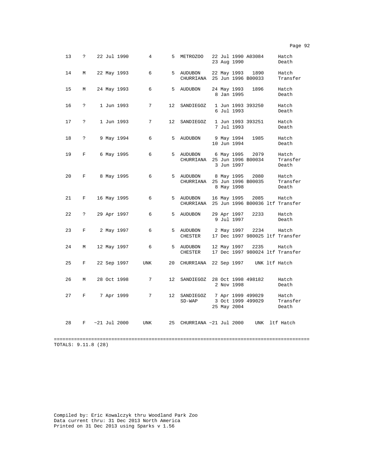| 13 | $\mathbf{P}$  |  | 22 Jul 1990 | $\overline{4}$         |       | 5 METROZOO                                                |  | 23 Aug 1990               | 22 Jul 1990 A03084                     | Hatch<br>Death                  |
|----|---------------|--|-------------|------------------------|-------|-----------------------------------------------------------|--|---------------------------|----------------------------------------|---------------------------------|
| 14 | M             |  | 22 May 1993 | 6                      |       | 5 AUDUBON<br>CHURRIANA 25 Jun 1996 B00033                 |  |                           | 22 May 1993 1890                       | Hatch<br>Transfer               |
| 15 | М             |  | 24 May 1993 | 6                      |       | 5 AUDUBON                                                 |  | 24 May 1993<br>8 Jan 1995 | 1896                                   | Hatch<br>Death                  |
| 16 | $\ddot{ }$    |  | 1 Jun 1993  | 7                      |       | 12 SANDIEGOZ                                              |  | 6 Jul 1993                | 1 Jun 1993 393250                      | Hatch<br>Death                  |
| 17 | $\ddot{ }$    |  | 1 Jun 1993  | 7                      |       | 12 SANDIEGOZ 1 Jun 1993 393251                            |  | 7 Jul 1993                |                                        | Hatch<br>Death                  |
| 18 | $\tilde{ }$   |  | 9 May 1994  | 6                      | $5 -$ | AUDUBON                                                   |  | 10 Jun 1994               | 9 May 1994 1985                        | Hatch<br>Death                  |
| 19 | F             |  | 6 May 1995  | 6                      |       | 5 AUDUBON 6 May 1995 2079<br>CHURRIANA 25 Jun 1996 B00034 |  | 3 Jun 1997                |                                        | Hatch<br>Transfer<br>Death      |
| 20 | F             |  | 8 May 1995  | 6                      |       | 5 AUDUBON 8 May 1995 2080<br>CHURRIANA 25 Jun 1996 B00035 |  | 8 May 1998                |                                        | Hatch<br>Transfer<br>Death      |
| 21 | F             |  | 16 May 1995 | 6                      |       | 5 AUDUBON<br>CHURRIANA 25 Jun 1996 B00036 ltf Transfer    |  | 16 May 1995               | 2085                                   | Hatch                           |
| 22 | $\mathcal{P}$ |  | 29 Apr 1997 | 6                      |       | 5 AUDUBON                                                 |  | 29 Apr 1997<br>9 Jul 1997 | 2233                                   | Hatch<br>Death                  |
| 23 | F             |  | 2 May 1997  | 6                      |       | 5 AUDUBON<br>CHESTER                                      |  |                           | 2 May 1997 2234 Hatch                  | 17 Dec 1997 980025 ltf Transfer |
| 24 | M             |  | 12 May 1997 | 6                      |       | 5 AUDUBON<br>CHESTER                                      |  |                           | 12 May 1997 2235 Hatch                 | 17 Dec 1997 980024 ltf Transfer |
| 25 | F             |  | 22 Sep 1997 | UNK                    |       | 20 CHURRIANA 22 Sep 1997 UNK ltf Hatch                    |  |                           |                                        |                                 |
| 26 | M             |  | 28 Oct 1998 | 7                      |       | 12 SANDIEGOZ 28 Oct 1998 498182                           |  | 2 Nov 1998                |                                        | Hatch<br>Death                  |
| 27 | F             |  | 7 Apr 1999  | 7                      |       | 12 SANDIEGOZ<br>$SD-WAP$                                  |  | 25 May 2004               | 7 Apr 1999 499029<br>3 Oct 1999 499029 | Hatch<br>Transfer<br>Death      |
| 28 | F             |  |             | $\sim$ 21 Jul 2000 UNK |       | 25 CHURRIANA ~21 Jul 2000 UNK ltf Hatch                   |  |                           |                                        |                                 |

TOTALS: 9.11.8 (28)

Compiled by: Eric Kowalczyk thru Woodland Park Zoo Data current thru: 31 Dec 2013 North America Printed on 31 Dec 2013 using Sparks v 1.56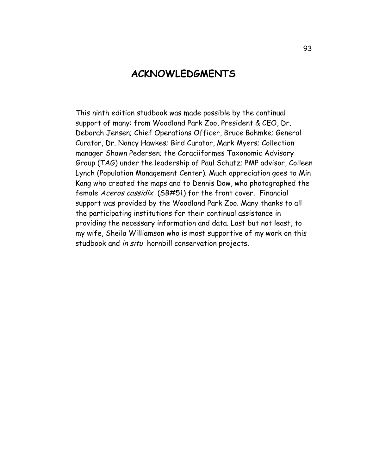## **ACKNOWLEDGMENTS**

This ninth edition studbook was made possible by the continual support of many: from Woodland Park Zoo, President & CEO, Dr. Deborah Jensen; Chief Operations Officer, Bruce Bohmke; General Curator, Dr. Nancy Hawkes; Bird Curator, Mark Myers; Collection manager Shawn Pedersen; the Coraciiformes Taxonomic Advisory Group (TAG) under the leadership of Paul Schutz; PMP advisor, Colleen Lynch (Population Management Center). Much appreciation goes to Min Kang who created the maps and to Dennis Dow, who photographed the female Aceros cassidix (SB#51) for the front cover. Financial support was provided by the Woodland Park Zoo. Many thanks to all the participating institutions for their continual assistance in providing the necessary information and data. Last but not least, to my wife, Sheila Williamson who is most supportive of my work on this studbook and in situ hornbill conservation projects.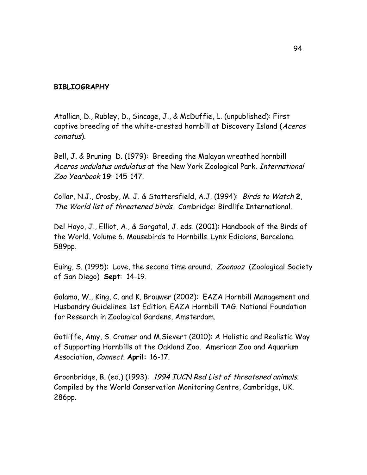#### **BIBLIOGRAPHY**

Atallian, D., Rubley, D., Sincage, J., & McDuffie, L. (unpublished): First captive breeding of the white-crested hornbill at Discovery Island (Aceros comatus).

Bell, J. & Bruning D. (1979): Breeding the Malayan wreathed hornbill Aceros undulatus undulatus at the New York Zoological Park. International Zoo Yearbook **19**: 145-147.

Collar, N.J., Crosby, M. J. & Stattersfield, A.J. (1994): Birds to Watch **2**, The World list of threatened birds. Cambridge: Birdlife International.

Del Hoyo, J., Elliot, A., & Sargatal, J. eds. (2001): Handbook of the Birds of the World. Volume 6. Mousebirds to Hornbills. Lynx Edicions, Barcelona. 589pp.

Euing, S. (1995): Love, the second time around. Zoonooz (Zoological Society of San Diego) **Sept**: 14-19.

Galama, W., King, C. and K. Brouwer (2002): EAZA Hornbill Management and Husbandry Guidelines. 1st Edition. EAZA Hornbill TAG. National Foundation for Research in Zoological Gardens, Amsterdam.

Gotliffe, Amy, S. Cramer and M.Sievert (2010): A Holistic and Realistic Way of Supporting Hornbills at the Oakland Zoo. American Zoo and Aquarium Association, Connect. **April:** 16-17.

Groonbridge, B. (ed.) (1993): 1994 IUCN Red List of threatened animals. Compiled by the World Conservation Monitoring Centre, Cambridge, UK. 286pp.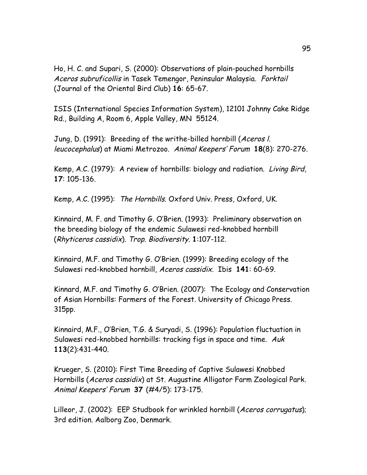Ho, H. C. and Supari, S. (2000): Observations of plain-pouched hornbills Aceros subruficollis in Tasek Temengor, Peninsular Malaysia. Forktail (Journal of the Oriental Bird Club) **16**: 65-67.

ISIS (International Species Information System), 12101 Johnny Cake Ridge Rd., Building A, Room 6, Apple Valley, MN 55124.

Jung, D. (1991): Breeding of the writhe-billed hornbill (Aceros I. leucocephalus) at Miami Metrozoo. Animal Keepers' Forum **18**(8): 270-276.

Kemp, A.C. (1979): A review of hornbills: biology and radiation. Living Bird, **17**: 105-136.

Kemp, A.C. (1995): The Hornbills. Oxford Univ. Press, Oxford, UK.

Kinnaird, M. F. and Timothy G. O'Brien. (1993): Preliminary observation on the breeding biology of the endemic Sulawesi red-knobbed hornbill (Rhyticeros cassidix). Trop. Biodiversity. **1**:107-112.

Kinnaird, M.F. and Timothy G. O'Brien. (1999): Breeding ecology of the Sulawesi red-knobbed hornbill, Aceros cassidix. Ibis **141**: 60-69.

Kinnard, M.F. and Timothy G. O'Brien. (2007): The Ecology and Conservation of Asian Hornbills: Farmers of the Forest. University of Chicago Press. 315pp.

Kinnaird, M.F., O'Brien, T.G. & Suryadi, S. (1996): Population fluctuation in Sulawesi red-knobbed hornbills: tracking figs in space and time. Auk **113**(2):431-440.

Krueger, S. (2010): First Time Breeding of Captive Sulawesi Knobbed Hornbills (Aceros cassidix) at St. Augustine Alligator Farm Zoological Park. Animal Keepers' Forum **37** (#4/5): 173-175.

Lilleor, J. (2002): EEP Studbook for wrinkled hornbill (Aceros corrugatus); 3rd edition. Aalborg Zoo, Denmark.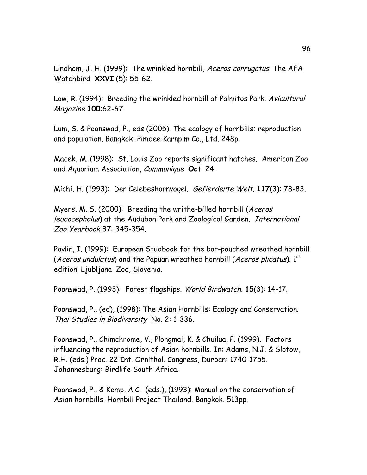Lindhom, J. H. (1999): The wrinkled hornbill, *Aceros corrugatus*. The AFA Watchbird **XXVI** (5): 55-62.

Low, R. (1994): Breeding the wrinkled hornbill at Palmitos Park. Avicultural Magazine **100**:62-67.

Lum, S. & Poonswad, P., eds (2005). The ecology of hornbills: reproduction and population. Bangkok: Pimdee Karnpim Co., Ltd. 248p.

Macek, M. (1998): St. Louis Zoo reports significant hatches. American Zoo and Aquarium Association, Communique **Oct**: 24.

Michi, H. (1993): Der Celebeshornvogel. Gefierderte Welt. **117**(3): 78-83.

Myers, M. S. (2000): Breeding the writhe-billed hornbill (Aceros leucocephalus) at the Audubon Park and Zoological Garden. International Zoo Yearbook **37**: 345-354.

Pavlin, I. (1999): European Studbook for the bar-pouched wreathed hornbill (Aceros undulatus) and the Papuan wreathed hornbill (Aceros plicatus).  $1<sup>st</sup>$ edition. Ljubljana Zoo, Slovenia.

Poonswad, P. (1993): Forest flagships. World Birdwatch. **15**(3): 14-17.

Poonswad, P., (ed), (1998): The Asian Hornbills: Ecology and Conservation. Thai Studies in Biodiversity No. 2: 1-336.

Poonswad, P., Chimchrome, V., Plongmai, K. & Chuilua, P. (1999). Factors influencing the reproduction of Asian hornbills. In: Adams, N.J. & Slotow, R.H. (eds.) Proc. 22 Int. Ornithol. Congress, Durban: 1740-1755. Johannesburg: Birdlife South Africa.

Poonswad, P., & Kemp, A.C. (eds.), (1993): Manual on the conservation of Asian hornbills. Hornbill Project Thailand. Bangkok. 513pp.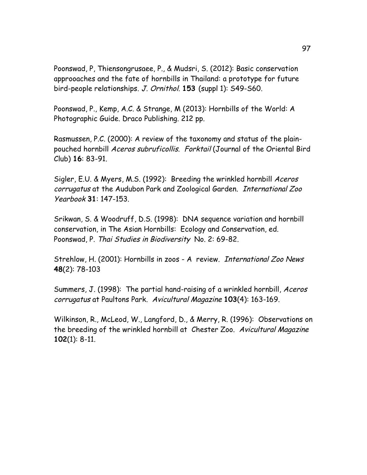Poonswad, P, Thiensongrusaee, P., & Mudsri, S. (2012): Basic conservation approoaches and the fate of hornbills in Thailand: a prototype for future bird-people relationships. J. Ornithol. **153** (suppl 1): S49-S60.

Poonswad, P., Kemp, A.C. & Strange, M (2013): Hornbills of the World: A Photographic Guide. Draco Publishing. 212 pp.

Rasmussen, P.C. (2000): A review of the taxonomy and status of the plainpouched hornbill Aceros subruficollis. Forktail (Journal of the Oriental Bird Club) **16**: 83-91.

Sigler, E.U. & Myers, M.S. (1992): Breeding the wrinkled hornbill Aceros corrugatus at the Audubon Park and Zoological Garden. International Zoo Yearbook **31**: 147-153.

Srikwan, S. & Woodruff, D.S. (1998): DNA sequence variation and hornbill conservation, in The Asian Hornbills: Ecology and Conservation, ed. Poonswad, P. Thai Studies in Biodiversity No. 2: 69-82.

Strehlow, H. (2001): Hornbills in zoos - A review. International Zoo News **48**(2): 78-103

Summers, J. (1998): The partial hand-raising of a wrinkled hornbill, Aceros corrugatus at Paultons Park. Avicultural Magazine **103**(4): 163-169.

Wilkinson, R., McLeod, W., Langford, D., & Merry, R. (1996): Observations on the breeding of the wrinkled hornbill at Chester Zoo. Avicultural Magazine **102**(1): 8-11.